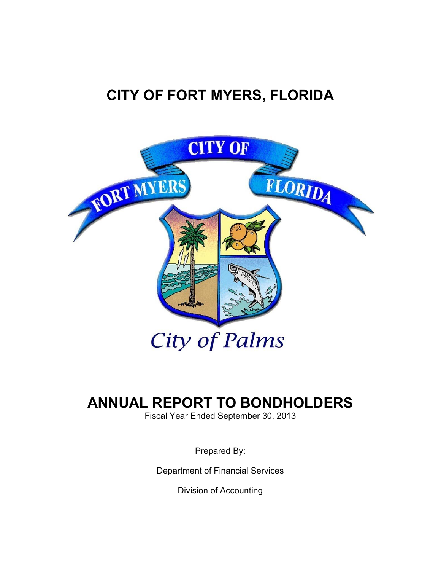# **CITY OF FORT MYERS, FLORIDA**



# **ANNUAL REPORT TO BONDHOLDERS**

Fiscal Year Ended September 30, 2013

Prepared By:

Department of Financial Services

Division of Accounting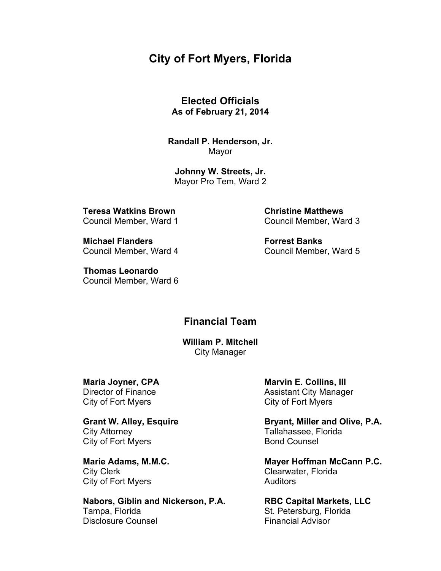# **City of Fort Myers, Florida**

**Elected Officials As of February 21, 2014** 

**Randall P. Henderson, Jr.**  Mayor

**Johnny W. Streets, Jr.**  Mayor Pro Tem, Ward 2

**Teresa Watkins Brown Christine Matthews** 

**Michael Flanders The Contract Banks Forrest Banks** 

 **Thomas Leonardo**  Council Member, Ward 6

Council Member, Ward 1 Council Member, Ward 3

Council Member, Ward 4 Council Member, Ward 5

# **Financial Team**

**William P. Mitchell** City Manager

City of Fort Myers City of Fort Myers

City Attorney Tallahassee, Florida City of Fort Myers **Bond Counsel** 

 City Clerk Clearwater, Florida City of Fort Myers **Auditors** 

**Nabors, Giblin and Nickerson, P.A. RBC Capital Markets, LLC**  Tampa, Florida **St. Petersburg, Florida** Disclosure Counsel **Financial Advisor** 

**Maria Joyner, CPA** Marvin E. Collins, III Director of Finance **Assistant City Manager** 

Grant W. Alley, Esquire **Bryant, Miller and Olive, P.A.** 

Marie Adams, M.M.C. **Marie Adams, M.M.C.** Mayer Hoffman McCann P.C.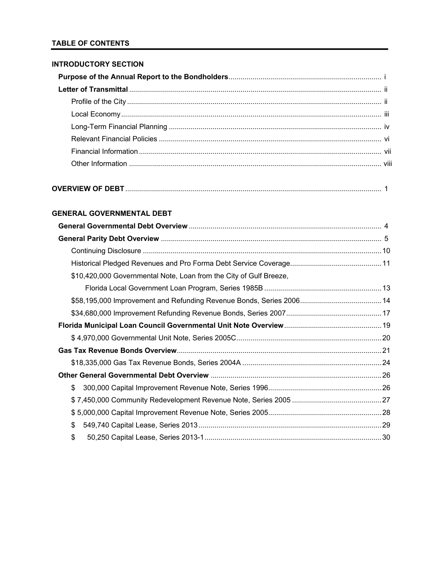# **TABLE OF CONTENTS**

### **INTRODUCTORY SECTION**

### **GENERAL GOVERNMENTAL DEBT**

| \$10,420,000 Governmental Note, Loan from the City of Gulf Breeze, |  |
|--------------------------------------------------------------------|--|
|                                                                    |  |
|                                                                    |  |
|                                                                    |  |
|                                                                    |  |
|                                                                    |  |
|                                                                    |  |
|                                                                    |  |
|                                                                    |  |
| \$                                                                 |  |
|                                                                    |  |
|                                                                    |  |
| \$                                                                 |  |
| \$                                                                 |  |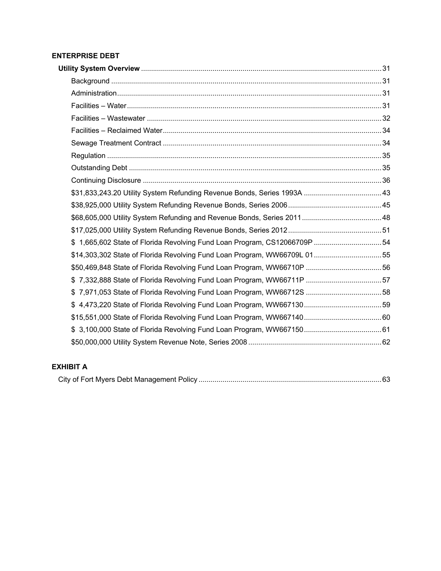# **ENTERPRISE DEBT**

| \$1,665,602 State of Florida Revolving Fund Loan Program, CS12066709P 54 |  |
|--------------------------------------------------------------------------|--|
| \$14,303,302 State of Florida Revolving Fund Loan Program, WW66709L 0155 |  |
|                                                                          |  |
|                                                                          |  |
| \$7,971,053 State of Florida Revolving Fund Loan Program, WW66712S 58    |  |
|                                                                          |  |
|                                                                          |  |
|                                                                          |  |
|                                                                          |  |

# **EXHIBIT A**

|--|--|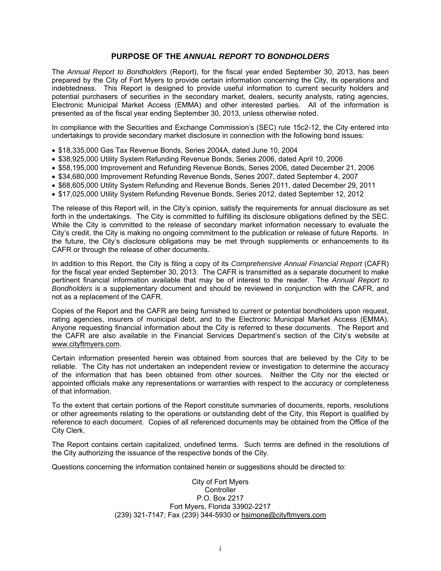### **PURPOSE OF THE** *ANNUAL REPORT TO BONDHOLDERS*

The *Annual Report to Bondholders* (Report), for the fiscal year ended September 30, 2013, has been prepared by the City of Fort Myers to provide certain information concerning the City, its operations and indebtedness. This Report is designed to provide useful information to current security holders and potential purchasers of securities in the secondary market, dealers, security analysts, rating agencies, Electronic Municipal Market Access (EMMA) and other interested parties. All of the information is presented as of the fiscal year ending September 30, 2013, unless otherwise noted.

In compliance with the Securities and Exchange Commission's (SEC) rule 15c2-12, the City entered into undertakings to provide secondary market disclosure in connection with the following bond issues:

- \$18,335,000 Gas Tax Revenue Bonds, Series 2004A, dated June 10, 2004
- \$38,925,000 Utility System Refunding Revenue Bonds, Series 2006, dated April 10, 2006
- \$58,195,000 Improvement and Refunding Revenue Bonds, Series 2006, dated December 21, 2006
- \$34,680,000 Improvement Refunding Revenue Bonds, Series 2007, dated September 4, 2007
- \$68,605,000 Utility System Refunding and Revenue Bonds, Series 2011, dated December 29, 2011
- \$17,025,000 Utility System Refunding Revenue Bonds, Series 2012, dated September 12, 2012

The release of this Report will, in the City's opinion, satisfy the requirements for annual disclosure as set forth in the undertakings. The City is committed to fulfilling its disclosure obligations defined by the SEC. While the City is committed to the release of secondary market information necessary to evaluate the City's credit, the City is making no ongoing commitment to the publication or release of future Reports. In the future, the City's disclosure obligations may be met through supplements or enhancements to its CAFR or through the release of other documents.

In addition to this Report, the City is filing a copy of its *Comprehensive Annual Financial Report* (CAFR) for the fiscal year ended September 30, 2013. The CAFR is transmitted as a separate document to make pertinent financial information available that may be of interest to the reader. The *Annual Report to Bondholders* is a supplementary document and should be reviewed in conjunction with the CAFR, and not as a replacement of the CAFR.

Copies of the Report and the CAFR are being furnished to current or potential bondholders upon request, rating agencies, insurers of municipal debt, and to the Electronic Municipal Market Access (EMMA). Anyone requesting financial information about the City is referred to these documents. The Report and the CAFR are also available in the Financial Services Department's section of the City's website at www.cityftmyers.com.

Certain information presented herein was obtained from sources that are believed by the City to be reliable. The City has not undertaken an independent review or investigation to determine the accuracy of the information that has been obtained from other sources. Neither the City nor the elected or appointed officials make any representations or warranties with respect to the accuracy or completeness of that information.

To the extent that certain portions of the Report constitute summaries of documents, reports, resolutions or other agreements relating to the operations or outstanding debt of the City, this Report is qualified by reference to each document. Copies of all referenced documents may be obtained from the Office of the City Clerk.

The Report contains certain capitalized, undefined terms. Such terms are defined in the resolutions of the City authorizing the issuance of the respective bonds of the City.

Questions concerning the information contained herein or suggestions should be directed to:

City of Fort Myers **Controller** P.O. Box 2217 Fort Myers, Florida 33902-2217 (239) 321-7147; Fax (239) 344-5930 or hsimone@cityftmyers.com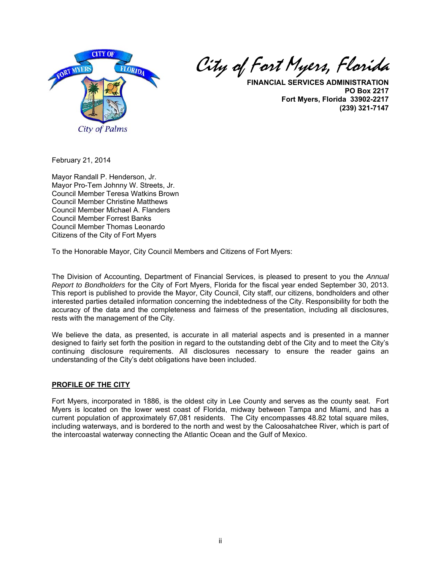

City of Fort Myers, Florida

**FINANCIAL SERVICES ADMINISTRATION PO Box 2217 Fort Myers, Florida 33902-2217 (239) 321-7147**

February 21, 2014

Mayor Randall P. Henderson, Jr. Mayor Pro-Tem Johnny W. Streets, Jr. Council Member Teresa Watkins Brown Council Member Christine Matthews Council Member Michael A. Flanders Council Member Forrest Banks Council Member Thomas Leonardo Citizens of the City of Fort Myers

To the Honorable Mayor, City Council Members and Citizens of Fort Myers:

The Division of Accounting, Department of Financial Services, is pleased to present to you the *Annual Report to Bondholders* for the City of Fort Myers, Florida for the fiscal year ended September 30, 2013. This report is published to provide the Mayor, City Council, City staff, our citizens, bondholders and other interested parties detailed information concerning the indebtedness of the City. Responsibility for both the accuracy of the data and the completeness and fairness of the presentation, including all disclosures, rests with the management of the City.

We believe the data, as presented, is accurate in all material aspects and is presented in a manner designed to fairly set forth the position in regard to the outstanding debt of the City and to meet the City's continuing disclosure requirements. All disclosures necessary to ensure the reader gains an understanding of the City's debt obligations have been included.

### **PROFILE OF THE CITY**

Fort Myers, incorporated in 1886, is the oldest city in Lee County and serves as the county seat. Fort Myers is located on the lower west coast of Florida, midway between Tampa and Miami, and has a current population of approximately 67,081 residents. The City encompasses 48.82 total square miles, including waterways, and is bordered to the north and west by the Caloosahatchee River, which is part of the intercoastal waterway connecting the Atlantic Ocean and the Gulf of Mexico.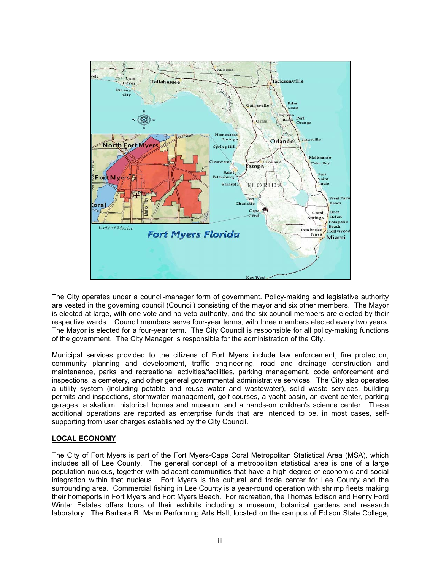

The City operates under a council-manager form of government. Policy-making and legislative authority are vested in the governing council (Council) consisting of the mayor and six other members. The Mayor is elected at large, with one vote and no veto authority, and the six council members are elected by their respective wards. Council members serve four-year terms, with three members elected every two years. The Mayor is elected for a four-year term. The City Council is responsible for all policy-making functions of the government. The City Manager is responsible for the administration of the City.

Municipal services provided to the citizens of Fort Myers include law enforcement, fire protection, community planning and development, traffic engineering, road and drainage construction and maintenance, parks and recreational activities/facilities, parking management, code enforcement and inspections, a cemetery, and other general governmental administrative services. The City also operates a utility system (including potable and reuse water and wastewater), solid waste services, building permits and inspections, stormwater management, golf courses, a yacht basin, an event center, parking garages, a skatium, historical homes and museum, and a hands-on children's science center. These additional operations are reported as enterprise funds that are intended to be, in most cases, selfsupporting from user charges established by the City Council.

### **LOCAL ECONOMY**

The City of Fort Myers is part of the Fort Myers-Cape Coral Metropolitan Statistical Area (MSA), which includes all of Lee County. The general concept of a metropolitan statistical area is one of a large population nucleus, together with adjacent communities that have a high degree of economic and social integration within that nucleus. Fort Myers is the cultural and trade center for Lee County and the surrounding area. Commercial fishing in Lee County is a year-round operation with shrimp fleets making their homeports in Fort Myers and Fort Myers Beach. For recreation, the Thomas Edison and Henry Ford Winter Estates offers tours of their exhibits including a museum, botanical gardens and research laboratory. The Barbara B. Mann Performing Arts Hall, located on the campus of Edison State College,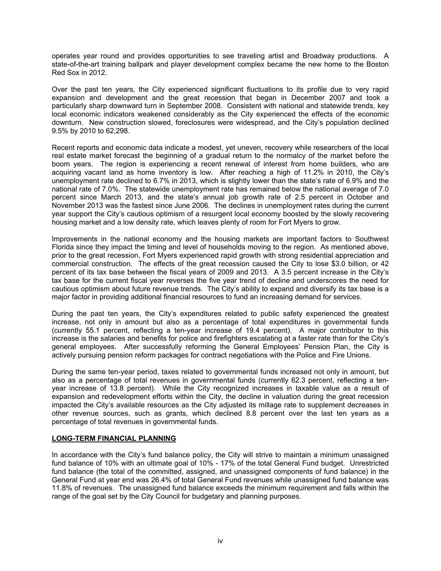operates year round and provides opportunities to see traveling artist and Broadway productions. A state-of-the-art training ballpark and player development complex became the new home to the Boston Red Sox in 2012.

Over the past ten years, the City experienced significant fluctuations to its profile due to very rapid expansion and development and the great recession that began in December 2007 and took a particularly sharp downward turn in September 2008. Consistent with national and statewide trends, key local economic indicators weakened considerably as the City experienced the effects of the economic downturn. New construction slowed, foreclosures were widespread, and the City's population declined 9.5% by 2010 to 62,298.

Recent reports and economic data indicate a modest, yet uneven, recovery while researchers of the local real estate market forecast the beginning of a gradual return to the normalcy of the market before the boom years. The region is experiencing a recent renewal of interest from home builders, who are acquiring vacant land as home inventory is low. After reaching a high of 11.2% in 2010, the City's unemployment rate declined to 6.7% in 2013, which is slightly lower than the state's rate of 6.9% and the national rate of 7.0%. The statewide unemployment rate has remained below the national average of 7.0 percent since March 2013, and the state's annual job growth rate of 2.5 percent in October and November 2013 was the fastest since June 2006. The declines in unemployment rates during the current year support the City's cautious optimism of a resurgent local economy boosted by the slowly recovering housing market and a low density rate, which leaves plenty of room for Fort Myers to grow.

Improvements in the national economy and the housing markets are important factors to Southwest Florida since they impact the timing and level of households moving to the region. As mentioned above, prior to the great recession, Fort Myers experienced rapid growth with strong residential appreciation and commercial construction. The effects of the great recession caused the City to lose \$3.0 billion, or 42 percent of its tax base between the fiscal years of 2009 and 2013. A 3.5 percent increase in the City's tax base for the current fiscal year reverses the five year trend of decline and underscores the need for cautious optimism about future revenue trends. The City's ability to expand and diversify its tax base is a major factor in providing additional financial resources to fund an increasing demand for services.

During the past ten years, the City's expenditures related to public safety experienced the greatest increase, not only in amount but also as a percentage of total expenditures in governmental funds (currently 55.1 percent, reflecting a ten-year increase of 19.4 percent). A major contributor to this increase is the salaries and benefits for police and firefighters escalating at a faster rate than for the City's general employees. After successfully reforming the General Employees' Pension Plan, the City is actively pursuing pension reform packages for contract negotiations with the Police and Fire Unions.

During the same ten-year period, taxes related to governmental funds increased not only in amount, but also as a percentage of total revenues in governmental funds (currently 62.3 percent, reflecting a tenyear increase of 13.8 percent). While the City recognized increases in taxable value as a result of expansion and redevelopment efforts within the City, the decline in valuation during the great recession impacted the City's available resources as the City adjusted its millage rate to supplement decreases in other revenue sources, such as grants, which declined 8.8 percent over the last ten years as a percentage of total revenues in governmental funds.

#### **LONG-TERM FINANCIAL PLANNING**

In accordance with the City's fund balance policy, the City will strive to maintain a minimum unassigned fund balance of 10% with an ultimate goal of 10% - 17% of the total General Fund budget. Unrestricted fund balance (the total of the committed, assigned, and unassigned components of fund balance) in the General Fund at year end was 26.4% of total General Fund revenues while unassigned fund balance was 11.8% of revenues. The unassigned fund balance exceeds the minimum requirement and falls within the range of the goal set by the City Council for budgetary and planning purposes.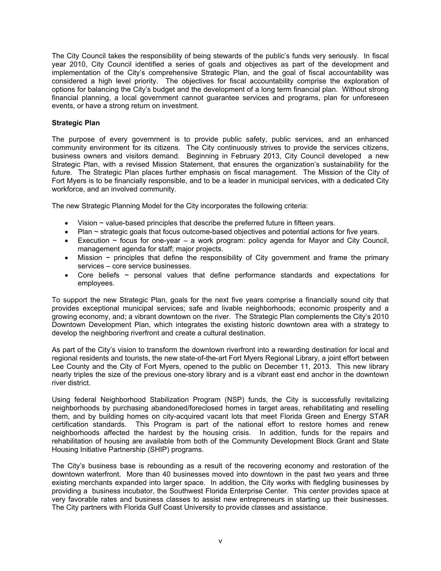The City Council takes the responsibility of being stewards of the public's funds very seriously. In fiscal year 2010, City Council identified a series of goals and objectives as part of the development and implementation of the City's comprehensive Strategic Plan, and the goal of fiscal accountability was considered a high level priority. The objectives for fiscal accountability comprise the exploration of options for balancing the City's budget and the development of a long term financial plan. Without strong financial planning, a local government cannot guarantee services and programs, plan for unforeseen events, or have a strong return on investment.

### **Strategic Plan**

The purpose of every government is to provide public safety, public services, and an enhanced community environment for its citizens. The City continuously strives to provide the services citizens, business owners and visitors demand. Beginning in February 2013, City Council developed a new Strategic Plan, with a revised Mission Statement, that ensures the organization's sustainability for the future. The Strategic Plan places further emphasis on fiscal management. The Mission of the City of Fort Myers is to be financially responsible, and to be a leader in municipal services, with a dedicated City workforce, and an involved community.

The new Strategic Planning Model for the City incorporates the following criteria:

- $\bullet$  Vision  $\sim$  value-based principles that describe the preferred future in fifteen years.
- Plan ~ strategic goals that focus outcome-based objectives and potential actions for five years.
- Execution  $\sim$  focus for one-year a work program: policy agenda for Mayor and City Council, management agenda for staff; major projects.
- $\bullet$  Mission  $\sim$  principles that define the responsibility of City government and frame the primary services – core service businesses.
- Core beliefs  $\sim$  personal values that define performance standards and expectations for employees.

To support the new Strategic Plan, goals for the next five years comprise a financially sound city that provides exceptional municipal services; safe and livable neighborhoods; economic prosperity and a growing economy, and; a vibrant downtown on the river. The Strategic Plan complements the City's 2010 Downtown Development Plan, which integrates the existing historic downtown area with a strategy to develop the neighboring riverfront and create a cultural destination.

As part of the City's vision to transform the downtown riverfront into a rewarding destination for local and regional residents and tourists, the new state-of-the-art Fort Myers Regional Library, a joint effort between Lee County and the City of Fort Myers, opened to the public on December 11, 2013. This new library nearly triples the size of the previous one-story library and is a vibrant east end anchor in the downtown river district.

Using federal Neighborhood Stabilization Program (NSP) funds, the City is successfully revitalizing neighborhoods by purchasing abandoned/foreclosed homes in target areas, rehabilitating and reselling them, and by building homes on city-acquired vacant lots that meet Florida Green and Energy STAR certification standards. This Program is part of the national effort to restore homes and renew neighborhoods affected the hardest by the housing crisis. In addition, funds for the repairs and rehabilitation of housing are available from both of the Community Development Block Grant and State Housing Initiative Partnership (SHIP) programs.

The City's business base is rebounding as a result of the recovering economy and restoration of the downtown waterfront. More than 40 businesses moved into downtown in the past two years and three existing merchants expanded into larger space. In addition, the City works with fledgling businesses by providing a business incubator, the Southwest Florida Enterprise Center. This center provides space at very favorable rates and business classes to assist new entrepreneurs in starting up their businesses. The City partners with Florida Gulf Coast University to provide classes and assistance.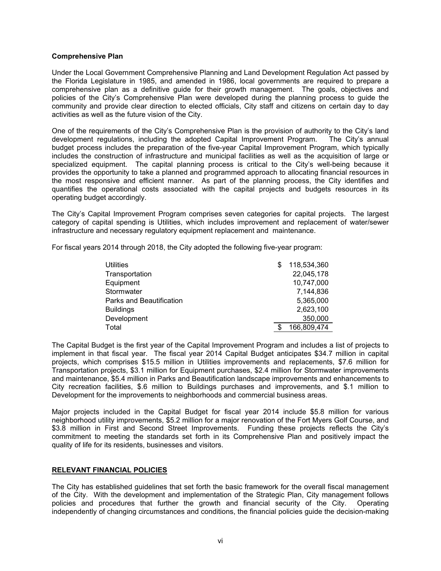#### **Comprehensive Plan**

Under the Local Government Comprehensive Planning and Land Development Regulation Act passed by the Florida Legislature in 1985, and amended in 1986, local governments are required to prepare a comprehensive plan as a definitive guide for their growth management. The goals, objectives and policies of the City's Comprehensive Plan were developed during the planning process to guide the community and provide clear direction to elected officials, City staff and citizens on certain day to day activities as well as the future vision of the City.

One of the requirements of the City's Comprehensive Plan is the provision of authority to the City's land development regulations, including the adopted Capital Improvement Program. The City's annual budget process includes the preparation of the five-year Capital Improvement Program, which typically includes the construction of infrastructure and municipal facilities as well as the acquisition of large or specialized equipment. The capital planning process is critical to the City's well-being because it provides the opportunity to take a planned and programmed approach to allocating financial resources in the most responsive and efficient manner. As part of the planning process, the City identifies and quantifies the operational costs associated with the capital projects and budgets resources in its operating budget accordingly.

The City's Capital Improvement Program comprises seven categories for capital projects. The largest category of capital spending is Utilities, which includes improvement and replacement of water/sewer infrastructure and necessary regulatory equipment replacement and maintenance.

For fiscal years 2014 through 2018, the City adopted the following five-year program:

| <b>Utilities</b>         | 118,534,360 |
|--------------------------|-------------|
| Transportation           | 22,045,178  |
| Equipment                | 10,747,000  |
| Stormwater               | 7.144.836   |
| Parks and Beautification | 5,365,000   |
| <b>Buildings</b>         | 2,623,100   |
| Development              | 350,000     |
| Total                    | 166,809,474 |

The Capital Budget is the first year of the Capital Improvement Program and includes a list of projects to implement in that fiscal year. The fiscal year 2014 Capital Budget anticipates \$34.7 million in capital projects, which comprises \$15.5 million in Utilities improvements and replacements, \$7.6 million for Transportation projects, \$3.1 million for Equipment purchases, \$2.4 million for Stormwater improvements and maintenance, \$5.4 million in Parks and Beautification landscape improvements and enhancements to City recreation facilities, \$.6 million to Buildings purchases and improvements, and \$.1 million to Development for the improvements to neighborhoods and commercial business areas.

Major projects included in the Capital Budget for fiscal year 2014 include \$5.8 million for various neighborhood utility improvements, \$5.2 million for a major renovation of the Fort Myers Golf Course, and \$3.8 million in First and Second Street Improvements. Funding these projects reflects the City's commitment to meeting the standards set forth in its Comprehensive Plan and positively impact the quality of life for its residents, businesses and visitors.

#### **RELEVANT FINANCIAL POLICIES**

The City has established guidelines that set forth the basic framework for the overall fiscal management of the City. With the development and implementation of the Strategic Plan, City management follows policies and procedures that further the growth and financial security of the City. Operating independently of changing circumstances and conditions, the financial policies guide the decision-making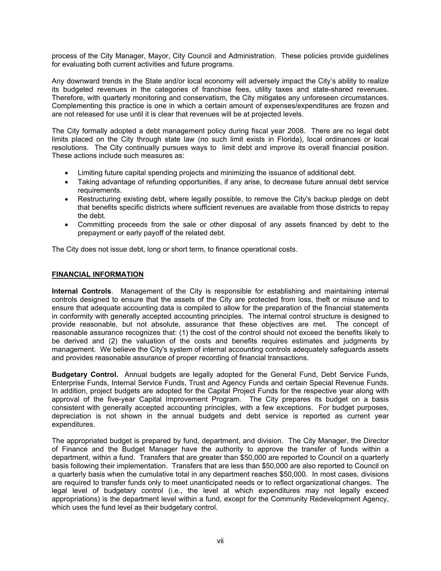process of the City Manager, Mayor, City Council and Administration. These policies provide guidelines for evaluating both current activities and future programs.

Any downward trends in the State and/or local economy will adversely impact the City's ability to realize its budgeted revenues in the categories of franchise fees, utility taxes and state-shared revenues. Therefore, with quarterly monitoring and conservatism, the City mitigates any unforeseen circumstances. Complementing this practice is one in which a certain amount of expenses/expenditures are frozen and are not released for use until it is clear that revenues will be at projected levels.

The City formally adopted a debt management policy during fiscal year 2008. There are no legal debt limits placed on the City through state law (no such limit exists in Florida), local ordinances or local resolutions. The City continually pursues ways to limit debt and improve its overall financial position. These actions include such measures as:

- Limiting future capital spending projects and minimizing the issuance of additional debt.
- Taking advantage of refunding opportunities, if any arise, to decrease future annual debt service requirements.
- Restructuring existing debt, where legally possible, to remove the City's backup pledge on debt that benefits specific districts where sufficient revenues are available from those districts to repay the debt.
- Committing proceeds from the sale or other disposal of any assets financed by debt to the prepayment or early payoff of the related debt.

The City does not issue debt, long or short term, to finance operational costs.

### **FINANCIAL INFORMATION**

**Internal Controls**. Management of the City is responsible for establishing and maintaining internal controls designed to ensure that the assets of the City are protected from loss, theft or misuse and to ensure that adequate accounting data is compiled to allow for the preparation of the financial statements in conformity with generally accepted accounting principles. The internal control structure is designed to provide reasonable, but not absolute, assurance that these objectives are met. The concept of reasonable assurance recognizes that: (1) the cost of the control should not exceed the benefits likely to be derived and (2) the valuation of the costs and benefits requires estimates and judgments by management. We believe the City's system of internal accounting controls adequately safeguards assets and provides reasonable assurance of proper recording of financial transactions.

**Budgetary Control.** Annual budgets are legally adopted for the General Fund, Debt Service Funds, Enterprise Funds, Internal Service Funds, Trust and Agency Funds and certain Special Revenue Funds. In addition, project budgets are adopted for the Capital Project Funds for the respective year along with approval of the five-year Capital Improvement Program. The City prepares its budget on a basis consistent with generally accepted accounting principles, with a few exceptions. For budget purposes, depreciation is not shown in the annual budgets and debt service is reported as current year expenditures.

The appropriated budget is prepared by fund, department, and division. The City Manager, the Director of Finance and the Budget Manager have the authority to approve the transfer of funds within a department, within a fund. Transfers that are greater than \$50,000 are reported to Council on a quarterly basis following their implementation. Transfers that are less than \$50,000 are also reported to Council on a quarterly basis when the cumulative total in any department reaches \$50,000. In most cases, divisions are required to transfer funds only to meet unanticipated needs or to reflect organizational changes. The legal level of budgetary control (i.e., the level at which expenditures may not legally exceed appropriations) is the department level within a fund, except for the Community Redevelopment Agency, which uses the fund level as their budgetary control.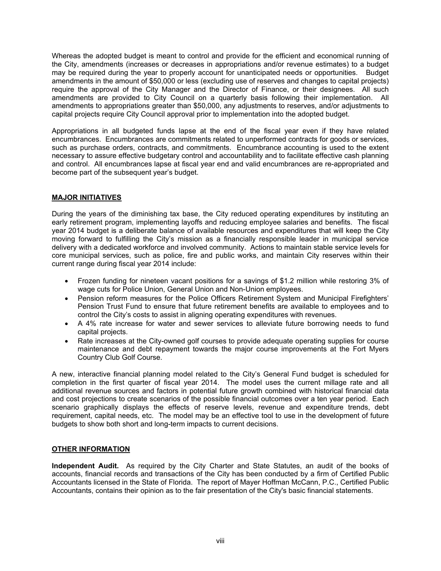Whereas the adopted budget is meant to control and provide for the efficient and economical running of the City, amendments (increases or decreases in appropriations and/or revenue estimates) to a budget may be required during the year to properly account for unanticipated needs or opportunities. Budget amendments in the amount of \$50,000 or less (excluding use of reserves and changes to capital projects) require the approval of the City Manager and the Director of Finance, or their designees. All such amendments are provided to City Council on a quarterly basis following their implementation. All amendments to appropriations greater than \$50,000, any adjustments to reserves, and/or adjustments to capital projects require City Council approval prior to implementation into the adopted budget.

Appropriations in all budgeted funds lapse at the end of the fiscal year even if they have related encumbrances. Encumbrances are commitments related to unperformed contracts for goods or services, such as purchase orders, contracts, and commitments. Encumbrance accounting is used to the extent necessary to assure effective budgetary control and accountability and to facilitate effective cash planning and control. All encumbrances lapse at fiscal year end and valid encumbrances are re-appropriated and become part of the subsequent year's budget.

### **MAJOR INITIATIVES**

During the years of the diminishing tax base, the City reduced operating expenditures by instituting an early retirement program, implementing layoffs and reducing employee salaries and benefits. The fiscal year 2014 budget is a deliberate balance of available resources and expenditures that will keep the City moving forward to fulfilling the City's mission as a financially responsible leader in municipal service delivery with a dedicated workforce and involved community. Actions to maintain stable service levels for core municipal services, such as police, fire and public works, and maintain City reserves within their current range during fiscal year 2014 include:

- Frozen funding for nineteen vacant positions for a savings of \$1.2 million while restoring 3% of wage cuts for Police Union, General Union and Non-Union employees.
- Pension reform measures for the Police Officers Retirement System and Municipal Firefighters' Pension Trust Fund to ensure that future retirement benefits are available to employees and to control the City's costs to assist in aligning operating expenditures with revenues.
- A 4% rate increase for water and sewer services to alleviate future borrowing needs to fund capital projects.
- Rate increases at the City-owned golf courses to provide adequate operating supplies for course maintenance and debt repayment towards the major course improvements at the Fort Myers Country Club Golf Course.

A new, interactive financial planning model related to the City's General Fund budget is scheduled for completion in the first quarter of fiscal year 2014. The model uses the current millage rate and all additional revenue sources and factors in potential future growth combined with historical financial data and cost projections to create scenarios of the possible financial outcomes over a ten year period. Each scenario graphically displays the effects of reserve levels, revenue and expenditure trends, debt requirement, capital needs, etc. The model may be an effective tool to use in the development of future budgets to show both short and long-term impacts to current decisions.

### **OTHER INFORMATION**

**Independent Audit.** As required by the City Charter and State Statutes, an audit of the books of accounts, financial records and transactions of the City has been conducted by a firm of Certified Public Accountants licensed in the State of Florida. The report of Mayer Hoffman McCann, P.C., Certified Public Accountants, contains their opinion as to the fair presentation of the City's basic financial statements.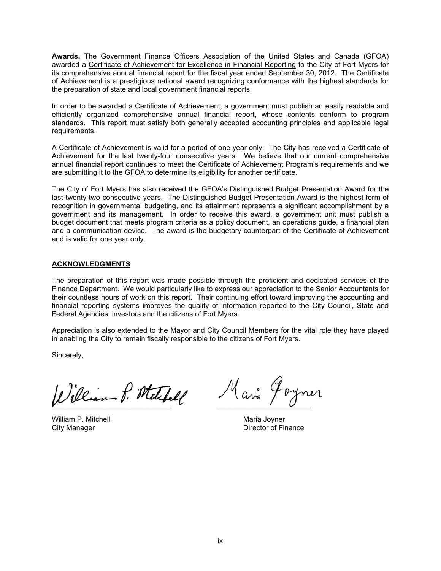**Awards.** The Government Finance Officers Association of the United States and Canada (GFOA) awarded a Certificate of Achievement for Excellence in Financial Reporting to the City of Fort Myers for its comprehensive annual financial report for the fiscal year ended September 30, 2012. The Certificate of Achievement is a prestigious national award recognizing conformance with the highest standards for the preparation of state and local government financial reports.

In order to be awarded a Certificate of Achievement, a government must publish an easily readable and efficiently organized comprehensive annual financial report, whose contents conform to program standards. This report must satisfy both generally accepted accounting principles and applicable legal requirements.

A Certificate of Achievement is valid for a period of one year only. The City has received a Certificate of Achievement for the last twenty-four consecutive years. We believe that our current comprehensive annual financial report continues to meet the Certificate of Achievement Program's requirements and we are submitting it to the GFOA to determine its eligibility for another certificate.

The City of Fort Myers has also received the GFOA's Distinguished Budget Presentation Award for the last twenty-two consecutive years. The Distinguished Budget Presentation Award is the highest form of recognition in governmental budgeting, and its attainment represents a significant accomplishment by a government and its management. In order to receive this award, a government unit must publish a budget document that meets program criteria as a policy document, an operations guide, a financial plan and a communication device. The award is the budgetary counterpart of the Certificate of Achievement and is valid for one year only.

### **ACKNOWLEDGMENTS**

The preparation of this report was made possible through the proficient and dedicated services of the Finance Department. We would particularly like to express our appreciation to the Senior Accountants for their countless hours of work on this report. Their continuing effort toward improving the accounting and financial reporting systems improves the quality of information reported to the City Council, State and Federal Agencies, investors and the citizens of Fort Myers.

Appreciation is also extended to the Mayor and City Council Members for the vital role they have played in enabling the City to remain fiscally responsible to the citizens of Fort Myers.

Sincerely,

¯¯¯¯¯¯¯¯¯¯¯¯¯¯¯¯¯¯¯¯¯¯¯¯¯¯¯¯¯¯¯¯¯ ¯¯¯¯¯¯¯¯¯¯¯¯¯¯¯¯¯¯¯¯¯¯¯¯¯¯

William P. Mitchell **Maria Joyner** Maria Joyner

City Manager **Director of Finance**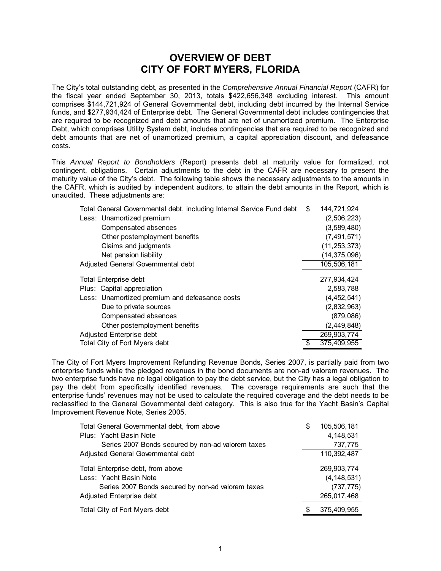# **OVERVIEW OF DEBT CITY OF FORT MYERS, FLORIDA**

The City's total outstanding debt, as presented in the *Comprehensive Annual Financial Report* (CAFR) for the fiscal year ended September 30, 2013, totals \$422,656,348 excluding interest. This amount comprises \$144,721,924 of General Governmental debt, including debt incurred by the Internal Service funds, and \$277,934,424 of Enterprise debt. The General Governmental debt includes contingencies that are required to be recognized and debt amounts that are net of unamortized premium. The Enterprise Debt, which comprises Utility System debt, includes contingencies that are required to be recognized and debt amounts that are net of unamortized premium, a capital appreciation discount, and defeasance costs.

This *Annual Report to Bondholders* (Report) presents debt at maturity value for formalized, not contingent, obligations. Certain adjustments to the debt in the CAFR are necessary to present the maturity value of the City's debt. The following table shows the necessary adjustments to the amounts in the CAFR, which is audited by independent auditors, to attain the debt amounts in the Report, which is unaudited. These adjustments are:

| Total General Governmental debt, including Internal Service Fund debt | - \$ | 144,721,924    |
|-----------------------------------------------------------------------|------|----------------|
| Less: Unamortized premium                                             |      | (2,506,223)    |
| Compensated absences                                                  |      | (3,589,480)    |
| Other postemployment benefits                                         |      | (7, 491, 571)  |
| Claims and judgments                                                  |      | (11, 253, 373) |
| Net pension liability                                                 |      | (14, 375, 096) |
| Adjusted General Governmental debt                                    |      | 105,506,181    |
| <b>Total Enterprise debt</b>                                          |      | 277,934,424    |
| Plus: Capital appreciation                                            |      | 2,583,788      |
| Less: Unamortized premium and defeasance costs                        |      | (4, 452, 541)  |
| Due to private sources                                                |      | (2,832,963)    |
| Compensated absences                                                  |      | (879,086)      |
| Other postemployment benefits                                         |      | (2, 449, 848)  |
| Adjusted Enterprise debt                                              |      | 269,903,774    |
| Total City of Fort Myers debt                                         |      | 375,409,955    |
|                                                                       |      |                |

The City of Fort Myers Improvement Refunding Revenue Bonds, Series 2007, is partially paid from two enterprise funds while the pledged revenues in the bond documents are non-ad valorem revenues. The two enterprise funds have no legal obligation to pay the debt service, but the City has a legal obligation to pay the debt from specifically identified revenues. The coverage requirements are such that the enterprise funds' revenues may not be used to calculate the required coverage and the debt needs to be reclassified to the General Governmental debt category. This is also true for the Yacht Basin's Capital Improvement Revenue Note, Series 2005.

| Total General Governmental debt, from above       | \$ | 105,506,181   |
|---------------------------------------------------|----|---------------|
| Plus: Yacht Basin Note                            |    | 4,148,531     |
| Series 2007 Bonds secured by non-ad valorem taxes |    | 737,775       |
| Adjusted General Governmental debt                |    | 110,392,487   |
| Total Enterprise debt, from above                 |    | 269,903,774   |
| Less: Yacht Basin Note                            |    | (4, 148, 531) |
| Series 2007 Bonds secured by non-ad valorem taxes |    | (737, 775)    |
| Adjusted Enterprise debt                          |    | 265,017,468   |
| Total City of Fort Myers debt                     | S  | 375,409,955   |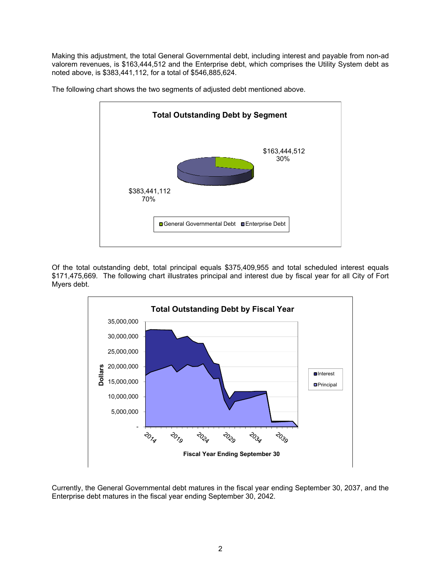Making this adjustment, the total General Governmental debt, including interest and payable from non-ad valorem revenues, is \$163,444,512 and the Enterprise debt, which comprises the Utility System debt as noted above, is \$383,441,112, for a total of \$546,885,624.



The following chart shows the two segments of adjusted debt mentioned above.

Of the total outstanding debt, total principal equals \$375,409,955 and total scheduled interest equals \$171,475,669. The following chart illustrates principal and interest due by fiscal year for all City of Fort Myers debt.



Currently, the General Governmental debt matures in the fiscal year ending September 30, 2037, and the Enterprise debt matures in the fiscal year ending September 30, 2042.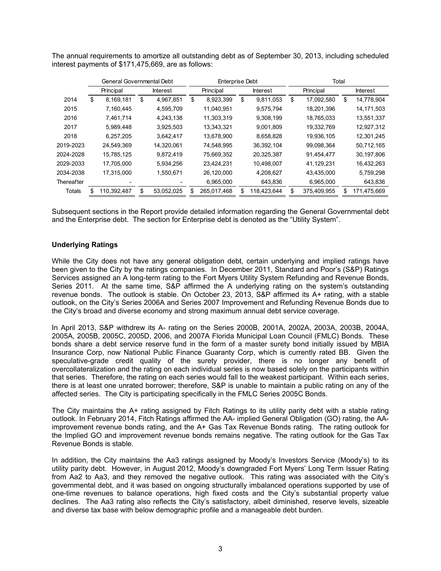The annual requirements to amortize all outstanding debt as of September 30, 2013, including scheduled interest payments of \$171,475,669, are as follows:

|            | General Governmental Debt |             |    |                 |    | <b>Enterprise Debt</b> |    |                 | Total |             |    |                 |
|------------|---------------------------|-------------|----|-----------------|----|------------------------|----|-----------------|-------|-------------|----|-----------------|
|            |                           | Principal   |    | <b>Interest</b> |    | Principal              |    | <b>Interest</b> |       | Principal   |    | <b>Interest</b> |
| 2014       | \$                        | 8,169,181   | \$ | 4,967,851       | \$ | 8,923,399              | \$ | 9,811,053       | \$    | 17,092,580  | \$ | 14,778,904      |
| 2015       |                           | 7,160,445   |    | 4,595,709       |    | 11,040,951             |    | 9,575,794       |       | 18,201,396  |    | 14,171,503      |
| 2016       |                           | 7,461,714   |    | 4,243,138       |    | 11,303,319             |    | 9,308,199       |       | 18,765,033  |    | 13,551,337      |
| 2017       |                           | 5.989.448   |    | 3,925,503       |    | 13,343,321             |    | 9,001,809       |       | 19.332.769  |    | 12,927,312      |
| 2018       |                           | 6,257,205   |    | 3,642,417       |    | 13,678,900             |    | 8,658,828       |       | 19,936,105  |    | 12,301,245      |
| 2019-2023  |                           | 24,549,369  |    | 14,320,061      |    | 74,548,995             |    | 36,392,104      |       | 99,098,364  |    | 50,712,165      |
| 2024-2028  |                           | 15,785,125  |    | 9,872,419       |    | 75,669,352             |    | 20,325,387      |       | 91,454,477  |    | 30,197,806      |
| 2029-2033  |                           | 17.705.000  |    | 5,934,256       |    | 23,424,231             |    | 10,498,007      |       | 41,129,231  |    | 16,432,263      |
| 2034-2038  |                           | 17,315,000  |    | 1,550,671       |    | 26,120,000             |    | 4,208,627       |       | 43,435,000  |    | 5,759,298       |
| Thereafter |                           |             |    |                 |    | 6,965,000              |    | 643,836         |       | 6,965,000   |    | 643,836         |
| Totals     |                           | 110,392,487 | \$ | 53,052,025      |    | 265,017,468            |    | 118,423,644     |       | 375,409,955 |    | 171,475,669     |

Subsequent sections in the Report provide detailed information regarding the General Governmental debt and the Enterprise debt. The section for Enterprise debt is denoted as the "Utility System".

### **Underlying Ratings**

While the City does not have any general obligation debt, certain underlying and implied ratings have been given to the City by the ratings companies. In December 2011, Standard and Poor's (S&P) Ratings Services assigned an A long-term rating to the Fort Myers Utility System Refunding and Revenue Bonds, Series 2011. At the same time, S&P affirmed the A underlying rating on the system's outstanding revenue bonds. The outlook is stable. On October 23, 2013, S&P affirmed its A+ rating, with a stable outlook, on the City's Series 2006A and Series 2007 Improvement and Refunding Revenue Bonds due to the City's broad and diverse economy and strong maximum annual debt service coverage.

In April 2013, S&P withdrew its A- rating on the Series 2000B, 2001A, 2002A, 2003A, 2003B, 2004A, 2005A, 2005B, 2005C, 2005D, 2006, and 2007A Florida Municipal Loan Council (FMLC) Bonds. These bonds share a debt service reserve fund in the form of a master surety bond initially issued by MBIA Insurance Corp, now National Public Finance Guaranty Corp, which is currently rated BB. Given the speculative-grade credit quality of the surety provider, there is no longer any benefit of overcollateralization and the rating on each individual series is now based solely on the participants within that series. Therefore, the rating on each series would fall to the weakest participant. Within each series, there is at least one unrated borrower; therefore, S&P is unable to maintain a public rating on any of the affected series. The City is participating specifically in the FMLC Series 2005C Bonds.

The City maintains the A+ rating assigned by Fitch Ratings to its utility parity debt with a stable rating outlook. In February 2014, Fitch Ratings affirmed the AA- implied General Obligation (GO) rating, the AAimprovement revenue bonds rating, and the A+ Gas Tax Revenue Bonds rating. The rating outlook for the Implied GO and improvement revenue bonds remains negative. The rating outlook for the Gas Tax Revenue Bonds is stable.

In addition, the City maintains the Aa3 ratings assigned by Moody's Investors Service (Moody's) to its utility parity debt. However, in August 2012, Moody's downgraded Fort Myers' Long Term Issuer Rating from Aa2 to Aa3, and they removed the negative outlook. This rating was associated with the City's governmental debt, and it was based on ongoing structurally imbalanced operations supported by use of one-time revenues to balance operations, high fixed costs and the City's substantial property value declines. The Aa3 rating also reflects the City's satisfactory, albeit diminished, reserve levels, sizeable and diverse tax base with below demographic profile and a manageable debt burden.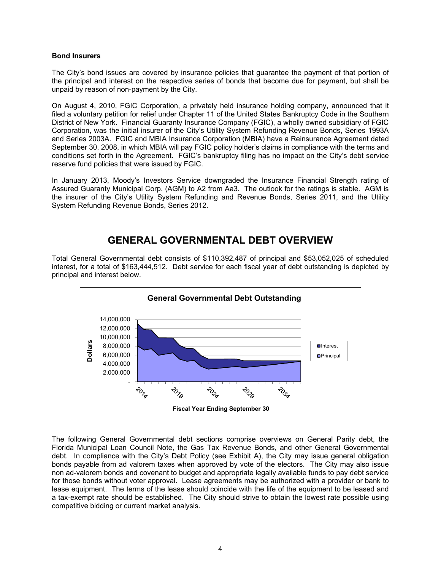### **Bond Insurers**

The City's bond issues are covered by insurance policies that guarantee the payment of that portion of the principal and interest on the respective series of bonds that become due for payment, but shall be unpaid by reason of non-payment by the City.

On August 4, 2010, FGIC Corporation, a privately held insurance holding company, announced that it filed a voluntary petition for relief under Chapter 11 of the United States Bankruptcy Code in the Southern District of New York. Financial Guaranty Insurance Company (FGIC), a wholly owned subsidiary of FGIC Corporation, was the initial insurer of the City's Utility System Refunding Revenue Bonds, Series 1993A and Series 2003A. FGIC and MBIA Insurance Corporation (MBIA) have a Reinsurance Agreement dated September 30, 2008, in which MBIA will pay FGIC policy holder's claims in compliance with the terms and conditions set forth in the Agreement. FGIC's bankruptcy filing has no impact on the City's debt service reserve fund policies that were issued by FGIC.

In January 2013, Moody's Investors Service downgraded the Insurance Financial Strength rating of Assured Guaranty Municipal Corp. (AGM) to A2 from Aa3. The outlook for the ratings is stable. AGM is the insurer of the City's Utility System Refunding and Revenue Bonds, Series 2011, and the Utility System Refunding Revenue Bonds, Series 2012.

# **GENERAL GOVERNMENTAL DEBT OVERVIEW**

Total General Governmental debt consists of \$110,392,487 of principal and \$53,052,025 of scheduled interest, for a total of \$163,444,512. Debt service for each fiscal year of debt outstanding is depicted by principal and interest below.



The following General Governmental debt sections comprise overviews on General Parity debt, the Florida Municipal Loan Council Note, the Gas Tax Revenue Bonds, and other General Governmental debt. In compliance with the City's Debt Policy (see Exhibit A), the City may issue general obligation bonds payable from ad valorem taxes when approved by vote of the electors. The City may also issue non ad-valorem bonds and covenant to budget and appropriate legally available funds to pay debt service for those bonds without voter approval. Lease agreements may be authorized with a provider or bank to lease equipment. The terms of the lease should coincide with the life of the equipment to be leased and a tax-exempt rate should be established. The City should strive to obtain the lowest rate possible using competitive bidding or current market analysis.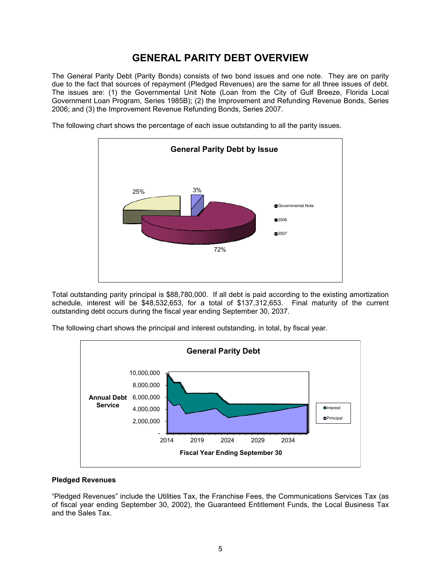# **GENERAL PARITY DEBT OVERVIEW**

The General Parity Debt (Parity Bonds) consists of two bond issues and one note. They are on parity due to the fact that sources of repayment (Pledged Revenues) are the same for all three issues of debt. The issues are: (1) the Governmental Unit Note (Loan from the City of Gulf Breeze, Florida Local Government Loan Program, Series 1985B); (2) the Improvement and Refunding Revenue Bonds, Series 2006; and (3) the Improvement Revenue Refunding Bonds, Series 2007.



The following chart shows the percentage of each issue outstanding to all the parity issues.

Total outstanding parity principal is \$88,780,000. If all debt is paid according to the existing amortization schedule, interest will be \$48,532,653, for a total of \$137,312,653. Final maturity of the current outstanding debt occurs during the fiscal year ending September 30, 2037.

The following chart shows the principal and interest outstanding, in total, by fiscal year.



#### **Pledged Revenues**

"Pledged Revenues" include the Utilities Tax, the Franchise Fees, the Communications Services Tax (as of fiscal year ending September 30, 2002), the Guaranteed Entitlement Funds, the Local Business Tax and the Sales Tax.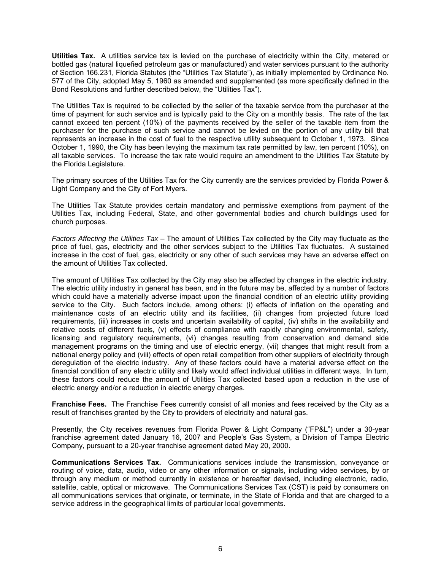**Utilities Tax.** A utilities service tax is levied on the purchase of electricity within the City, metered or bottled gas (natural liquefied petroleum gas or manufactured) and water services pursuant to the authority of Section 166.231, Florida Statutes (the "Utilities Tax Statute"), as initially implemented by Ordinance No. 577 of the City, adopted May 5, 1960 as amended and supplemented (as more specifically defined in the Bond Resolutions and further described below, the "Utilities Tax").

The Utilities Tax is required to be collected by the seller of the taxable service from the purchaser at the time of payment for such service and is typically paid to the City on a monthly basis. The rate of the tax cannot exceed ten percent (10%) of the payments received by the seller of the taxable item from the purchaser for the purchase of such service and cannot be levied on the portion of any utility bill that represents an increase in the cost of fuel to the respective utility subsequent to October 1, 1973. Since October 1, 1990, the City has been levying the maximum tax rate permitted by law, ten percent (10%), on all taxable services. To increase the tax rate would require an amendment to the Utilities Tax Statute by the Florida Legislature.

The primary sources of the Utilities Tax for the City currently are the services provided by Florida Power & Light Company and the City of Fort Myers.

The Utilities Tax Statute provides certain mandatory and permissive exemptions from payment of the Utilities Tax, including Federal, State, and other governmental bodies and church buildings used for church purposes.

*Factors Affecting the Utilities Tax* – The amount of Utilities Tax collected by the City may fluctuate as the price of fuel, gas, electricity and the other services subject to the Utilities Tax fluctuates. A sustained increase in the cost of fuel, gas, electricity or any other of such services may have an adverse effect on the amount of Utilities Tax collected.

The amount of Utilities Tax collected by the City may also be affected by changes in the electric industry. The electric utility industry in general has been, and in the future may be, affected by a number of factors which could have a materially adverse impact upon the financial condition of an electric utility providing service to the City. Such factors include, among others: (i) effects of inflation on the operating and maintenance costs of an electric utility and its facilities, (ii) changes from projected future load requirements, (iii) increases in costs and uncertain availability of capital, (iv) shifts in the availability and relative costs of different fuels, (v) effects of compliance with rapidly changing environmental, safety, licensing and regulatory requirements, (vi) changes resulting from conservation and demand side management programs on the timing and use of electric energy, (vii) changes that might result from a national energy policy and (viii) effects of open retail competition from other suppliers of electricity through deregulation of the electric industry. Any of these factors could have a material adverse effect on the financial condition of any electric utility and likely would affect individual utilities in different ways. In turn, these factors could reduce the amount of Utilities Tax collected based upon a reduction in the use of electric energy and/or a reduction in electric energy charges.

**Franchise Fees.** The Franchise Fees currently consist of all monies and fees received by the City as a result of franchises granted by the City to providers of electricity and natural gas.

Presently, the City receives revenues from Florida Power & Light Company ("FP&L") under a 30-year franchise agreement dated January 16, 2007 and People's Gas System, a Division of Tampa Electric Company, pursuant to a 20-year franchise agreement dated May 20, 2000.

**Communications Services Tax.** Communications services include the transmission, conveyance or routing of voice, data, audio, video or any other information or signals, including video services, by or through any medium or method currently in existence or hereafter devised, including electronic, radio, satellite, cable, optical or microwave. The Communications Services Tax (CST) is paid by consumers on all communications services that originate, or terminate, in the State of Florida and that are charged to a service address in the geographical limits of particular local governments.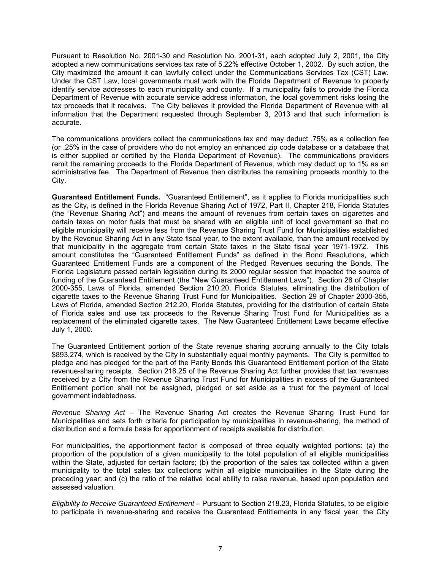Pursuant to Resolution No. 2001-30 and Resolution No. 2001-31, each adopted July 2, 2001, the City adopted a new communications services tax rate of 5.22% effective October 1, 2002. By such action, the City maximized the amount it can lawfully collect under the Communications Services Tax (CST) Law. Under the CST Law, local governments must work with the Florida Department of Revenue to properly identify service addresses to each municipality and county. If a municipality fails to provide the Florida Department of Revenue with accurate service address information, the local government risks losing the tax proceeds that it receives. The City believes it provided the Florida Department of Revenue with all information that the Department requested through September 3, 2013 and that such information is accurate.

The communications providers collect the communications tax and may deduct .75% as a collection fee (or .25% in the case of providers who do not employ an enhanced zip code database or a database that is either supplied or certified by the Florida Department of Revenue). The communications providers remit the remaining proceeds to the Florida Department of Revenue, which may deduct up to 1% as an administrative fee. The Department of Revenue then distributes the remaining proceeds monthly to the City.

**Guaranteed Entitlement Funds.** "Guaranteed Entitlement", as it applies to Florida municipalities such as the City, is defined in the Florida Revenue Sharing Act of 1972, Part II, Chapter 218, Florida Statutes (the "Revenue Sharing Act") and means the amount of revenues from certain taxes on cigarettes and certain taxes on motor fuels that must be shared with an eligible unit of local government so that no eligible municipality will receive less from the Revenue Sharing Trust Fund for Municipalities established by the Revenue Sharing Act in any State fiscal year, to the extent available, than the amount received by that municipality in the aggregate from certain State taxes in the State fiscal year 1971-1972. This amount constitutes the "Guaranteed Entitlement Funds" as defined in the Bond Resolutions, which Guaranteed Entitlement Funds are a component of the Pledged Revenues securing the Bonds. The Florida Legislature passed certain legislation during its 2000 regular session that impacted the source of funding of the Guaranteed Entitlement (the "New Guaranteed Entitlement Laws"). Section 28 of Chapter 2000-355, Laws of Florida, amended Section 210.20, Florida Statutes, eliminating the distribution of cigarette taxes to the Revenue Sharing Trust Fund for Municipalities. Section 29 of Chapter 2000-355, Laws of Florida, amended Section 212.20, Florida Statutes, providing for the distribution of certain State of Florida sales and use tax proceeds to the Revenue Sharing Trust Fund for Municipalities as a replacement of the eliminated cigarette taxes. The New Guaranteed Entitlement Laws became effective July 1, 2000.

The Guaranteed Entitlement portion of the State revenue sharing accruing annually to the City totals \$893,274, which is received by the City in substantially equal monthly payments. The City is permitted to pledge and has pledged for the part of the Parity Bonds this Guaranteed Entitlement portion of the State revenue-sharing receipts. Section 218.25 of the Revenue Sharing Act further provides that tax revenues received by a City from the Revenue Sharing Trust Fund for Municipalities in excess of the Guaranteed Entitlement portion shall not be assigned, pledged or set aside as a trust for the payment of local government indebtedness.

*Revenue Sharing Act* – The Revenue Sharing Act creates the Revenue Sharing Trust Fund for Municipalities and sets forth criteria for participation by municipalities in revenue-sharing, the method of distribution and a formula basis for apportionment of receipts available for distribution.

For municipalities, the apportionment factor is composed of three equally weighted portions: (a) the proportion of the population of a given municipality to the total population of all eligible municipalities within the State, adjusted for certain factors; (b) the proportion of the sales tax collected within a given municipality to the total sales tax collections within all eligible municipalities in the State during the preceding year; and (c) the ratio of the relative local ability to raise revenue, based upon population and assessed valuation.

*Eligibility to Receive Guaranteed Entitlement* – Pursuant to Section 218.23, Florida Statutes, to be eligible to participate in revenue-sharing and receive the Guaranteed Entitlements in any fiscal year, the City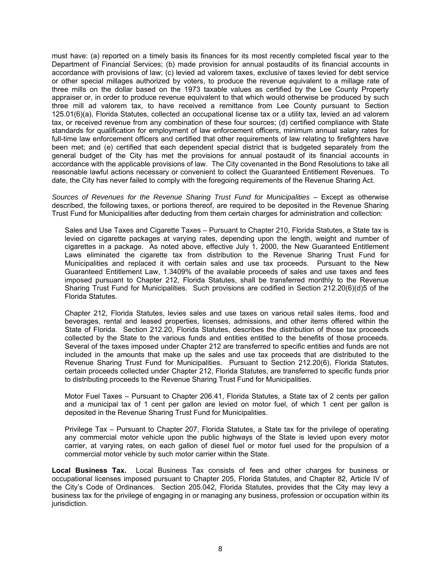must have: (a) reported on a timely basis its finances for its most recently completed fiscal year to the Department of Financial Services; (b) made provision for annual postaudits of its financial accounts in accordance with provisions of law; (c) levied ad valorem taxes, exclusive of taxes levied for debt service or other special millages authorized by voters, to produce the revenue equivalent to a millage rate of three mills on the dollar based on the 1973 taxable values as certified by the Lee County Property appraiser or, in order to produce revenue equivalent to that which would otherwise be produced by such three mill ad valorem tax, to have received a remittance from Lee County pursuant to Section 125.01(6)(a), Florida Statutes, collected an occupational license tax or a utility tax, levied an ad valorem tax, or received revenue from any combination of these four sources; (d) certified compliance with State standards for qualification for employment of law enforcement officers, minimum annual salary rates for full-time law enforcement officers and certified that other requirements of law relating to firefighters have been met; and (e) certified that each dependent special district that is budgeted separately from the general budget of the City has met the provisions for annual postaudit of its financial accounts in accordance with the applicable provisions of law. The City covenanted in the Bond Resolutions to take all reasonable lawful actions necessary or convenient to collect the Guaranteed Entitlement Revenues. To date, the City has never failed to comply with the foregoing requirements of the Revenue Sharing Act.

*Sources of Revenues for the Revenue Sharing Trust Fund for Municipalities* – Except as otherwise described, the following taxes, or portions thereof, are required to be deposited in the Revenue Sharing Trust Fund for Municipalities after deducting from them certain charges for administration and collection:

Sales and Use Taxes and Cigarette Taxes *–* Pursuant to Chapter 210, Florida Statutes, a State tax is levied on cigarette packages at varying rates, depending upon the length, weight and number of cigarettes in a package. As noted above, effective July 1, 2000, the New Guaranteed Entitlement Laws eliminated the cigarette tax from distribution to the Revenue Sharing Trust Fund for Municipalities and replaced it with certain sales and use tax proceeds. Pursuant to the New Guaranteed Entitlement Law, 1.3409% of the available proceeds of sales and use taxes and fees imposed pursuant to Chapter 212, Florida Statutes, shall be transferred monthly to the Revenue Sharing Trust Fund for Municipalities. Such provisions are codified in Section 212.20(6)(d)5 of the Florida Statutes.

Chapter 212, Florida Statutes, levies sales and use taxes on various retail sales items, food and beverages, rental and leased properties, licenses, admissions, and other items offered within the State of Florida. Section 212.20, Florida Statutes, describes the distribution of those tax proceeds collected by the State to the various funds and entities entitled to the benefits of those proceeds. Several of the taxes imposed under Chapter 212 are transferred to specific entities and funds are not included in the amounts that make up the sales and use tax proceeds that are distributed to the Revenue Sharing Trust Fund for Municipalities. Pursuant to Section 212.20(6), Florida Statutes, certain proceeds collected under Chapter 212, Florida Statutes, are transferred to specific funds prior to distributing proceeds to the Revenue Sharing Trust Fund for Municipalities.

Motor Fuel Taxes *–* Pursuant to Chapter 206.41, Florida Statutes, a State tax of 2 cents per gallon and a municipal tax of 1 cent per gallon are levied on motor fuel, of which 1 cent per gallon is deposited in the Revenue Sharing Trust Fund for Municipalities.

Privilege Tax *–* Pursuant to Chapter 207, Florida Statutes, a State tax for the privilege of operating any commercial motor vehicle upon the public highways of the State is levied upon every motor carrier, at varying rates, on each gallon of diesel fuel or motor fuel used for the propulsion of a commercial motor vehicle by such motor carrier within the State.

**Local Business Tax.** Local Business Tax consists of fees and other charges for business or occupational licenses imposed pursuant to Chapter 205, Florida Statutes, and Chapter 82, Article IV of the City's Code of Ordinances. Section 205.042, Florida Statutes, provides that the City may levy a business tax for the privilege of engaging in or managing any business, profession or occupation within its jurisdiction.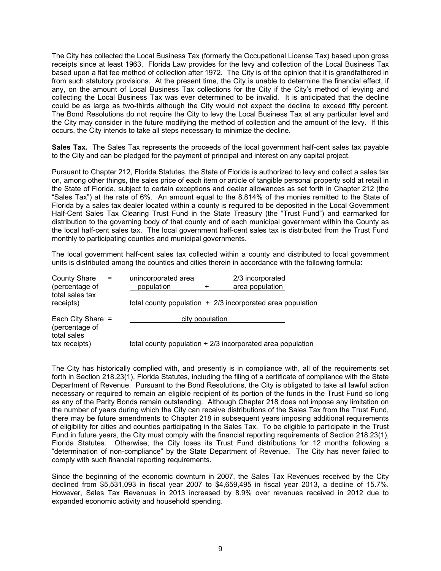The City has collected the Local Business Tax (formerly the Occupational License Tax) based upon gross receipts since at least 1963. Florida Law provides for the levy and collection of the Local Business Tax based upon a flat fee method of collection after 1972. The City is of the opinion that it is grandfathered in from such statutory provisions. At the present time, the City is unable to determine the financial effect, if any, on the amount of Local Business Tax collections for the City if the City's method of levying and collecting the Local Business Tax was ever determined to be invalid. It is anticipated that the decline could be as large as two-thirds although the City would not expect the decline to exceed fifty percent. The Bond Resolutions do not require the City to levy the Local Business Tax at any particular level and the City may consider in the future modifying the method of collection and the amount of the levy. If this occurs, the City intends to take all steps necessary to minimize the decline.

**Sales Tax.** The Sales Tax represents the proceeds of the local government half-cent sales tax payable to the City and can be pledged for the payment of principal and interest on any capital project.

Pursuant to Chapter 212, Florida Statutes, the State of Florida is authorized to levy and collect a sales tax on, among other things, the sales price of each item or article of tangible personal property sold at retail in the State of Florida, subject to certain exceptions and dealer allowances as set forth in Chapter 212 (the "Sales Tax") at the rate of 6%. An amount equal to the 8.814% of the monies remitted to the State of Florida by a sales tax dealer located within a county is required to be deposited in the Local Government Half-Cent Sales Tax Clearing Trust Fund in the State Treasury (the "Trust Fund") and earmarked for distribution to the governing body of that county and of each municipal government within the County as the local half-cent sales tax. The local government half-cent sales tax is distributed from the Trust Fund monthly to participating counties and municipal governments.

The local government half-cent sales tax collected within a county and distributed to local government units is distributed among the counties and cities therein in accordance with the following formula:

| <b>County Share</b><br>$=$<br>(percentage of<br>total sales tax | unincorporated area<br>population | 2/3 incorporated<br>area population                         |
|-----------------------------------------------------------------|-----------------------------------|-------------------------------------------------------------|
| receipts)                                                       |                                   | total county population $+2/3$ incorporated area population |
| Each City Share $=$<br>(percentage of                           | city population                   |                                                             |
| total sales<br>tax receipts)                                    |                                   | total county population $+2/3$ incorporated area population |

The City has historically complied with, and presently is in compliance with, all of the requirements set forth in Section 218.23(1), Florida Statutes, including the filing of a certificate of compliance with the State Department of Revenue. Pursuant to the Bond Resolutions, the City is obligated to take all lawful action necessary or required to remain an eligible recipient of its portion of the funds in the Trust Fund so long as any of the Parity Bonds remain outstanding. Although Chapter 218 does not impose any limitation on the number of years during which the City can receive distributions of the Sales Tax from the Trust Fund, there may be future amendments to Chapter 218 in subsequent years imposing additional requirements of eligibility for cities and counties participating in the Sales Tax. To be eligible to participate in the Trust Fund in future years, the City must comply with the financial reporting requirements of Section 218.23(1), Florida Statutes. Otherwise, the City loses its Trust Fund distributions for 12 months following a "determination of non-compliance" by the State Department of Revenue. The City has never failed to comply with such financial reporting requirements.

Since the beginning of the economic downturn in 2007, the Sales Tax Revenues received by the City declined from \$5,531,093 in fiscal year 2007 to \$4,659,495 in fiscal year 2013, a decline of 15.7%. However, Sales Tax Revenues in 2013 increased by 8.9% over revenues received in 2012 due to expanded economic activity and household spending.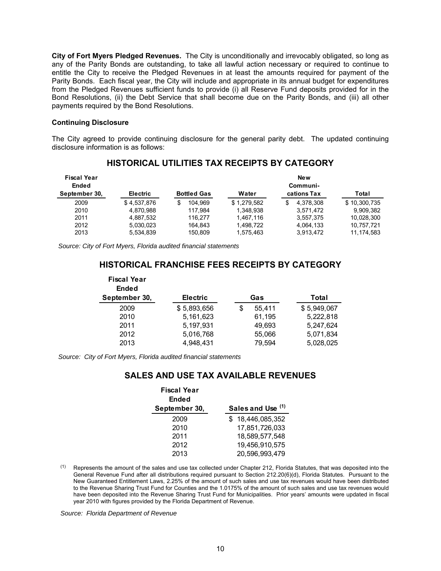**City of Fort Myers Pledged Revenues.** The City is unconditionally and irrevocably obligated, so long as any of the Parity Bonds are outstanding, to take all lawful action necessary or required to continue to entitle the City to receive the Pledged Revenues in at least the amounts required for payment of the Parity Bonds. Each fiscal year, the City will include and appropriate in its annual budget for expenditures from the Pledged Revenues sufficient funds to provide (i) all Reserve Fund deposits provided for in the Bond Resolutions, (ii) the Debt Service that shall become due on the Parity Bonds, and (iii) all other payments required by the Bond Resolutions.

#### **Continuing Disclosure**

The City agreed to provide continuing disclosure for the general parity debt. The updated continuing disclosure information is as follows:

| <b>Fiscal Year</b><br><b>Ended</b><br>September 30, | <b>Electric</b> | <b>Bottled Gas</b> | <b>New</b><br>Communi-<br>Water<br>cations Tax<br>Total |                 |              |  |
|-----------------------------------------------------|-----------------|--------------------|---------------------------------------------------------|-----------------|--------------|--|
|                                                     |                 |                    |                                                         |                 |              |  |
| 2009                                                | \$4,537,876     | 104.969            | \$1.279.582                                             | 4.378.308<br>\$ | \$10,300,735 |  |
| 2010                                                | 4.870.988       | 117.984            | 1.348.938                                               | 3.571.472       | 9.909.382    |  |
| 2011                                                | 4.887.532       | 116.277            | 1.467.116                                               | 3.557.375       | 10.028.300   |  |
| 2012                                                | 5.030.023       | 164.843            | 1.498.722                                               | 4,064,133       | 10.757.721   |  |
| 2013                                                | 5.534.839       | 150.809            | 1.575.463                                               | 3.913.472       | 11, 174, 583 |  |

## **HISTORICAL UTILITIES TAX RECEIPTS BY CATEGORY**

*Source: City of Fort Myers, Florida audited financial statements* 

# **HISTORICAL FRANCHISE FEES RECEIPTS BY CATEGORY**

| <b>Fiscal Year</b><br><b>Ended</b><br>September 30, | <b>Electric</b> | Gas          | Total       |
|-----------------------------------------------------|-----------------|--------------|-------------|
| 2009                                                | \$5,893,656     | 55.411<br>\$ | \$5,949,067 |
| 2010                                                | 5,161,623       | 61,195       | 5,222,818   |
| 2011                                                | 5,197,931       | 49,693       | 5,247,624   |
| 2012                                                | 5,016,768       | 55,066       | 5,071,834   |
| 2013                                                | 4,948,431       | 79,594       | 5,028,025   |

*Source: City of Fort Myers, Florida audited financial statements*

## **SALES AND USE TAX AVAILABLE REVENUES**

| <b>Fiscal Year</b><br>Ended<br>September 30, | Sales and Use (1) |
|----------------------------------------------|-------------------|
| 2009                                         | 18.446.085.352    |
| 2010                                         | 17,851,726,033    |
| 2011                                         | 18,589,577,548    |
| 2012                                         | 19,456,910,575    |
| 2013                                         | 20,596,993,479    |

(1) Represents the amount of the sales and use tax collected under Chapter 212, Florida Statutes, that was deposited into the General Revenue Fund after all distributions required pursuant to Section 212.20(6)(d), Florida Statutes. Pursuant to the New Guaranteed Entitlement Laws, 2.25% of the amount of such sales and use tax revenues would have been distributed to the Revenue Sharing Trust Fund for Counties and the 1.0175% of the amount of such sales and use tax revenues would have been deposited into the Revenue Sharing Trust Fund for Municipalities. Prior years' amounts were updated in fiscal year 2010 with figures provided by the Florida Department of Revenue.

*Source: Florida Department of Revenue*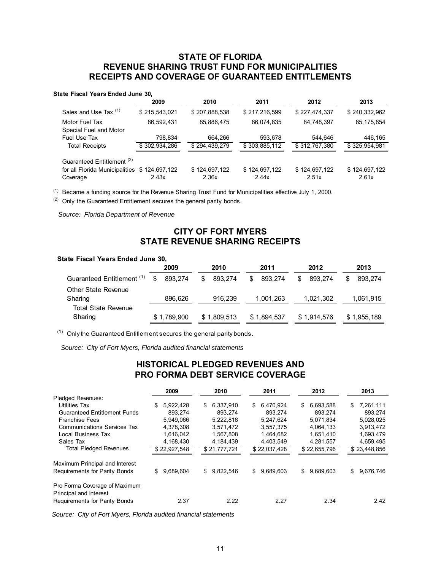# **STATE OF FLORIDA REVENUE SHARING TRUST FUND FOR MUNICIPALITIES RECEIPTS AND COVERAGE OF GUARANTEED ENTITLEMENTS**

| State Fiscal Years Ended June 30,            |               |               |               |               |               |
|----------------------------------------------|---------------|---------------|---------------|---------------|---------------|
|                                              | 2009          | 2010          | 2011          | 2012          | 2013          |
| Sales and Use Tax (1)                        | \$215,543,021 | \$207,888,538 | \$217,216,599 | \$227,474,337 | \$240,332,962 |
| Motor Fuel Tax<br>Special Fuel and Motor     | 86,592,431    | 85,886,475    | 86,074,835    | 84,748,397    | 85, 175, 854  |
| Fuel Use Tax                                 | 798,834       | 664.266       | 593,678       | 544,646       | 446,165       |
| <b>Total Receipts</b>                        | \$302,934,286 | \$294,439,279 | \$303,885,112 | \$312,767,380 | \$325,954,981 |
| Guaranteed Entitlement <sup>(2)</sup>        |               |               |               |               |               |
| for all Florida Municipalities \$124,697,122 |               | \$124,697,122 | \$124,697,122 | \$124,697,122 | \$124,697,122 |
| Coverage                                     | 2.43x         | 2.36x         | 2.44x         | 2.51x         | 2.61x         |

(1) Became a funding source for the Revenue Sharing Trust Fund for Municipalities effective July 1, 2000.

 $(2)$  Only the Guaranteed Entitlement secures the general parity bonds.

 *Source: Florida Department of Revenue*

# **CITY OF FORT MYERS STATE REVENUE SHARING RECEIPTS**

#### **State Fiscal Years Ended June 30,**

|                                       | 2009          | 2010         | 2011          | 2012           | 2013         |
|---------------------------------------|---------------|--------------|---------------|----------------|--------------|
| Guaranteed Entitlement <sup>(1)</sup> | 893.274<br>\$ | 893.274<br>S | 893.274<br>S. | 893.274<br>\$. | 893.274<br>S |
| <b>Other State Revenue</b><br>Sharing | 896,626       | 916,239      | 1,001,263     | 1,021,302      | 1,061,915    |
| <b>Total State Revenue</b><br>Sharing | \$1,789,900   | \$1,809,513  | \$1,894,537   | \$1,914,576    | \$1,955,189  |

 $(1)$  Only the Guaranteed Entitlement secures the general parity bonds.

*Source: City of Fort Myers, Florida audited financial statements* 

## **HISTORICAL PLEDGED REVENUES AND PRO FORMA DEBT SERVICE COVERAGE**

|                                                         | 2009            | 2010            | 2011            | 2012            | 2013            |
|---------------------------------------------------------|-----------------|-----------------|-----------------|-----------------|-----------------|
| <b>Pledged Revenues:</b>                                |                 |                 |                 |                 |                 |
| <b>Utilities Tax</b>                                    | 5,922,428<br>\$ | 6.337.910<br>\$ | 6.470.924<br>\$ | 6.693.588<br>\$ | 7,261,111<br>\$ |
| <b>Guaranteed Entitlement Funds</b>                     | 893.274         | 893.274         | 893.274         | 893.274         | 893,274         |
| <b>Franchise Fees</b>                                   | 5,949,066       | 5,222,818       | 5,247,624       | 5,071,834       | 5,028,025       |
| <b>Communications Services Tax</b>                      | 4,378,308       | 3,571,472       | 3,557,375       | 4,064,133       | 3,913,472       |
| <b>Local Business Tax</b>                               | 1,616,042       | 1,567,808       | 1,464,682       | 1,651,410       | 1,693,479       |
| Sales Tax                                               | 4,168,430       | 4,184,439       | 4,403,549       | 4,281,557       | 4,659,495       |
| <b>Total Pledged Revenues</b>                           | \$22,927,548    | \$21,777,721    | \$22,037,428    | \$22,655,796    | \$23,448,856    |
| Maximum Principal and Interest                          |                 |                 |                 |                 |                 |
| Requirements for Parity Bonds                           | 9,689,604<br>\$ | 9,822,546<br>S. | 9,689,603<br>S. | 9,689,603<br>\$ | 9,676,746<br>\$ |
| Pro Forma Coverage of Maximum<br>Principal and Interest |                 |                 |                 |                 |                 |
| Requirements for Parity Bonds                           | 2.37            | 2.22            | 2.27            | 2.34            | 2.42            |

*Source: City of Fort Myers, Florida audited financial statements*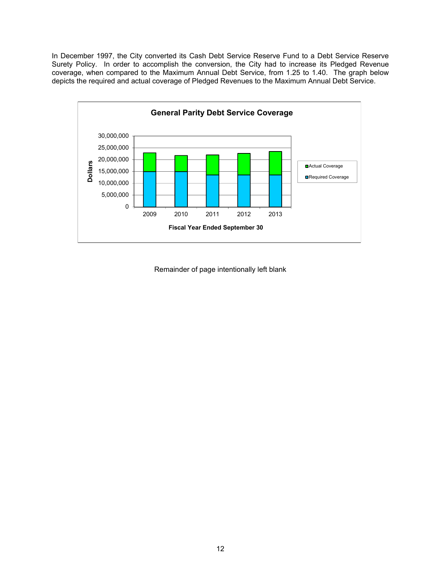In December 1997, the City converted its Cash Debt Service Reserve Fund to a Debt Service Reserve Surety Policy. In order to accomplish the conversion, the City had to increase its Pledged Revenue coverage, when compared to the Maximum Annual Debt Service, from 1.25 to 1.40. The graph below depicts the required and actual coverage of Pledged Revenues to the Maximum Annual Debt Service.



Remainder of page intentionally left blank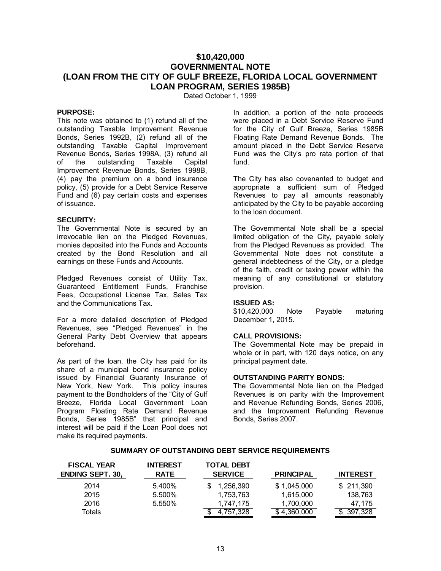# **\$10,420,000 GOVERNMENTAL NOTE (LOAN FROM THE CITY OF GULF BREEZE, FLORIDA LOCAL GOVERNMENT LOAN PROGRAM, SERIES 1985B)**

Dated October 1, 1999

#### **PURPOSE:**

This note was obtained to (1) refund all of the outstanding Taxable Improvement Revenue Bonds, Series 1992B, (2) refund all of the outstanding Taxable Capital Improvement Revenue Bonds, Series 1998A, (3) refund all of the outstanding Taxable Capital Improvement Revenue Bonds, Series 1998B, (4) pay the premium on a bond insurance policy, (5) provide for a Debt Service Reserve Fund and (6) pay certain costs and expenses of issuance.

#### **SECURITY:**

The Governmental Note is secured by an irrevocable lien on the Pledged Revenues, monies deposited into the Funds and Accounts created by the Bond Resolution and all earnings on these Funds and Accounts.

Pledged Revenues consist of Utility Tax, Guaranteed Entitlement Funds, Franchise Fees, Occupational License Tax, Sales Tax and the Communications Tax.

For a more detailed description of Pledged Revenues, see "Pledged Revenues" in the General Parity Debt Overview that appears beforehand.

As part of the loan, the City has paid for its share of a municipal bond insurance policy issued by Financial Guaranty Insurance of New York, New York. This policy insures payment to the Bondholders of the "City of Gulf Breeze, Florida Local Government Loan Program Floating Rate Demand Revenue Bonds, Series 1985B" that principal and interest will be paid if the Loan Pool does not make its required payments.

In addition, a portion of the note proceeds were placed in a Debt Service Reserve Fund for the City of Gulf Breeze, Series 1985B Floating Rate Demand Revenue Bonds. The amount placed in the Debt Service Reserve Fund was the City's pro rata portion of that fund.

The City has also covenanted to budget and appropriate a sufficient sum of Pledged Revenues to pay all amounts reasonably anticipated by the City to be payable according to the loan document.

The Governmental Note shall be a special limited obligation of the City, payable solely from the Pledged Revenues as provided. The Governmental Note does not constitute a general indebtedness of the City, or a pledge of the faith, credit or taxing power within the meaning of any constitutional or statutory provision.

#### **ISSUED AS:**

\$10,420,000 Note Payable maturing December 1, 2015.

#### **CALL PROVISIONS:**

The Governmental Note may be prepaid in whole or in part, with 120 days notice, on any principal payment date.

#### **OUTSTANDING PARITY BONDS:**

The Governmental Note lien on the Pledged Revenues is on parity with the Improvement and Revenue Refunding Bonds, Series 2006, and the Improvement Refunding Revenue Bonds, Series 2007.

#### **SUMMARY OF OUTSTANDING DEBT SERVICE REQUIREMENTS**

| <b>SUMMARY OF OUTSTANDING DEBT SERVICE REQUIREMENTS</b> |                                |                                     |                        |                   |
|---------------------------------------------------------|--------------------------------|-------------------------------------|------------------------|-------------------|
| <b>FISCAL YEAR</b><br><b>ENDING SEPT. 30,</b>           | <b>INTEREST</b><br><b>RATE</b> | <b>TOTAL DEBT</b><br><b>SERVICE</b> | <b>PRINCIPAL</b>       | <b>INTEREST</b>   |
| 2014                                                    | 5.400%                         | 1.256.390<br>S                      | \$1,045,000            | \$ 211.390        |
| 2015<br>2016                                            | 5.500%<br>5.550%               | 1,753,763<br>1,747,175              | 1,615,000<br>1,700,000 | 138,763<br>47,175 |
| Totals                                                  |                                | 4,757,328                           | 4,360,000              | 397,328           |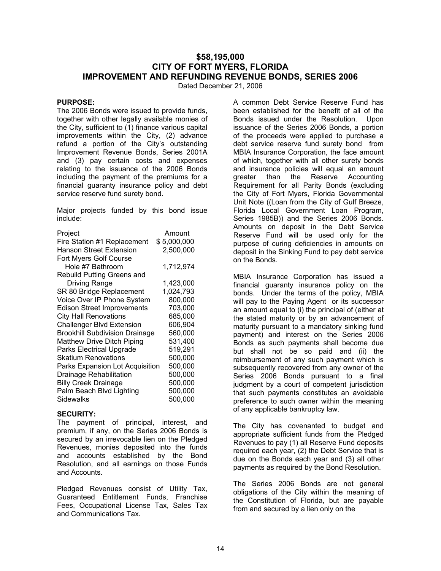## **\$58,195,000 CITY OF FORT MYERS, FLORIDA IMPROVEMENT AND REFUNDING REVENUE BONDS, SERIES 2006**

Dated December 21, 2006

### **PURPOSE:**

The 2006 Bonds were issued to provide funds, together with other legally available monies of the City, sufficient to (1) finance various capital improvements within the City, (2) advance refund a portion of the City's outstanding Improvement Revenue Bonds, Series 2001A and (3) pay certain costs and expenses relating to the issuance of the 2006 Bonds including the payment of the premiums for a financial guaranty insurance policy and debt service reserve fund surety bond.

Major projects funded by this bond issue include:

| Project                               | Amount      |
|---------------------------------------|-------------|
| Fire Station #1 Replacement           | \$5,000,000 |
| <b>Hanson Street Extension</b>        | 2,500,000   |
| <b>Fort Myers Golf Course</b>         |             |
| Hole #7 Bathroom                      | 1,712,974   |
| <b>Rebuild Putting Greens and</b>     |             |
| Driving Range                         | 1,423,000   |
| SR 80 Bridge Replacement              | 1,024,793   |
| Voice Over IP Phone System            | 800,000     |
| <b>Edison Street Improvements</b>     | 703,000     |
| <b>City Hall Renovations</b>          | 685,000     |
| <b>Challenger Blvd Extension</b>      | 606,904     |
| <b>Brookhill Subdivision Drainage</b> | 560,000     |
| Matthew Drive Ditch Piping            | 531,400     |
| <b>Parks Electrical Upgrade</b>       | 519,291     |
| <b>Skatium Renovations</b>            | 500,000     |
| Parks Expansion Lot Acquisition       | 500,000     |
| Drainage Rehabilitation               | 500,000     |
| <b>Billy Creek Drainage</b>           | 500,000     |
| Palm Beach Blvd Lighting              | 500,000     |
| <b>Sidewalks</b>                      | 500,000     |

#### **SECURITY:**

The payment of principal, interest, and premium, if any, on the Series 2006 Bonds is secured by an irrevocable lien on the Pledged Revenues, monies deposited into the funds and accounts established by the Bond Resolution, and all earnings on those Funds and Accounts.

Pledged Revenues consist of Utility Tax, Guaranteed Entitlement Funds, Franchise Fees, Occupational License Tax, Sales Tax and Communications Tax.

A common Debt Service Reserve Fund has been established for the benefit of all of the Bonds issued under the Resolution. Upon issuance of the Series 2006 Bonds, a portion of the proceeds were applied to purchase a debt service reserve fund surety bond from MBIA Insurance Corporation, the face amount of which, together with all other surety bonds and insurance policies will equal an amount greater than the Reserve Accounting Requirement for all Parity Bonds (excluding the City of Fort Myers, Florida Governmental Unit Note ((Loan from the City of Gulf Breeze, Florida Local Government Loan Program, Series 1985B)) and the Series 2006 Bonds. Amounts on deposit in the Debt Service Reserve Fund will be used only for the purpose of curing deficiencies in amounts on deposit in the Sinking Fund to pay debt service on the Bonds.

MBIA Insurance Corporation has issued a financial guaranty insurance policy on the bonds. Under the terms of the policy, MBIA will pay to the Paying Agent or its successor an amount equal to (i) the principal of (either at the stated maturity or by an advancement of maturity pursuant to a mandatory sinking fund payment) and interest on the Series 2006 Bonds as such payments shall become due but shall not be so paid and (ii) the reimbursement of any such payment which is subsequently recovered from any owner of the Series 2006 Bonds pursuant to a final judgment by a court of competent jurisdiction that such payments constitutes an avoidable preference to such owner within the meaning of any applicable bankruptcy law.

The City has covenanted to budget and appropriate sufficient funds from the Pledged Revenues to pay (1) all Reserve Fund deposits required each year, (2) the Debt Service that is due on the Bonds each year and (3) all other payments as required by the Bond Resolution.

The Series 2006 Bonds are not general obligations of the City within the meaning of the Constitution of Florida, but are payable from and secured by a lien only on the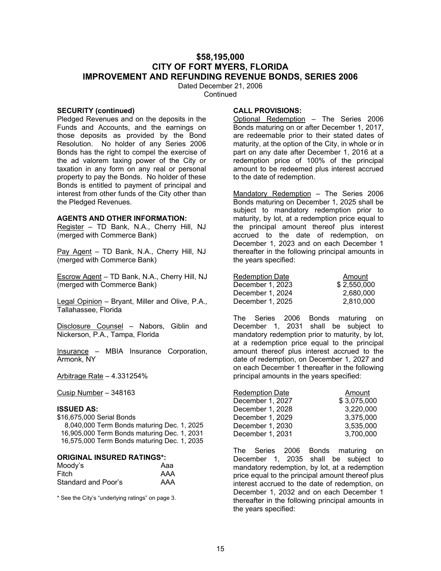### **\$58,195,000 CITY OF FORT MYERS, FLORIDA IMPROVEMENT AND REFUNDING REVENUE BONDS, SERIES 2006**

Dated December 21, 2006 **Continued** 

#### **SECURITY (continued)**

Pledged Revenues and on the deposits in the Funds and Accounts, and the earnings on those deposits as provided by the Bond Resolution. No holder of any Series 2006 Bonds has the right to compel the exercise of the ad valorem taxing power of the City or taxation in any form on any real or personal property to pay the Bonds. No holder of these Bonds is entitled to payment of principal and interest from other funds of the City other than the Pledged Revenues.

#### **AGENTS AND OTHER INFORMATION:**

Register – TD Bank, N.A., Cherry Hill, NJ (merged with Commerce Bank)

Pay Agent - TD Bank, N.A., Cherry Hill, NJ (merged with Commerce Bank)

Escrow Agent – TD Bank, N.A., Cherry Hill, NJ (merged with Commerce Bank)

Legal Opinion – Bryant, Miller and Olive, P.A., Tallahassee, Florida

Disclosure Counsel – Nabors, Giblin and Nickerson, P.A., Tampa, Florida

Insurance – MBIA Insurance Corporation, Armonk, NY

Arbitrage Rate – 4.331254%

Cusip Number – 348163

#### **ISSUED AS:**

\$16,675,000 Serial Bonds 8,040,000 Term Bonds maturing Dec. 1, 2025 16,905,000 Term Bonds maturing Dec. 1, 2031 16,575,000 Term Bonds maturing Dec. 1, 2035

#### **ORIGINAL INSURED RATINGS\*:**

| Moody's             | Aaa |
|---------------------|-----|
| Fitch               | AAA |
| Standard and Poor's | AAA |

\* See the City's "underlying ratings" on page 3.

#### **CALL PROVISIONS:**

Optional Redemption – The Series 2006 Bonds maturing on or after December 1, 2017, are redeemable prior to their stated dates of maturity, at the option of the City, in whole or in part on any date after December 1, 2016 at a redemption price of 100% of the principal amount to be redeemed plus interest accrued to the date of redemption.

Mandatory Redemption – The Series 2006 Bonds maturing on December 1, 2025 shall be subject to mandatory redemption prior to maturity, by lot, at a redemption price equal to the principal amount thereof plus interest accrued to the date of redemption, on December 1, 2023 and on each December 1 thereafter in the following principal amounts in the years specified:

| <b>Redemption Date</b> | Amount      |
|------------------------|-------------|
| December 1, 2023       | \$2.550,000 |
| December 1, 2024       | 2.680.000   |
| December 1, 2025       | 2.810.000   |

The Series 2006 Bonds maturing on December 1, 2031 shall be subject to mandatory redemption prior to maturity, by lot, at a redemption price equal to the principal amount thereof plus interest accrued to the date of redemption, on December 1, 2027 and on each December 1 thereafter in the following principal amounts in the years specified:

| <b>Redemption Date</b> | Amount      |
|------------------------|-------------|
| December 1, 2027       | \$3,075,000 |
| December 1, 2028       | 3,220,000   |
| December 1, 2029       | 3,375,000   |
| December 1, 2030       | 3,535,000   |
| December 1, 2031       | 3,700,000   |

The Series 2006 Bonds maturing on December 1, 2035 shall be subject to mandatory redemption, by lot, at a redemption price equal to the principal amount thereof plus interest accrued to the date of redemption, on December 1, 2032 and on each December 1 thereafter in the following principal amounts in the years specified: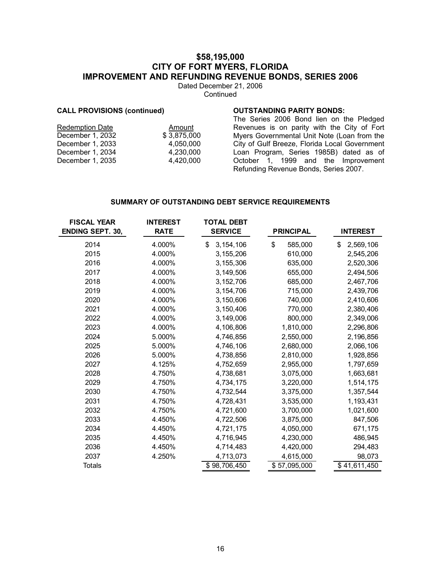# **\$58,195,000 CITY OF FORT MYERS, FLORIDA IMPROVEMENT AND REFUNDING REVENUE BONDS, SERIES 2006**

Dated December 21, 2006 **Continued** 

#### **CALL PROVISIONS (continued)**

#### **OUTSTANDING PARITY BONDS:**

| <b>Redemption Date</b> | Amount      |
|------------------------|-------------|
| December 1, 2032       | \$3.875.000 |
| December 1, 2033       | 4,050,000   |
| December 1, 2034       | 4,230,000   |
| December 1, 2035       | 4,420,000   |
|                        |             |

The Series 2006 Bond lien on the Pledged Revenues is on parity with the City of Fort Myers Governmental Unit Note (Loan from the City of Gulf Breeze, Florida Local Government Loan Program, Series 1985B) dated as of October 1, 1999 and the Improvement Refunding Revenue Bonds, Series 2007.

#### **SUMMARY OF OUTSTANDING DEBT SERVICE REQUIREMENTS**

| <b>FISCAL YEAR</b>      | <b>INTEREST</b> | <b>TOTAL DEBT</b> |                  |                 |
|-------------------------|-----------------|-------------------|------------------|-----------------|
| <b>ENDING SEPT. 30,</b> | <b>RATE</b>     | <b>SERVICE</b>    | <b>PRINCIPAL</b> | <b>INTEREST</b> |
| 2014                    | 4.000%          | \$<br>3, 154, 106 | \$<br>585,000    | \$<br>2,569,106 |
| 2015                    | 4.000%          | 3,155,206         | 610,000          | 2,545,206       |
| 2016                    | 4.000%          | 3,155,306         | 635,000          | 2,520,306       |
| 2017                    | 4.000%          | 3,149,506         | 655,000          | 2,494,506       |
| 2018                    | 4.000%          | 3, 152, 706       | 685,000          | 2,467,706       |
| 2019                    | 4.000%          | 3,154,706         | 715,000          | 2,439,706       |
| 2020                    | 4.000%          | 3,150,606         | 740,000          | 2,410,606       |
| 2021                    | 4.000%          | 3,150,406         | 770,000          | 2,380,406       |
| 2022                    | 4.000%          | 3,149,006         | 800,000          | 2,349,006       |
| 2023                    | 4.000%          | 4,106,806         | 1,810,000        | 2,296,806       |
| 2024                    | 5.000%          | 4,746,856         | 2,550,000        | 2,196,856       |
| 2025                    | 5.000%          | 4,746,106         | 2,680,000        | 2,066,106       |
| 2026                    | 5.000%          | 4,738,856         | 2,810,000        | 1,928,856       |
| 2027                    | 4.125%          | 4,752,659         | 2,955,000        | 1,797,659       |
| 2028                    | 4.750%          | 4,738,681         | 3,075,000        | 1,663,681       |
| 2029                    | 4.750%          | 4,734,175         | 3,220,000        | 1,514,175       |
| 2030                    | 4.750%          | 4,732,544         | 3,375,000        | 1,357,544       |
| 2031                    | 4.750%          | 4,728,431         | 3,535,000        | 1,193,431       |
| 2032                    | 4.750%          | 4,721,600         | 3,700,000        | 1,021,600       |
| 2033                    | 4.450%          | 4,722,506         | 3,875,000        | 847,506         |
| 2034                    | 4.450%          | 4,721,175         | 4,050,000        | 671,175         |
| 2035                    | 4.450%          | 4,716,945         | 4,230,000        | 486,945         |
| 2036                    | 4.450%          | 4,714,483         | 4,420,000        | 294,483         |
| 2037                    | 4.250%          | 4,713,073         | 4,615,000        | 98,073          |
| <b>Totals</b>           |                 | \$98,706,450      | \$57,095,000     | \$41,611,450    |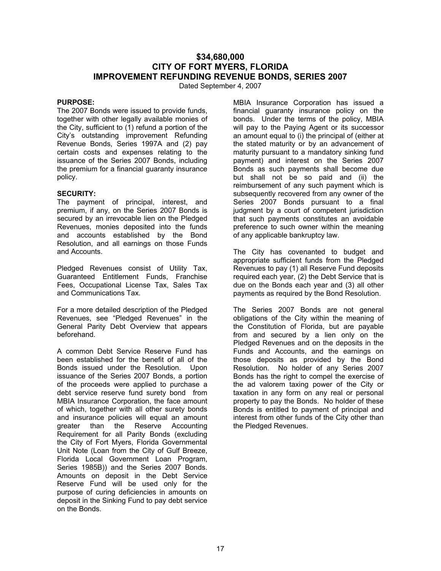# **\$34,680,000 CITY OF FORT MYERS, FLORIDA IMPROVEMENT REFUNDING REVENUE BONDS, SERIES 2007**

Dated September 4, 2007

#### **PURPOSE:**

The 2007 Bonds were issued to provide funds, together with other legally available monies of the City, sufficient to (1) refund a portion of the City's outstanding improvement Refunding Revenue Bonds, Series 1997A and (2) pay certain costs and expenses relating to the issuance of the Series 2007 Bonds, including the premium for a financial guaranty insurance policy.

#### **SECURITY:**

The payment of principal, interest, and premium, if any, on the Series 2007 Bonds is secured by an irrevocable lien on the Pledged Revenues, monies deposited into the funds and accounts established by the Bond Resolution, and all earnings on those Funds and Accounts.

Pledged Revenues consist of Utility Tax, Guaranteed Entitlement Funds, Franchise Fees, Occupational License Tax, Sales Tax and Communications Tax.

For a more detailed description of the Pledged Revenues, see "Pledged Revenues" in the General Parity Debt Overview that appears beforehand.

A common Debt Service Reserve Fund has been established for the benefit of all of the Bonds issued under the Resolution. Upon issuance of the Series 2007 Bonds, a portion of the proceeds were applied to purchase a debt service reserve fund surety bond from MBIA Insurance Corporation, the face amount of which, together with all other surety bonds and insurance policies will equal an amount greater than the Reserve Accounting Requirement for all Parity Bonds (excluding the City of Fort Myers, Florida Governmental Unit Note (Loan from the City of Gulf Breeze, Florida Local Government Loan Program, Series 1985B)) and the Series 2007 Bonds. Amounts on deposit in the Debt Service Reserve Fund will be used only for the purpose of curing deficiencies in amounts on deposit in the Sinking Fund to pay debt service on the Bonds.

MBIA Insurance Corporation has issued a financial guaranty insurance policy on the bonds. Under the terms of the policy, MBIA will pay to the Paying Agent or its successor an amount equal to (i) the principal of (either at the stated maturity or by an advancement of maturity pursuant to a mandatory sinking fund payment) and interest on the Series 2007 Bonds as such payments shall become due but shall not be so paid and (ii) the reimbursement of any such payment which is subsequently recovered from any owner of the Series 2007 Bonds pursuant to a final judgment by a court of competent jurisdiction that such payments constitutes an avoidable preference to such owner within the meaning of any applicable bankruptcy law.

The City has covenanted to budget and appropriate sufficient funds from the Pledged Revenues to pay (1) all Reserve Fund deposits required each year, (2) the Debt Service that is due on the Bonds each year and (3) all other payments as required by the Bond Resolution.

The Series 2007 Bonds are not general obligations of the City within the meaning of the Constitution of Florida, but are payable from and secured by a lien only on the Pledged Revenues and on the deposits in the Funds and Accounts, and the earnings on those deposits as provided by the Bond Resolution. No holder of any Series 2007 Bonds has the right to compel the exercise of the ad valorem taxing power of the City or taxation in any form on any real or personal property to pay the Bonds. No holder of these Bonds is entitled to payment of principal and interest from other funds of the City other than the Pledged Revenues.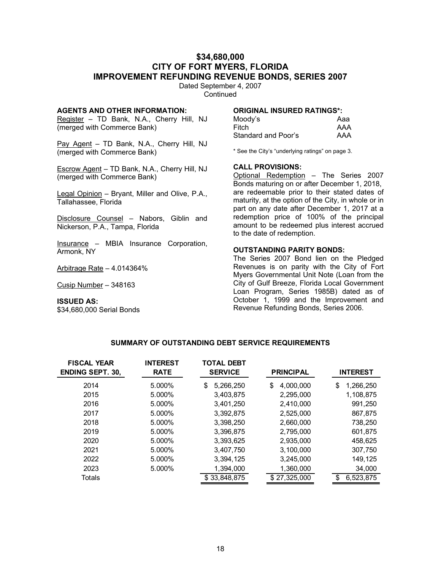## **\$34,680,000 CITY OF FORT MYERS, FLORIDA IMPROVEMENT REFUNDING REVENUE BONDS, SERIES 2007**

Dated September 4, 2007 **Continued** 

### **AGENTS AND OTHER INFORMATION:**

Register - TD Bank, N.A., Cherry Hill, NJ (merged with Commerce Bank)

Pay Agent – TD Bank, N.A., Cherry Hill, NJ (merged with Commerce Bank)

Escrow Agent – TD Bank, N.A., Cherry Hill, NJ (merged with Commerce Bank)

Legal Opinion – Bryant, Miller and Olive, P.A., Tallahassee, Florida

Disclosure Counsel – Nabors, Giblin and Nickerson, P.A., Tampa, Florida

Insurance – MBIA Insurance Corporation, Armonk, NY

Arbitrage Rate – 4.014364%

Cusip Number – 348163

**ISSUED AS:** \$34,680,000 Serial Bonds

#### **ORIGINAL INSURED RATINGS\*:**

| Moody's             | Aaa |
|---------------------|-----|
| Fitch               | AAA |
| Standard and Poor's | AAA |

\* See the City's "underlying ratings" on page 3.

#### **CALL PROVISIONS:**

Optional Redemption – The Series 2007 Bonds maturing on or after December 1, 2018, are redeemable prior to their stated dates of maturity, at the option of the City, in whole or in part on any date after December 1, 2017 at a redemption price of 100% of the principal amount to be redeemed plus interest accrued to the date of redemption.

#### **OUTSTANDING PARITY BONDS:**

The Series 2007 Bond lien on the Pledged Revenues is on parity with the City of Fort Myers Governmental Unit Note (Loan from the City of Gulf Breeze, Florida Local Government Loan Program, Series 1985B) dated as of October 1, 1999 and the Improvement and Revenue Refunding Bonds, Series 2006.

#### **SUMMARY OF OUTSTANDING DEBT SERVICE REQUIREMENTS**

| <b>FISCAL YEAR</b><br><b>ENDING SEPT. 30,</b> | <b>INTEREST</b><br><b>RATE</b> | <b>TOTAL DEBT</b><br><b>SERVICE</b> | <b>PRINCIPAL</b> | <b>INTEREST</b>  |
|-----------------------------------------------|--------------------------------|-------------------------------------|------------------|------------------|
| 2014                                          | 5.000%                         | 5,266,250<br>\$                     | 4,000,000<br>\$  | 1,266,250<br>\$  |
| 2015                                          | 5.000%                         | 3,403,875                           | 2,295,000        | 1,108,875        |
| 2016                                          | 5.000%                         | 3,401,250                           | 2,410,000        | 991,250          |
| 2017                                          | 5.000%                         | 3,392,875                           | 2,525,000        | 867,875          |
| 2018                                          | 5.000%                         | 3.398.250                           | 2.660.000        | 738,250          |
| 2019                                          | 5.000%                         | 3,396,875                           | 2,795,000        | 601,875          |
| 2020                                          | 5.000%                         | 3,393,625                           | 2,935,000        | 458,625          |
| 2021                                          | 5.000%                         | 3,407,750                           | 3,100,000        | 307,750          |
| 2022                                          | 5.000%                         | 3,394,125                           | 3,245,000        | 149,125          |
| 2023                                          | 5.000%                         | 1,394,000                           | 1,360,000        | 34,000           |
| Totals                                        |                                | \$33,848,875                        | \$27,325,000     | 6,523,875<br>\$. |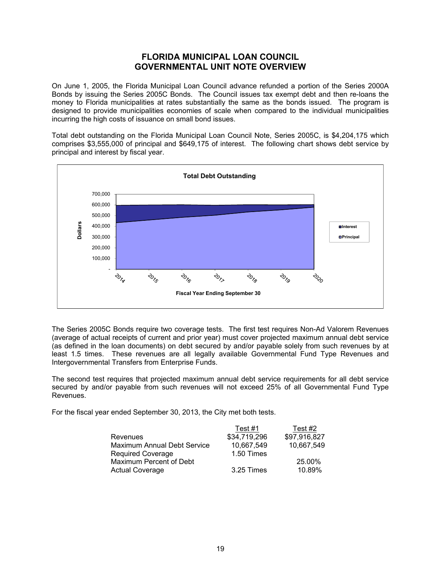# **FLORIDA MUNICIPAL LOAN COUNCIL GOVERNMENTAL UNIT NOTE OVERVIEW**

On June 1, 2005, the Florida Municipal Loan Council advance refunded a portion of the Series 2000A Bonds by issuing the Series 2005C Bonds. The Council issues tax exempt debt and then re-loans the money to Florida municipalities at rates substantially the same as the bonds issued. The program is designed to provide municipalities economies of scale when compared to the individual municipalities incurring the high costs of issuance on small bond issues.

Total debt outstanding on the Florida Municipal Loan Council Note, Series 2005C, is \$4,204,175 which comprises \$3,555,000 of principal and \$649,175 of interest. The following chart shows debt service by principal and interest by fiscal year.



The Series 2005C Bonds require two coverage tests. The first test requires Non-Ad Valorem Revenues (average of actual receipts of current and prior year) must cover projected maximum annual debt service (as defined in the loan documents) on debt secured by and/or payable solely from such revenues by at least 1.5 times. These revenues are all legally available Governmental Fund Type Revenues and Intergovernmental Transfers from Enterprise Funds.

The second test requires that projected maximum annual debt service requirements for all debt service secured by and/or payable from such revenues will not exceed 25% of all Governmental Fund Type Revenues.

For the fiscal year ended September 30, 2013, the City met both tests.

|                             | Test #1      | Test #2      |
|-----------------------------|--------------|--------------|
| Revenues                    | \$34,719,296 | \$97,916,827 |
| Maximum Annual Debt Service | 10,667,549   | 10,667,549   |
| <b>Required Coverage</b>    | 1.50 Times   |              |
| Maximum Percent of Debt     |              | 25.00%       |
| <b>Actual Coverage</b>      | 3.25 Times   | 10.89%       |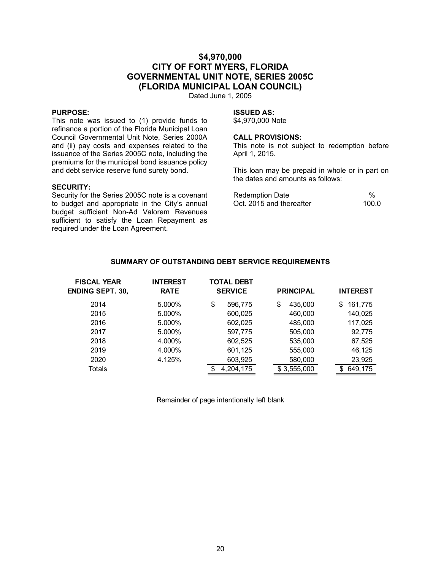# **\$4,970,000 CITY OF FORT MYERS, FLORIDA GOVERNMENTAL UNIT NOTE, SERIES 2005C (FLORIDA MUNICIPAL LOAN COUNCIL)**

Dated June 1, 2005

#### **PURPOSE:**

This note was issued to (1) provide funds to refinance a portion of the Florida Municipal Loan Council Governmental Unit Note, Series 2000A and (ii) pay costs and expenses related to the issuance of the Series 2005C note, including the premiums for the municipal bond issuance policy and debt service reserve fund surety bond.

#### **SECURITY:**

Security for the Series 2005C note is a covenant to budget and appropriate in the City's annual budget sufficient Non-Ad Valorem Revenues sufficient to satisfy the Loan Repayment as required under the Loan Agreement.

#### **ISSUED AS:**

\$4,970,000 Note

#### **CALL PROVISIONS:**

This note is not subject to redemption before April 1, 2015.

This loan may be prepaid in whole or in part on the dates and amounts as follows:

| Redemption Date          | %     |
|--------------------------|-------|
| Oct. 2015 and thereafter | 100.0 |

| <b>FISCAL YEAR</b><br><b>ENDING SEPT. 30,</b> | <b>INTEREST</b><br><b>RATE</b> | <b>TOTAL DEBT</b><br><b>SERVICE</b> |           | <b>PRINCIPAL</b> |             | <b>INTEREST</b> |  |
|-----------------------------------------------|--------------------------------|-------------------------------------|-----------|------------------|-------------|-----------------|--|
| 2014                                          | 5.000%                         | \$                                  | 596,775   | \$               | 435,000     | 161,775<br>\$   |  |
| 2015                                          | 5.000%                         |                                     | 600,025   |                  | 460,000     | 140,025         |  |
| 2016                                          | 5.000%                         |                                     | 602,025   |                  | 485,000     | 117,025         |  |
| 2017                                          | 5.000%                         |                                     | 597,775   |                  | 505,000     | 92,775          |  |
| 2018                                          | 4.000%                         |                                     | 602,525   |                  | 535,000     | 67,525          |  |
| 2019                                          | 4.000%                         |                                     | 601,125   |                  | 555,000     | 46,125          |  |
| 2020                                          | 4.125%                         |                                     | 603,925   |                  | 580,000     | 23,925          |  |
| Totals                                        |                                | \$.                                 | 4,204,175 |                  | \$3,555,000 | 649,175<br>\$.  |  |

#### **SUMMARY OF OUTSTANDING DEBT SERVICE REQUIREMENTS**

Remainder of page intentionally left blank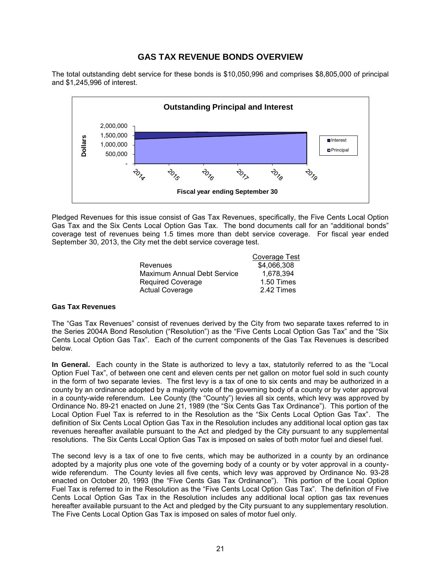# **GAS TAX REVENUE BONDS OVERVIEW**

The total outstanding debt service for these bonds is \$10,050,996 and comprises \$8,805,000 of principal and \$1,245,996 of interest.



Pledged Revenues for this issue consist of Gas Tax Revenues, specifically, the Five Cents Local Option Gas Tax and the Six Cents Local Option Gas Tax. The bond documents call for an "additional bonds" coverage test of revenues being 1.5 times more than debt service coverage. For fiscal year ended September 30, 2013, the City met the debt service coverage test.

|                                    | Coverage Test |
|------------------------------------|---------------|
| Revenues                           | \$4,066,308   |
| <b>Maximum Annual Debt Service</b> | 1.678.394     |
| Required Coverage                  | 1.50 Times    |
| <b>Actual Coverage</b>             | 2.42 Times    |
|                                    |               |

#### **Gas Tax Revenues**

The "Gas Tax Revenues" consist of revenues derived by the City from two separate taxes referred to in the Series 2004A Bond Resolution ("Resolution") as the "Five Cents Local Option Gas Tax" and the "Six Cents Local Option Gas Tax". Each of the current components of the Gas Tax Revenues is described below.

**In General.** Each county in the State is authorized to levy a tax, statutorily referred to as the "Local Option Fuel Tax", of between one cent and eleven cents per net gallon on motor fuel sold in such county in the form of two separate levies. The first levy is a tax of one to six cents and may be authorized in a county by an ordinance adopted by a majority vote of the governing body of a county or by voter approval in a county-wide referendum. Lee County (the "County") levies all six cents, which levy was approved by Ordinance No. 89-21 enacted on June 21, 1989 (the "Six Cents Gas Tax Ordinance"). This portion of the Local Option Fuel Tax is referred to in the Resolution as the "Six Cents Local Option Gas Tax". The definition of Six Cents Local Option Gas Tax in the Resolution includes any additional local option gas tax revenues hereafter available pursuant to the Act and pledged by the City pursuant to any supplemental resolutions. The Six Cents Local Option Gas Tax is imposed on sales of both motor fuel and diesel fuel.

The second levy is a tax of one to five cents, which may be authorized in a county by an ordinance adopted by a majority plus one vote of the governing body of a county or by voter approval in a countywide referendum. The County levies all five cents, which levy was approved by Ordinance No. 93-28 enacted on October 20, 1993 (the "Five Cents Gas Tax Ordinance"). This portion of the Local Option Fuel Tax is referred to in the Resolution as the "Five Cents Local Option Gas Tax". The definition of Five Cents Local Option Gas Tax in the Resolution includes any additional local option gas tax revenues hereafter available pursuant to the Act and pledged by the City pursuant to any supplementary resolution. The Five Cents Local Option Gas Tax is imposed on sales of motor fuel only.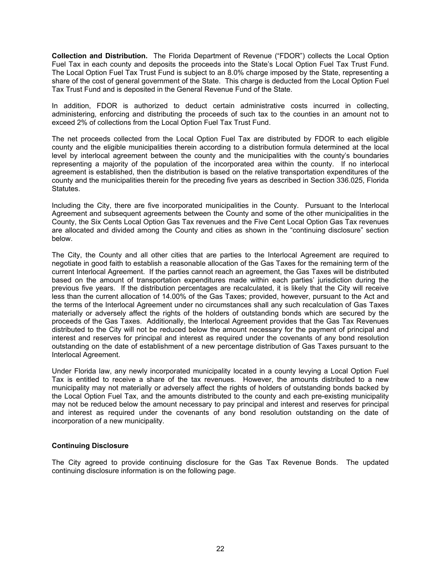**Collection and Distribution.** The Florida Department of Revenue ("FDOR") collects the Local Option Fuel Tax in each county and deposits the proceeds into the State's Local Option Fuel Tax Trust Fund. The Local Option Fuel Tax Trust Fund is subject to an 8.0% charge imposed by the State, representing a share of the cost of general government of the State. This charge is deducted from the Local Option Fuel Tax Trust Fund and is deposited in the General Revenue Fund of the State.

In addition, FDOR is authorized to deduct certain administrative costs incurred in collecting, administering, enforcing and distributing the proceeds of such tax to the counties in an amount not to exceed 2% of collections from the Local Option Fuel Tax Trust Fund.

The net proceeds collected from the Local Option Fuel Tax are distributed by FDOR to each eligible county and the eligible municipalities therein according to a distribution formula determined at the local level by interlocal agreement between the county and the municipalities with the county's boundaries representing a majority of the population of the incorporated area within the county. If no interlocal agreement is established, then the distribution is based on the relative transportation expenditures of the county and the municipalities therein for the preceding five years as described in Section 336.025, Florida Statutes.

Including the City, there are five incorporated municipalities in the County. Pursuant to the Interlocal Agreement and subsequent agreements between the County and some of the other municipalities in the County, the Six Cents Local Option Gas Tax revenues and the Five Cent Local Option Gas Tax revenues are allocated and divided among the County and cities as shown in the "continuing disclosure" section below.

The City, the County and all other cities that are parties to the Interlocal Agreement are required to negotiate in good faith to establish a reasonable allocation of the Gas Taxes for the remaining term of the current Interlocal Agreement. If the parties cannot reach an agreement, the Gas Taxes will be distributed based on the amount of transportation expenditures made within each parties' jurisdiction during the previous five years. If the distribution percentages are recalculated, it is likely that the City will receive less than the current allocation of 14.00% of the Gas Taxes; provided, however, pursuant to the Act and the terms of the Interlocal Agreement under no circumstances shall any such recalculation of Gas Taxes materially or adversely affect the rights of the holders of outstanding bonds which are secured by the proceeds of the Gas Taxes. Additionally, the Interlocal Agreement provides that the Gas Tax Revenues distributed to the City will not be reduced below the amount necessary for the payment of principal and interest and reserves for principal and interest as required under the covenants of any bond resolution outstanding on the date of establishment of a new percentage distribution of Gas Taxes pursuant to the Interlocal Agreement.

Under Florida law, any newly incorporated municipality located in a county levying a Local Option Fuel Tax is entitled to receive a share of the tax revenues. However, the amounts distributed to a new municipality may not materially or adversely affect the rights of holders of outstanding bonds backed by the Local Option Fuel Tax, and the amounts distributed to the county and each pre-existing municipality may not be reduced below the amount necessary to pay principal and interest and reserves for principal and interest as required under the covenants of any bond resolution outstanding on the date of incorporation of a new municipality.

### **Continuing Disclosure**

The City agreed to provide continuing disclosure for the Gas Tax Revenue Bonds. The updated continuing disclosure information is on the following page.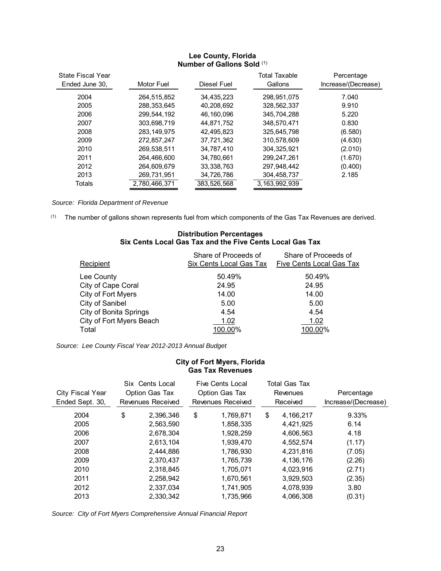## **Lee County, Florida Number of Gallons Sold** (1)

| <b>State Fiscal Year</b> |               |             | Total Taxable | Percentage          |
|--------------------------|---------------|-------------|---------------|---------------------|
| Ended June 30,           | Motor Fuel    | Diesel Fuel | Gallons       | Increase/(Decrease) |
| 2004                     | 264,515,852   | 34,435,223  | 298,951,075   | 7.040               |
| 2005                     | 288,353,645   | 40.208.692  | 328,562,337   | 9.910               |
| 2006                     | 299,544,192   | 46.160.096  | 345.704.288   | 5.220               |
| 2007                     | 303.698.719   | 44.871.752  | 348.570.471   | 0.830               |
| 2008                     | 283.149.975   | 42.495.823  | 325,645,798   | (6.580)             |
| 2009                     | 272.857.247   | 37.721.362  | 310.578.609   | (4.630)             |
| 2010                     | 269.538.511   | 34.787.410  | 304.325.921   | (2.010)             |
| 2011                     | 264.466.600   | 34.780.661  | 299.247.261   | (1.670)             |
| 2012                     | 264.609.679   | 33.338.763  | 297,948,442   | (0.400)             |
| 2013                     | 269,731,951   | 34,726,786  | 304,458,737   | 2.185               |
| Totals                   | 2.780.466.371 | 383.526.568 | 3.163.992.939 |                     |

*Source: Florida Department of Revenue* 

(1) The number of gallons shown represents fuel from which components of the Gas Tax Revenues are derived.

### **Distribution Percentages Six Cents Local Gas Tax and the Five Cents Local Gas Tax**

| Recipient                     | Share of Proceeds of<br>Six Cents Local Gas Tax | Share of Proceeds of<br><b>Five Cents Local Gas Tax</b> |
|-------------------------------|-------------------------------------------------|---------------------------------------------------------|
| Lee County                    | 50.49%                                          | 50.49%                                                  |
| City of Cape Coral            | 24.95                                           | 24.95                                                   |
| City of Fort Myers            | 14.00                                           | 14.00                                                   |
| City of Sanibel               | 5.00                                            | 5.00                                                    |
| <b>City of Bonita Springs</b> | 4.54                                            | 4.54                                                    |
| City of Fort Myers Beach      | 1.02                                            | 1.02                                                    |
| Total                         | 100.00%                                         | 100.00%                                                 |

*Source: Lee County Fiscal Year 2012-2013 Annual Budget* 

### **City of Fort Myers, Florida Gas Tax Revenues**

| City Fiscal Year<br>Ended Sept. 30, | Six Cents Local<br>Option Gas Tax<br>Revenues Received | <b>Five Cents Local</b><br>Option Gas Tax<br>Revenues Received | Total Gas Tax<br>Revenues<br>Received |           | Percentage<br>Increase/(Decrease) |  |
|-------------------------------------|--------------------------------------------------------|----------------------------------------------------------------|---------------------------------------|-----------|-----------------------------------|--|
| 2004                                | \$<br>2.396.346                                        | \$<br>1,769,871                                                | \$                                    | 4,166,217 | 9.33%                             |  |
| 2005                                | 2,563,590                                              | 1,858,335                                                      |                                       | 4,421,925 | 6.14                              |  |
| 2006                                | 2.678.304                                              | 1.928.259                                                      |                                       | 4.606.563 | 4.18                              |  |
| 2007                                | 2,613,104                                              | 1,939,470                                                      |                                       | 4,552,574 | (1.17)                            |  |
| 2008                                | 2.444.886                                              | 1.786.930                                                      |                                       | 4.231.816 | (7.05)                            |  |
| 2009                                | 2.370.437                                              | 1.765.739                                                      |                                       | 4,136,176 | (2.26)                            |  |
| 2010                                | 2,318,845                                              | 1,705,071                                                      |                                       | 4,023,916 | (2.71)                            |  |
| 2011                                | 2,258,942                                              | 1,670,561                                                      |                                       | 3,929,503 | (2.35)                            |  |
| 2012                                | 2.337.034                                              | 1,741,905                                                      |                                       | 4,078,939 | 3.80                              |  |
| 2013                                | 2.330.342                                              | 1.735.966                                                      |                                       | 4.066.308 | (0.31)                            |  |

*Source: City of Fort Myers Comprehensive Annual Financial Report*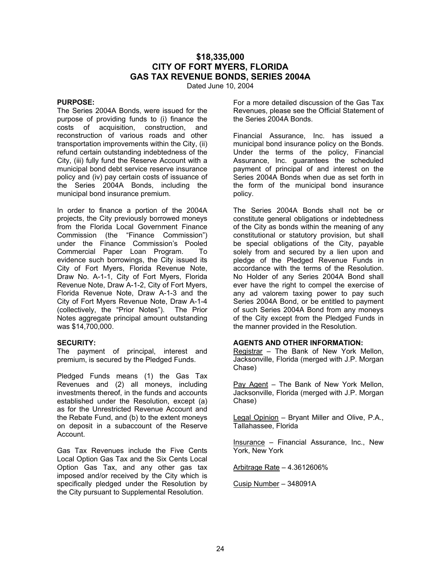# **\$18,335,000 CITY OF FORT MYERS, FLORIDA GAS TAX REVENUE BONDS, SERIES 2004A**

Dated June 10, 2004

### **PURPOSE:**

The Series 2004A Bonds, were issued for the purpose of providing funds to (i) finance the costs of acquisition, construction, and reconstruction of various roads and other transportation improvements within the City, (ii) refund certain outstanding indebtedness of the City, (iii) fully fund the Reserve Account with a municipal bond debt service reserve insurance policy and (iv) pay certain costs of issuance of the Series 2004A Bonds, including the municipal bond insurance premium.

In order to finance a portion of the 2004A projects, the City previously borrowed moneys from the Florida Local Government Finance Commission (the "Finance Commission") under the Finance Commission's Pooled Commercial Paper Loan Program. To evidence such borrowings, the City issued its City of Fort Myers, Florida Revenue Note, Draw No. A-1-1, City of Fort Myers, Florida Revenue Note, Draw A-1-2, City of Fort Myers, Florida Revenue Note, Draw A-1-3 and the City of Fort Myers Revenue Note, Draw A-1-4 (collectively, the "Prior Notes"). The Prior Notes aggregate principal amount outstanding was \$14,700,000.

### **SECURITY:**

The payment of principal, interest and premium, is secured by the Pledged Funds.

Pledged Funds means (1) the Gas Tax Revenues and (2) all moneys, including investments thereof, in the funds and accounts established under the Resolution, except (a) as for the Unrestricted Revenue Account and the Rebate Fund, and (b) to the extent moneys on deposit in a subaccount of the Reserve Account.

Gas Tax Revenues include the Five Cents Local Option Gas Tax and the Six Cents Local Option Gas Tax, and any other gas tax imposed and/or received by the City which is specifically pledged under the Resolution by the City pursuant to Supplemental Resolution.

For a more detailed discussion of the Gas Tax Revenues, please see the Official Statement of the Series 2004A Bonds.

Financial Assurance, Inc. has issued a municipal bond insurance policy on the Bonds. Under the terms of the policy, Financial Assurance, Inc. guarantees the scheduled payment of principal of and interest on the Series 2004A Bonds when due as set forth in the form of the municipal bond insurance policy.

The Series 2004A Bonds shall not be or constitute general obligations or indebtedness of the City as bonds within the meaning of any constitutional or statutory provision, but shall be special obligations of the City, payable solely from and secured by a lien upon and pledge of the Pledged Revenue Funds in accordance with the terms of the Resolution. No Holder of any Series 2004A Bond shall ever have the right to compel the exercise of any ad valorem taxing power to pay such Series 2004A Bond, or be entitled to payment of such Series 2004A Bond from any moneys of the City except from the Pledged Funds in the manner provided in the Resolution.

### **AGENTS AND OTHER INFORMATION:**

Registrar – The Bank of New York Mellon, Jacksonville, Florida (merged with J.P. Morgan Chase)

Pay Agent – The Bank of New York Mellon, Jacksonville, Florida (merged with J.P. Morgan Chase)

Legal Opinion – Bryant Miller and Olive, P.A., Tallahassee, Florida

Insurance – Financial Assurance, Inc., New York, New York

Arbitrage Rate – 4.3612606%

Cusip Number – 348091A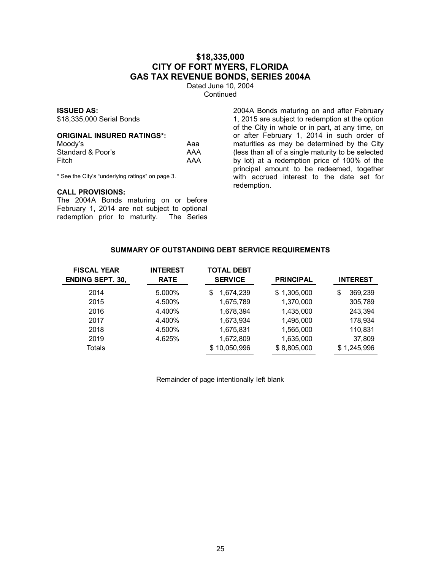# **\$18,335,000 CITY OF FORT MYERS, FLORIDA GAS TAX REVENUE BONDS, SERIES 2004A**

Dated June 10, 2004 **Continued** 

### **ISSUED AS:**

\$18,335,000 Serial Bonds

### **ORIGINAL INSURED RATINGS\*:**

| Moody's           | Aaa |
|-------------------|-----|
| Standard & Poor's | AAA |
| Fitch             | AAA |

\* See the City's "underlying ratings" on page 3.

#### **CALL PROVISIONS:**

The 2004A Bonds maturing on or before February 1, 2014 are not subject to optional redemption prior to maturity. The Series

2004A Bonds maturing on and after February 1, 2015 are subject to redemption at the option of the City in whole or in part, at any time, on or after February 1, 2014 in such order of maturities as may be determined by the City (less than all of a single maturity to be selected by lot) at a redemption price of 100% of the principal amount to be redeemed, together with accrued interest to the date set for redemption.

### **SUMMARY OF OUTSTANDING DEBT SERVICE REQUIREMENTS**

| <b>FISCAL YEAR</b><br><b>ENDING SEPT. 30,</b> | <b>INTEREST</b><br><b>RATE</b> | <b>TOTAL DEBT</b><br><b>SERVICE</b> | <b>PRINCIPAL</b> | <b>INTEREST</b> |
|-----------------------------------------------|--------------------------------|-------------------------------------|------------------|-----------------|
| 2014                                          | 5.000%                         | 1,674,239<br>S                      | \$1,305,000      | 369.239<br>\$   |
| 2015                                          | 4.500%                         | 1,675,789                           | 1,370,000        | 305,789         |
| 2016                                          | 4.400%                         | 1,678,394                           | 1,435,000        | 243,394         |
| 2017                                          | 4.400%                         | 1,673,934                           | 1,495,000        | 178,934         |
| 2018                                          | 4.500%                         | 1,675,831                           | 1,565,000        | 110,831         |
| 2019                                          | 4.625%                         | 1,672,809                           | 1,635,000        | 37,809          |
| Totals                                        |                                | 10,050,996<br>\$.                   | \$8,805,000      | 1,245,996       |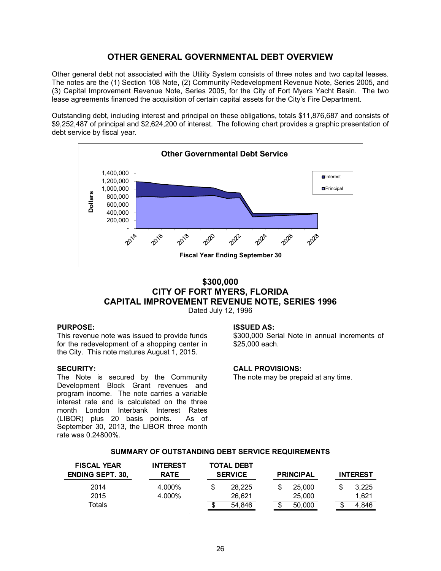# **OTHER GENERAL GOVERNMENTAL DEBT OVERVIEW**

Other general debt not associated with the Utility System consists of three notes and two capital leases. The notes are the (1) Section 108 Note, (2) Community Redevelopment Revenue Note, Series 2005, and (3) Capital Improvement Revenue Note, Series 2005, for the City of Fort Myers Yacht Basin. The two lease agreements financed the acquisition of certain capital assets for the City's Fire Department.

Outstanding debt, including interest and principal on these obligations, totals \$11,876,687 and consists of \$9,252,487 of principal and \$2,624,200 of interest. The following chart provides a graphic presentation of debt service by fiscal year.



# **\$300,000 CITY OF FORT MYERS, FLORIDA CAPITAL IMPROVEMENT REVENUE NOTE, SERIES 1996** Dated July 12, 1996

### **PURPOSE:**

This revenue note was issued to provide funds for the redevelopment of a shopping center in the City. This note matures August 1, 2015.

### **SECURITY:**

The Note is secured by the Community Development Block Grant revenues and program income. The note carries a variable interest rate and is calculated on the three month London Interbank Interest Rates (LIBOR) plus 20 basis points. As of September 30, 2013, the LIBOR three month rate was 0.24800%.

#### **ISSUED AS:**

\$300,000 Serial Note in annual increments of \$25,000 each.

### **CALL PROVISIONS:**

The note may be prepaid at any time.

| <b>FISCAL YEAR</b><br><b>ENDING SEPT. 30,</b> | <b>INTEREST</b><br><b>RATE</b> | <b>TOTAL DEBT</b><br><b>SERVICE</b><br><b>PRINCIPAL</b> |        |              |   |       | <b>INTEREST</b> |
|-----------------------------------------------|--------------------------------|---------------------------------------------------------|--------|--------------|---|-------|-----------------|
| 2014                                          | 4.000%                         | S                                                       | 28.225 | 25,000       |   | 3,225 |                 |
| 2015                                          | 4.000%                         |                                                         | 26.621 | 25,000       |   | 1.621 |                 |
| Totals                                        |                                | Œ                                                       | 54,846 | \$<br>50,000 | w | 4.846 |                 |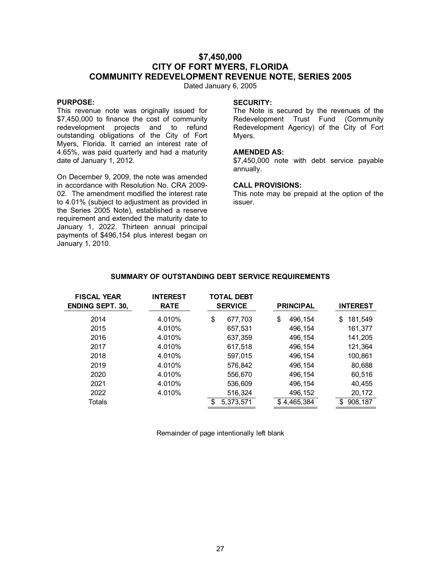# **\$7,450,000 CITY OF FORT MYERS, FLORIDA COMMUNITY REDEVELOPMENT REVENUE NOTE, SERIES 2005**

Dated January 6, 2005

### **PURPOSE:**

This revenue note was originally issued for \$7,450,000 to finance the cost of community redevelopment projects and to refund outstanding obligations of the City of Fort Myers, Florida. It carried an interest rate of 4.65%, was paid quarterly and had a maturity date of January 1, 2012.

On December 9, 2009, the note was amended in accordance with Resolution No. CRA 2009- 02. The amendment modified the interest rate to 4.01% (subject to adjustment as provided in the Series 2005 Note), established a reserve requirement and extended the maturity date to January 1, 2022. Thirteen annual principal payments of \$496,154 plus interest began on January 1, 2010.

#### **SECURITY:**

The Note is secured by the revenues of the Redevelopment Trust Fund (Community Redevelopment Agency) of the City of Fort Myers.

### **AMENDED AS:**

\$7,450,000 note with debt service payable annually.

#### **CALL PROVISIONS:**

This note may be prepaid at the option of the issuer.

| <b>FISCAL YEAR</b><br><b>ENDING SEPT. 30,</b> | <b>INTEREST</b><br><b>RATE</b> | <b>TOTAL DEBT</b><br><b>SERVICE</b> | <b>PRINCIPAL</b> | <b>INTEREST</b> |
|-----------------------------------------------|--------------------------------|-------------------------------------|------------------|-----------------|
| 2014                                          | 4.010%                         | \$<br>677,703                       | \$<br>496,154    | \$<br>181,549   |
| 2015                                          | 4.010%                         | 657,531                             | 496,154          | 161,377         |
| 2016                                          | 4.010%                         | 637,359                             | 496,154          | 141,205         |
| 2017                                          | 4.010%                         | 617,518                             | 496,154          | 121,364         |
| 2018                                          | 4.010%                         | 597,015                             | 496,154          | 100,861         |
| 2019                                          | 4.010%                         | 576,842                             | 496,154          | 80,688          |
| 2020                                          | 4.010%                         | 556,670                             | 496,154          | 60,516          |
| 2021                                          | 4.010%                         | 536,609                             | 496,154          | 40,455          |
| 2022                                          | 4.010%                         | 516,324                             | 496,152          | 20,172          |
| Totals                                        |                                | 5,373,571                           | \$4,465,384      | 908,187<br>\$   |

#### **SUMMARY OF OUTSTANDING DEBT SERVICE REQUIREMENTS**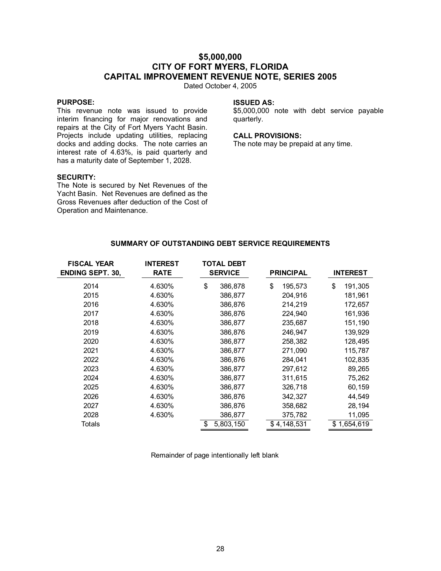# **\$5,000,000 CITY OF FORT MYERS, FLORIDA CAPITAL IMPROVEMENT REVENUE NOTE, SERIES 2005**

Dated October 4, 2005

### **PURPOSE:**

This revenue note was issued to provide interim financing for major renovations and repairs at the City of Fort Myers Yacht Basin. Projects include updating utilities, replacing docks and adding docks. The note carries an interest rate of 4.63%, is paid quarterly and has a maturity date of September 1, 2028.

# **SECURITY:**

The Note is secured by Net Revenues of the Yacht Basin. Net Revenues are defined as the Gross Revenues after deduction of the Cost of Operation and Maintenance.

### **ISSUED AS:**

\$5,000,000 note with debt service payable quarterly.

### **CALL PROVISIONS:**

The note may be prepaid at any time.

| <b>FISCAL YEAR</b>      | <b>INTEREST</b> |                | <b>TOTAL DEBT</b> |                  |                 |
|-------------------------|-----------------|----------------|-------------------|------------------|-----------------|
| <b>ENDING SEPT. 30,</b> | <b>RATE</b>     | <b>SERVICE</b> |                   | <b>PRINCIPAL</b> | <b>INTEREST</b> |
| 2014                    | 4.630%          | \$             | 386,878           | \$<br>195,573    | \$<br>191,305   |
| 2015                    | 4.630%          |                | 386,877           | 204,916          | 181,961         |
| 2016                    | 4.630%          |                | 386,876           | 214,219          | 172,657         |
| 2017                    | 4.630%          |                | 386,876           | 224,940          | 161,936         |
| 2018                    | 4.630%          |                | 386,877           | 235,687          | 151,190         |
| 2019                    | 4.630%          |                | 386,876           | 246,947          | 139,929         |
| 2020                    | 4.630%          |                | 386,877           | 258,382          | 128,495         |
| 2021                    | 4.630%          |                | 386,877           | 271,090          | 115,787         |
| 2022                    | 4.630%          |                | 386,876           | 284,041          | 102,835         |
| 2023                    | 4.630%          |                | 386,877           | 297,612          | 89,265          |
| 2024                    | 4.630%          |                | 386,877           | 311,615          | 75,262          |
| 2025                    | 4.630%          |                | 386,877           | 326,718          | 60,159          |
| 2026                    | 4.630%          |                | 386,876           | 342,327          | 44,549          |
| 2027                    | 4.630%          |                | 386,876           | 358,682          | 28,194          |
| 2028                    | 4.630%          |                | 386,877           | 375,782          | 11,095          |
| Totals                  |                 | \$             | 5,803,150         | \$4,148,531      | \$1,654,619     |

### **SUMMARY OF OUTSTANDING DEBT SERVICE REQUIREMENTS**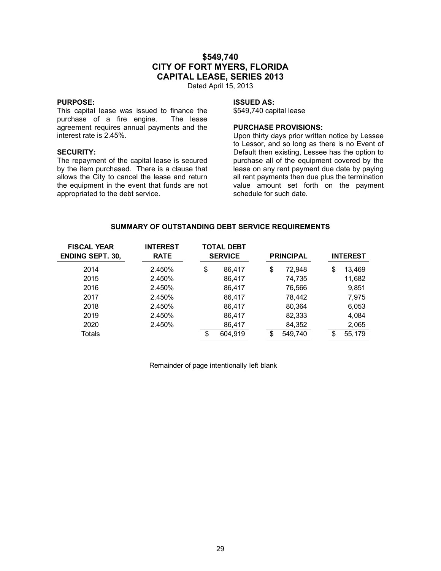# **\$549,740 CITY OF FORT MYERS, FLORIDA CAPITAL LEASE, SERIES 2013**

Dated April 15, 2013

### **PURPOSE:**

This capital lease was issued to finance the purchase of a fire engine. The lease purchase of a fire engine. agreement requires annual payments and the interest rate is 2.45%.

### **SECURITY:**

The repayment of the capital lease is secured by the item purchased. There is a clause that allows the City to cancel the lease and return the equipment in the event that funds are not appropriated to the debt service.

### **ISSUED AS:**

\$549,740 capital lease

# **PURCHASE PROVISIONS:**

Upon thirty days prior written notice by Lessee to Lessor, and so long as there is no Event of Default then existing, Lessee has the option to purchase all of the equipment covered by the lease on any rent payment due date by paying all rent payments then due plus the termination value amount set forth on the payment schedule for such date.

## **SUMMARY OF OUTSTANDING DEBT SERVICE REQUIREMENTS**

| <b>FISCAL YEAR</b><br><b>ENDING SEPT. 30,</b> | <b>INTEREST</b><br><b>RATE</b> | <b>TOTAL DEBT</b><br><b>SERVICE</b> |         |    | <b>PRINCIPAL</b> |  |    |        |  | <b>INTEREST</b> |  |
|-----------------------------------------------|--------------------------------|-------------------------------------|---------|----|------------------|--|----|--------|--|-----------------|--|
| 2014                                          | 2.450%                         | \$                                  | 86,417  | \$ | 72,948           |  | \$ | 13,469 |  |                 |  |
| 2015                                          | 2.450%                         |                                     | 86,417  |    | 74,735           |  |    | 11,682 |  |                 |  |
| 2016                                          | 2.450%                         |                                     | 86,417  |    | 76,566           |  |    | 9,851  |  |                 |  |
| 2017                                          | 2.450%                         |                                     | 86,417  |    | 78.442           |  |    | 7.975  |  |                 |  |
| 2018                                          | 2.450%                         |                                     | 86,417  |    | 80,364           |  |    | 6,053  |  |                 |  |
| 2019                                          | 2.450%                         |                                     | 86,417  |    | 82,333           |  |    | 4,084  |  |                 |  |
| 2020                                          | 2.450%                         |                                     | 86,417  |    | 84,352           |  |    | 2,065  |  |                 |  |
| Totals                                        |                                | \$                                  | 604,919 |    | 549,740          |  | S  | 55,179 |  |                 |  |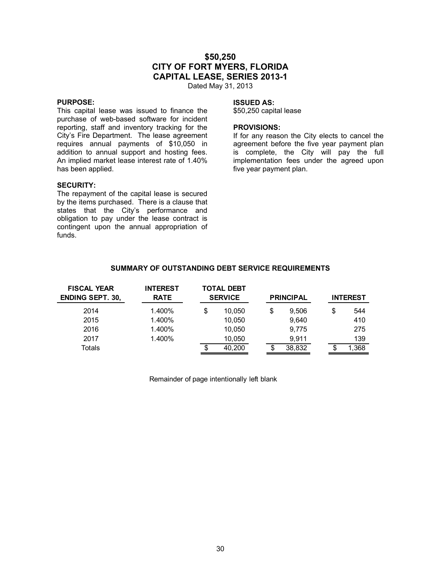# **\$50,250 CITY OF FORT MYERS, FLORIDA CAPITAL LEASE, SERIES 2013-1**

Dated May 31, 2013

### **PURPOSE:**

This capital lease was issued to finance the purchase of web-based software for incident reporting, staff and inventory tracking for the City's Fire Department. The lease agreement requires annual payments of \$10,050 in addition to annual support and hosting fees. An implied market lease interest rate of 1.40% has been applied.

#### **SECURITY:**

The repayment of the capital lease is secured by the items purchased. There is a clause that states that the City's performance and obligation to pay under the lease contract is contingent upon the annual appropriation of funds.

### **ISSUED AS:**

\$50,250 capital lease

### **PROVISIONS:**

If for any reason the City elects to cancel the agreement before the five year payment plan is complete, the City will pay the full implementation fees under the agreed upon five year payment plan.

| <b>FISCAL YEAR</b><br><b>ENDING SEPT. 30,</b> | <b>INTEREST</b><br><b>RATE</b> |    | <b>TOTAL DEBT</b><br><b>SERVICE</b> | <b>PRINCIPAL</b> |    | <b>INTEREST</b> |
|-----------------------------------------------|--------------------------------|----|-------------------------------------|------------------|----|-----------------|
| 2014                                          | 1.400%                         | \$ | 10.050                              | \$<br>9.506      | \$ | 544             |
| 2015                                          | 1.400%                         |    | 10,050                              | 9,640            |    | 410             |
| 2016                                          | 1.400%                         |    | 10,050                              | 9,775            |    | 275             |
| 2017                                          | 1.400%                         |    | 10,050                              | 9.911            |    | 139             |
| Totals                                        |                                | S  | 40,200                              | 38,832           | S  | 1,368           |

### **SUMMARY OF OUTSTANDING DEBT SERVICE REQUIREMENTS**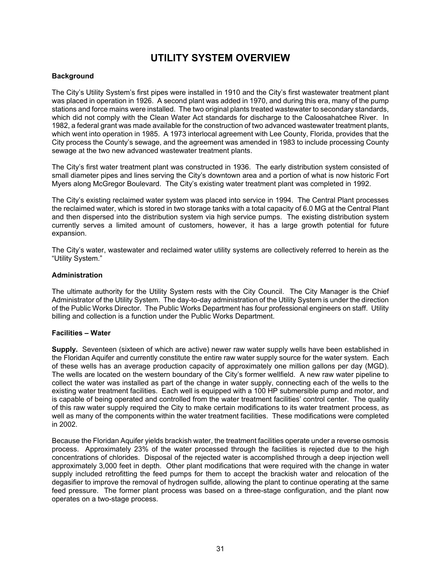# **UTILITY SYSTEM OVERVIEW**

### **Background**

The City's Utility System's first pipes were installed in 1910 and the City's first wastewater treatment plant was placed in operation in 1926. A second plant was added in 1970, and during this era, many of the pump stations and force mains were installed. The two original plants treated wastewater to secondary standards, which did not comply with the Clean Water Act standards for discharge to the Caloosahatchee River. In 1982, a federal grant was made available for the construction of two advanced wastewater treatment plants, which went into operation in 1985. A 1973 interlocal agreement with Lee County, Florida, provides that the City process the County's sewage, and the agreement was amended in 1983 to include processing County sewage at the two new advanced wastewater treatment plants.

The City's first water treatment plant was constructed in 1936. The early distribution system consisted of small diameter pipes and lines serving the City's downtown area and a portion of what is now historic Fort Myers along McGregor Boulevard. The City's existing water treatment plant was completed in 1992.

The City's existing reclaimed water system was placed into service in 1994. The Central Plant processes the reclaimed water, which is stored in two storage tanks with a total capacity of 6.0 MG at the Central Plant and then dispersed into the distribution system via high service pumps. The existing distribution system currently serves a limited amount of customers, however, it has a large growth potential for future expansion.

The City's water, wastewater and reclaimed water utility systems are collectively referred to herein as the "Utility System."

### **Administration**

The ultimate authority for the Utility System rests with the City Council. The City Manager is the Chief Administrator of the Utility System. The day-to-day administration of the Utility System is under the direction of the Public Works Director. The Public Works Department has four professional engineers on staff. Utility billing and collection is a function under the Public Works Department.

### **Facilities – Water**

**Supply.** Seventeen (sixteen of which are active) newer raw water supply wells have been established in the Floridan Aquifer and currently constitute the entire raw water supply source for the water system. Each of these wells has an average production capacity of approximately one million gallons per day (MGD). The wells are located on the western boundary of the City's former wellfield. A new raw water pipeline to collect the water was installed as part of the change in water supply, connecting each of the wells to the existing water treatment facilities. Each well is equipped with a 100 HP submersible pump and motor, and is capable of being operated and controlled from the water treatment facilities' control center. The quality of this raw water supply required the City to make certain modifications to its water treatment process, as well as many of the components within the water treatment facilities. These modifications were completed in 2002.

Because the Floridan Aquifer yields brackish water, the treatment facilities operate under a reverse osmosis process. Approximately 23% of the water processed through the facilities is rejected due to the high concentrations of chlorides. Disposal of the rejected water is accomplished through a deep injection well approximately 3,000 feet in depth. Other plant modifications that were required with the change in water supply included retrofitting the feed pumps for them to accept the brackish water and relocation of the degasifier to improve the removal of hydrogen sulfide, allowing the plant to continue operating at the same feed pressure. The former plant process was based on a three-stage configuration, and the plant now operates on a two-stage process.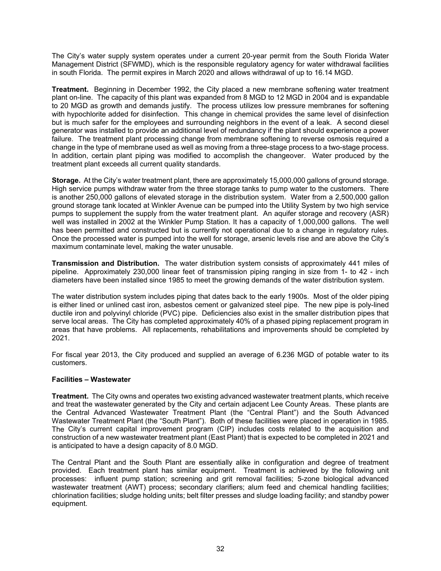The City's water supply system operates under a current 20-year permit from the South Florida Water Management District (SFWMD), which is the responsible regulatory agency for water withdrawal facilities in south Florida. The permit expires in March 2020 and allows withdrawal of up to 16.14 MGD.

**Treatment.** Beginning in December 1992, the City placed a new membrane softening water treatment plant on-line. The capacity of this plant was expanded from 8 MGD to 12 MGD in 2004 and is expandable to 20 MGD as growth and demands justify. The process utilizes low pressure membranes for softening with hypochlorite added for disinfection. This change in chemical provides the same level of disinfection but is much safer for the employees and surrounding neighbors in the event of a leak. A second diesel generator was installed to provide an additional level of redundancy if the plant should experience a power failure. The treatment plant processing change from membrane softening to reverse osmosis required a change in the type of membrane used as well as moving from a three-stage process to a two-stage process. In addition, certain plant piping was modified to accomplish the changeover. Water produced by the treatment plant exceeds all current quality standards.

**Storage.** At the City's water treatment plant, there are approximately 15,000,000 gallons of ground storage. High service pumps withdraw water from the three storage tanks to pump water to the customers. There is another 250,000 gallons of elevated storage in the distribution system. Water from a 2,500,000 gallon ground storage tank located at Winkler Avenue can be pumped into the Utility System by two high service pumps to supplement the supply from the water treatment plant. An aquifer storage and recovery (ASR) well was installed in 2002 at the Winkler Pump Station. It has a capacity of 1,000,000 gallons. The well has been permitted and constructed but is currently not operational due to a change in regulatory rules. Once the processed water is pumped into the well for storage, arsenic levels rise and are above the City's maximum contaminate level, making the water unusable.

**Transmission and Distribution.** The water distribution system consists of approximately 441 miles of pipeline. Approximately 230,000 linear feet of transmission piping ranging in size from 1- to 42 - inch diameters have been installed since 1985 to meet the growing demands of the water distribution system.

The water distribution system includes piping that dates back to the early 1900s. Most of the older piping is either lined or unlined cast iron, asbestos cement or galvanized steel pipe. The new pipe is poly-lined ductile iron and polyvinyl chloride (PVC) pipe. Deficiencies also exist in the smaller distribution pipes that serve local areas. The City has completed approximately 40% of a phased piping replacement program in areas that have problems. All replacements, rehabilitations and improvements should be completed by 2021.

For fiscal year 2013, the City produced and supplied an average of 6.236 MGD of potable water to its customers.

### **Facilities – Wastewater**

**Treatment.** The City owns and operates two existing advanced wastewater treatment plants, which receive and treat the wastewater generated by the City and certain adjacent Lee County Areas. These plants are the Central Advanced Wastewater Treatment Plant (the "Central Plant") and the South Advanced Wastewater Treatment Plant (the "South Plant"). Both of these facilities were placed in operation in 1985. The City's current capital improvement program (CIP) includes costs related to the acquisition and construction of a new wastewater treatment plant (East Plant) that is expected to be completed in 2021 and is anticipated to have a design capacity of 8.0 MGD.

The Central Plant and the South Plant are essentially alike in configuration and degree of treatment provided. Each treatment plant has similar equipment. Treatment is achieved by the following unit processes: influent pump station; screening and grit removal facilities; 5-zone biological advanced wastewater treatment (AWT) process; secondary clarifiers; alum feed and chemical handling facilities; chlorination facilities; sludge holding units; belt filter presses and sludge loading facility; and standby power equipment.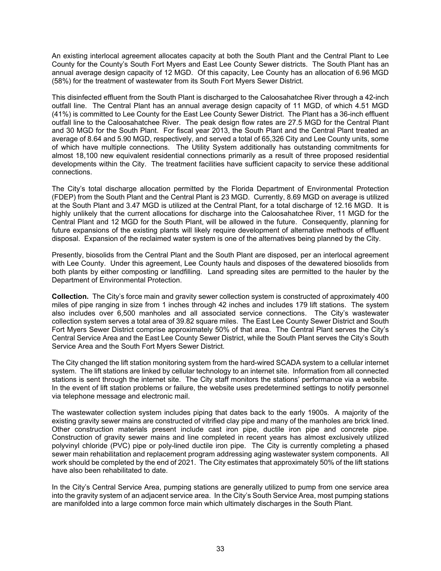An existing interlocal agreement allocates capacity at both the South Plant and the Central Plant to Lee County for the County's South Fort Myers and East Lee County Sewer districts. The South Plant has an annual average design capacity of 12 MGD. Of this capacity, Lee County has an allocation of 6.96 MGD (58%) for the treatment of wastewater from its South Fort Myers Sewer District.

This disinfected effluent from the South Plant is discharged to the Caloosahatchee River through a 42-inch outfall line. The Central Plant has an annual average design capacity of 11 MGD, of which 4.51 MGD (41%) is committed to Lee County for the East Lee County Sewer District. The Plant has a 36-inch effluent outfall line to the Caloosahatchee River. The peak design flow rates are 27.5 MGD for the Central Plant and 30 MGD for the South Plant. For fiscal year 2013, the South Plant and the Central Plant treated an average of 8.64 and 5.90 MGD, respectively, and served a total of 65,326 City and Lee County units, some of which have multiple connections. The Utility System additionally has outstanding commitments for almost 18,100 new equivalent residential connections primarily as a result of three proposed residential developments within the City. The treatment facilities have sufficient capacity to service these additional connections.

The City's total discharge allocation permitted by the Florida Department of Environmental Protection (FDEP) from the South Plant and the Central Plant is 23 MGD. Currently, 8.69 MGD on average is utilized at the South Plant and 3.47 MGD is utilized at the Central Plant, for a total discharge of 12.16 MGD. It is highly unlikely that the current allocations for discharge into the Caloosahatchee River, 11 MGD for the Central Plant and 12 MGD for the South Plant, will be allowed in the future. Consequently, planning for future expansions of the existing plants will likely require development of alternative methods of effluent disposal. Expansion of the reclaimed water system is one of the alternatives being planned by the City.

Presently, biosolids from the Central Plant and the South Plant are disposed, per an interlocal agreement with Lee County. Under this agreement, Lee County hauls and disposes of the dewatered biosolids from both plants by either composting or landfilling. Land spreading sites are permitted to the hauler by the Department of Environmental Protection.

**Collection.** The City's force main and gravity sewer collection system is constructed of approximately 400 miles of pipe ranging in size from 1 inches through 42 inches and includes 179 lift stations. The system also includes over 6,500 manholes and all associated service connections. The City's wastewater collection system serves a total area of 39.82 square miles. The East Lee County Sewer District and South Fort Myers Sewer District comprise approximately 50% of that area. The Central Plant serves the City's Central Service Area and the East Lee County Sewer District, while the South Plant serves the City's South Service Area and the South Fort Myers Sewer District.

The City changed the lift station monitoring system from the hard-wired SCADA system to a cellular internet system. The lift stations are linked by cellular technology to an internet site. Information from all connected stations is sent through the internet site. The City staff monitors the stations' performance via a website. In the event of lift station problems or failure, the website uses predetermined settings to notify personnel via telephone message and electronic mail.

The wastewater collection system includes piping that dates back to the early 1900s. A majority of the existing gravity sewer mains are constructed of vitrified clay pipe and many of the manholes are brick lined. Other construction materials present include cast iron pipe, ductile iron pipe and concrete pipe. Construction of gravity sewer mains and line completed in recent years has almost exclusively utilized polyvinyl chloride (PVC) pipe or poly-lined ductile iron pipe. The City is currently completing a phased sewer main rehabilitation and replacement program addressing aging wastewater system components. All work should be completed by the end of 2021. The City estimates that approximately 50% of the lift stations have also been rehabilitated to date.

In the City's Central Service Area, pumping stations are generally utilized to pump from one service area into the gravity system of an adjacent service area. In the City's South Service Area, most pumping stations are manifolded into a large common force main which ultimately discharges in the South Plant.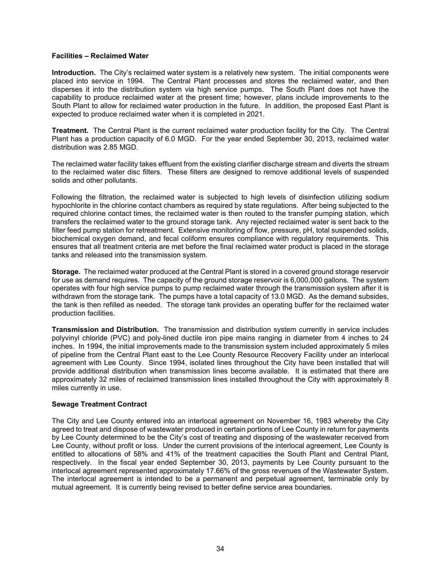### **Facilities – Reclaimed Water**

**Introduction.** The City's reclaimed water system is a relatively new system. The initial components were placed into service in 1994. The Central Plant processes and stores the reclaimed water, and then disperses it into the distribution system via high service pumps. The South Plant does not have the capability to produce reclaimed water at the present time; however, plans include improvements to the South Plant to allow for reclaimed water production in the future. In addition, the proposed East Plant is expected to produce reclaimed water when it is completed in 2021.

**Treatment.** The Central Plant is the current reclaimed water production facility for the City. The Central Plant has a production capacity of 6.0 MGD. For the year ended September 30, 2013, reclaimed water distribution was 2.85 MGD.

The reclaimed water facility takes effluent from the existing clarifier discharge stream and diverts the stream to the reclaimed water disc filters. These filters are designed to remove additional levels of suspended solids and other pollutants.

Following the filtration, the reclaimed water is subjected to high levels of disinfection utilizing sodium hypochlorite in the chlorine contact chambers as required by state regulations. After being subjected to the required chlorine contact times, the reclaimed water is then routed to the transfer pumping station, which transfers the reclaimed water to the ground storage tank. Any rejected reclaimed water is sent back to the filter feed pump station for retreatment. Extensive monitoring of flow, pressure, pH, total suspended solids, biochemical oxygen demand, and fecal coliform ensures compliance with regulatory requirements. This ensures that all treatment criteria are met before the final reclaimed water product is placed in the storage tanks and released into the transmission system.

**Storage.** The reclaimed water produced at the Central Plant is stored in a covered ground storage reservoir for use as demand requires. The capacity of the ground storage reservoir is 6,000,000 gallons. The system operates with four high service pumps to pump reclaimed water through the transmission system after it is withdrawn from the storage tank. The pumps have a total capacity of 13.0 MGD. As the demand subsides, the tank is then refilled as needed. The storage tank provides an operating buffer for the reclaimed water production facilities.

**Transmission and Distribution.** The transmission and distribution system currently in service includes polyvinyl chloride (PVC) and poly-lined ductile iron pipe mains ranging in diameter from 4 inches to 24 inches. In 1994, the initial improvements made to the transmission system included approximately 5 miles of pipeline from the Central Plant east to the Lee County Resource Recovery Facility under an interlocal agreement with Lee County. Since 1994, isolated lines throughout the City have been installed that will provide additional distribution when transmission lines become available. It is estimated that there are approximately 32 miles of reclaimed transmission lines installed throughout the City with approximately 8 miles currently in use.

### **Sewage Treatment Contract**

The City and Lee County entered into an interlocal agreement on November 16, 1983 whereby the City agreed to treat and dispose of wastewater produced in certain portions of Lee County in return for payments by Lee County determined to be the City's cost of treating and disposing of the wastewater received from Lee County, without profit or loss. Under the current provisions of the interlocal agreement, Lee County is entitled to allocations of 58% and 41% of the treatment capacities the South Plant and Central Plant, respectively. In the fiscal year ended September 30, 2013, payments by Lee County pursuant to the interlocal agreement represented approximately 17.66% of the gross revenues of the Wastewater System. The interlocal agreement is intended to be a permanent and perpetual agreement, terminable only by mutual agreement. It is currently being revised to better define service area boundaries.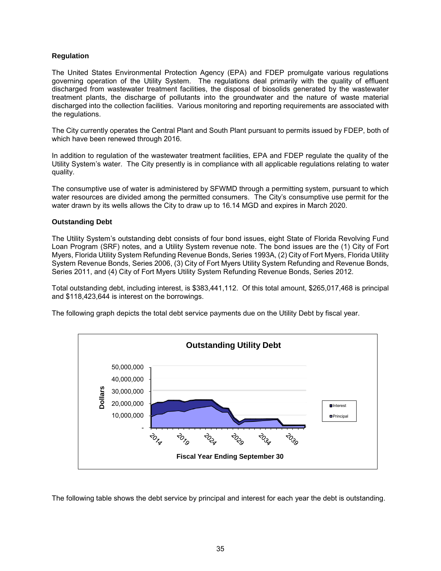### **Regulation**

The United States Environmental Protection Agency (EPA) and FDEP promulgate various regulations governing operation of the Utility System. The regulations deal primarily with the quality of effluent discharged from wastewater treatment facilities, the disposal of biosolids generated by the wastewater treatment plants, the discharge of pollutants into the groundwater and the nature of waste material discharged into the collection facilities. Various monitoring and reporting requirements are associated with the regulations.

The City currently operates the Central Plant and South Plant pursuant to permits issued by FDEP, both of which have been renewed through 2016.

In addition to regulation of the wastewater treatment facilities, EPA and FDEP regulate the quality of the Utility System's water. The City presently is in compliance with all applicable regulations relating to water quality.

The consumptive use of water is administered by SFWMD through a permitting system, pursuant to which water resources are divided among the permitted consumers. The City's consumptive use permit for the water drawn by its wells allows the City to draw up to 16.14 MGD and expires in March 2020.

### **Outstanding Debt**

The Utility System's outstanding debt consists of four bond issues, eight State of Florida Revolving Fund Loan Program (SRF) notes, and a Utility System revenue note. The bond issues are the (1) City of Fort Myers, Florida Utility System Refunding Revenue Bonds, Series 1993A, (2) City of Fort Myers, Florida Utility System Revenue Bonds, Series 2006, (3) City of Fort Myers Utility System Refunding and Revenue Bonds, Series 2011, and (4) City of Fort Myers Utility System Refunding Revenue Bonds, Series 2012.

Total outstanding debt, including interest, is \$383,441,112. Of this total amount, \$265,017,468 is principal and \$118,423,644 is interest on the borrowings.

The following graph depicts the total debt service payments due on the Utility Debt by fiscal year.



The following table shows the debt service by principal and interest for each year the debt is outstanding.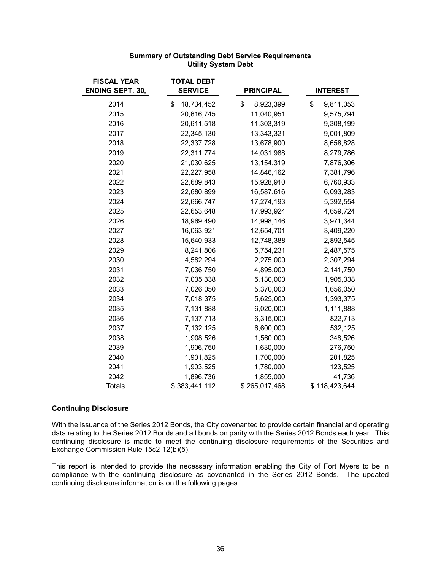| <b>FISCAL YEAR</b><br><b>ENDING SEPT. 30,</b> | <b>TOTAL DEBT</b><br><b>SERVICE</b> | <b>PRINCIPAL</b> | <b>INTEREST</b> |
|-----------------------------------------------|-------------------------------------|------------------|-----------------|
| 2014                                          | \$<br>18,734,452                    | \$<br>8,923,399  | \$<br>9,811,053 |
| 2015                                          | 20,616,745                          | 11,040,951       | 9,575,794       |
| 2016                                          | 20,611,518                          | 11,303,319       | 9,308,199       |
| 2017                                          | 22,345,130                          | 13,343,321       | 9,001,809       |
| 2018                                          | 22,337,728                          | 13,678,900       | 8,658,828       |
| 2019                                          | 22,311,774                          | 14,031,988       | 8,279,786       |
| 2020                                          | 21,030,625                          | 13, 154, 319     | 7,876,306       |
| 2021                                          | 22,227,958                          | 14,846,162       | 7,381,796       |
| 2022                                          | 22,689,843                          | 15,928,910       | 6,760,933       |
| 2023                                          | 22,680,899                          | 16,587,616       | 6,093,283       |
| 2024                                          | 22,666,747                          | 17,274,193       | 5,392,554       |
| 2025                                          | 22,653,648                          | 17,993,924       | 4,659,724       |
| 2026                                          | 18,969,490                          | 14,998,146       | 3,971,344       |
| 2027                                          | 16,063,921                          | 12,654,701       | 3,409,220       |
| 2028                                          | 15,640,933                          | 12,748,388       | 2,892,545       |
| 2029                                          | 8,241,806                           | 5,754,231        | 2,487,575       |
| 2030                                          | 4,582,294                           | 2,275,000        | 2,307,294       |
| 2031                                          | 7,036,750                           | 4,895,000        | 2,141,750       |
| 2032                                          | 7,035,338                           | 5,130,000        | 1,905,338       |
| 2033                                          | 7,026,050                           | 5,370,000        | 1,656,050       |
| 2034                                          | 7,018,375                           | 5,625,000        | 1,393,375       |
| 2035                                          | 7,131,888                           | 6,020,000        | 1,111,888       |
| 2036                                          | 7,137,713                           | 6,315,000        | 822,713         |
| 2037                                          | 7, 132, 125                         | 6,600,000        | 532,125         |
| 2038                                          | 1,908,526                           | 1,560,000        | 348,526         |
| 2039                                          | 1,906,750                           | 1,630,000        | 276,750         |
| 2040                                          | 1,901,825                           | 1,700,000        | 201,825         |
| 2041                                          | 1,903,525                           | 1,780,000        | 123,525         |
| 2042                                          | 1,896,736                           | 1,855,000        | 41,736          |
| <b>Totals</b>                                 | \$383,441,112                       | \$265,017,468    | \$118,423,644   |

# **Summary of Outstanding Debt Service Requirements Utility System Debt**

### **Continuing Disclosure**

With the issuance of the Series 2012 Bonds, the City covenanted to provide certain financial and operating data relating to the Series 2012 Bonds and all bonds on parity with the Series 2012 Bonds each year. This continuing disclosure is made to meet the continuing disclosure requirements of the Securities and Exchange Commission Rule 15c2-12(b)(5).

This report is intended to provide the necessary information enabling the City of Fort Myers to be in compliance with the continuing disclosure as covenanted in the Series 2012 Bonds. The updated continuing disclosure information is on the following pages.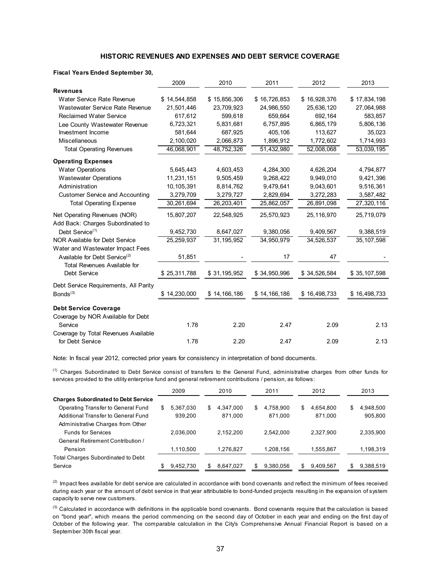### **HISTORIC REVENUES AND EXPENSES AND DEBT SERVICE COVERAGE**

#### **Fiscal Years Ended September 30,**

|                                                                                  | 2009         | 2010         | 2011         | 2012         | 2013         |
|----------------------------------------------------------------------------------|--------------|--------------|--------------|--------------|--------------|
| <b>Revenues</b>                                                                  |              |              |              |              |              |
| Water Service Rate Revenue                                                       | \$14,544,858 | \$15,856,306 | \$16,726,853 | \$16,928,376 | \$17,834,198 |
| Wastewater Service Rate Revenue                                                  | 21,501,446   | 23,709,923   | 24,986,550   | 25,636,120   | 27,064,988   |
| <b>Reclaimed Water Service</b>                                                   | 617,612      | 599,618      | 659,664      | 692,164      | 583,857      |
| Lee County Wastewater Revenue                                                    | 6,723,321    | 5,831,681    | 6,757,895    | 6,865,179    | 5,806,136    |
| Investment Income                                                                | 581,644      | 687,925      | 405,106      | 113,627      | 35,023       |
| <b>Miscellaneous</b>                                                             | 2,100,020    | 2,066,873    | 1,896,912    | 1,772,602    | 1,714,993    |
| <b>Total Operating Revenues</b>                                                  | 46,068,901   | 48,752,326   | 51,432,980   | 52,008,068   | 53,039,195   |
| <b>Operating Expenses</b>                                                        |              |              |              |              |              |
| <b>Water Operations</b>                                                          | 5,645,443    | 4,603,453    | 4,284,300    | 4,626,204    | 4,794,877    |
| <b>Wastewater Operations</b>                                                     | 11,231,151   | 9,505,459    | 9,268,422    | 9,949,010    | 9,421,396    |
| Administration                                                                   | 10,105,391   | 8,814,762    | 9,479,641    | 9,043,601    | 9,516,361    |
| <b>Customer Service and Accounting</b>                                           | 3,279,709    | 3,279,727    | 2,829,694    | 3,272,283    | 3,587,482    |
| <b>Total Operating Expense</b>                                                   | 30,261,694   | 26,203,401   | 25,862,057   | 26,891,098   | 27,320,116   |
| Net Operating Revenues (NOR)<br>Add Back: Charges Subordinated to                | 15,807,207   | 22,548,925   | 25,570,923   | 25,116,970   | 25,719,079   |
| Debt Service <sup>(1)</sup>                                                      | 9,452,730    | 8,647,027    | 9,380,056    | 9,409,567    | 9,388,519    |
| <b>NOR Available for Debt Service</b>                                            | 25,259,937   | 31, 195, 952 | 34,950,979   | 34,526,537   | 35, 107, 598 |
| Water and Wastewater Impact Fees                                                 |              |              |              |              |              |
| Available for Debt Service <sup>(2)</sup><br><b>Total Revenues Available for</b> | 51,851       |              | 17           | 47           |              |
| Debt Service                                                                     | \$25,311,788 | \$31,195,952 | \$34,950,996 | \$34,526,584 | \$35,107,598 |
| Debt Service Requirements, All Parity                                            |              |              |              |              |              |
| Bonds <sup>(3)</sup>                                                             | \$14,230,000 | \$14,166,186 | \$14,166,186 | \$16,498,733 | \$16,498,733 |
| <b>Debt Service Coverage</b>                                                     |              |              |              |              |              |
| Coverage by NOR Available for Debt                                               |              |              |              |              |              |
| Service                                                                          | 1.78         | 2.20         | 2.47         | 2.09         | 2.13         |
| Coverage by Total Revenues Available                                             |              |              |              |              |              |
| for Debt Service                                                                 | 1.78         | 2.20         | 2.47         | 2.09         | 2.13         |

Note: In fiscal year 2012, corrected prior years for consistency in interpretation of bond documents.

(1) Charges Subordinated to Debt Service consist of transfers to the General Fund, administrative charges from other funds for services provided to the utility enterprise fund and general retirement contributions / pension, as follows:

|                                             |     | 2009      |    | 2010      |   | 2011      |   | 2012      |    | 2013      |
|---------------------------------------------|-----|-----------|----|-----------|---|-----------|---|-----------|----|-----------|
| <b>Charges Subordinated to Debt Service</b> |     |           |    |           |   |           |   |           |    |           |
| Operating Transfer to General Fund          | S   | 5,367,030 | \$ | 4.347.000 | S | 4,758,900 | S | 4.654.800 | \$ | 4,948,500 |
| Additional Transfer to General Fund         |     | 939.200   |    | 871.000   |   | 871.000   |   | 871.000   |    | 905,800   |
| Administrative Charges from Other           |     |           |    |           |   |           |   |           |    |           |
| <b>Funds for Services</b>                   |     | 2.036.000 |    | 2.152.200 |   | 2.542.000 |   | 2.327.900 |    | 2,335,900 |
| General Retirement Contribution /           |     |           |    |           |   |           |   |           |    |           |
| Pension                                     |     | 1.110.500 |    | 1.276.827 |   | 1,208,156 |   | 1,555,867 |    | 1,198,319 |
| <b>Total Charges Subordinated to Debt</b>   |     |           |    |           |   |           |   |           |    |           |
| Service                                     | \$. | 9,452,730 | S  | 8.647.027 | S | 9,380,056 | S | 9.409.567 | S  | 9,388,519 |

 $<sup>(2)</sup>$  Impact fees available for debt service are calculated in accordance with bond covenants and reflect the minimum of fees received</sup> during each year or the amount of debt service in that year attributable to bond-funded projects resulting in the expansion of system capacity to serve new customers.

 $<sup>(3)</sup>$  Calculated in accordance with definitions in the applicable bond covenants. Bond covenants require that the calculation is based</sup> on "bond year", which means the period commencing on the second day of October in each year and ending on the first day of October of the following year. The comparable calculation in the City's Comprehensive Annual Financial Report is based on a September 30th fiscal year.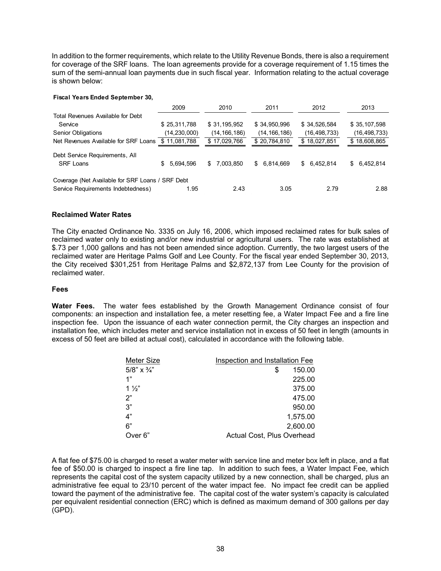In addition to the former requirements, which relate to the Utility Revenue Bonds, there is also a requirement for coverage of the SRF loans. The loan agreements provide for a coverage requirement of 1.15 times the sum of the semi-annual loan payments due in such fiscal year. Information relating to the actual coverage is shown below:

#### **Fiscal Years Ended September 30,**

|                                                  | 2009           | 2010           | 2011            | 2012             | 2013            |
|--------------------------------------------------|----------------|----------------|-----------------|------------------|-----------------|
| Total Revenues Available for Debt                |                |                |                 |                  |                 |
| Service                                          | \$25,311,788   | \$31,195,952   | \$34,950,996    | \$34,526,584     | \$35,107,598    |
| <b>Senior Obligations</b>                        | (14, 230, 000) | (14, 166, 186) | (14, 166, 186)  | (16, 498, 733)   | (16, 498, 733)  |
| Net Revenues Available for SRF Loans             | \$11,081,788   | \$17,029,766   | \$20,784,810    | \$18,027,851     | \$18,608,865    |
| Debt Service Requirements, All                   |                |                |                 |                  |                 |
| <b>SRF Loans</b>                                 | 5.694.596<br>S | \$ 7.003.850   | 6,814,669<br>S. | 6,452,814<br>\$. | 6,452,814<br>S. |
| Coverage (Net Available for SRF Loans / SRF Debt |                |                |                 |                  |                 |
| Service Requirements Indebtedness)               | 1.95           | 2.43           | 3.05            | 2.79             | 2.88            |

### **Reclaimed Water Rates**

The City enacted Ordinance No. 3335 on July 16, 2006, which imposed reclaimed rates for bulk sales of reclaimed water only to existing and/or new industrial or agricultural users. The rate was established at \$.73 per 1,000 gallons and has not been amended since adoption. Currently, the two largest users of the reclaimed water are Heritage Palms Golf and Lee County. For the fiscal year ended September 30, 2013, the City received \$301,251 from Heritage Palms and \$2,872,137 from Lee County for the provision of reclaimed water.

### **Fees**

**Water Fees.** The water fees established by the Growth Management Ordinance consist of four components: an inspection and installation fee, a meter resetting fee, a Water Impact Fee and a fire line inspection fee. Upon the issuance of each water connection permit, the City charges an inspection and installation fee, which includes meter and service installation not in excess of 50 feet in length (amounts in excess of 50 feet are billed at actual cost), calculated in accordance with the following table.

| Meter Size         | Inspection and Installation Fee |
|--------------------|---------------------------------|
| 5/8" $\times$ 3/4" | 150.00<br>S                     |
| 1"                 | 225.00                          |
| $1\frac{1}{2}$     | 375.00                          |
| 2"                 | 475.00                          |
| 3"                 | 950.00                          |
| 4"                 | 1,575.00                        |
| 6"                 | 2,600.00                        |
| Over 6"            | Actual Cost, Plus Overhead      |

A flat fee of \$75.00 is charged to reset a water meter with service line and meter box left in place, and a flat fee of \$50.00 is charged to inspect a fire line tap. In addition to such fees, a Water Impact Fee, which represents the capital cost of the system capacity utilized by a new connection, shall be charged, plus an administrative fee equal to 23/10 percent of the water impact fee. No impact fee credit can be applied toward the payment of the administrative fee. The capital cost of the water system's capacity is calculated per equivalent residential connection (ERC) which is defined as maximum demand of 300 gallons per day (GPD).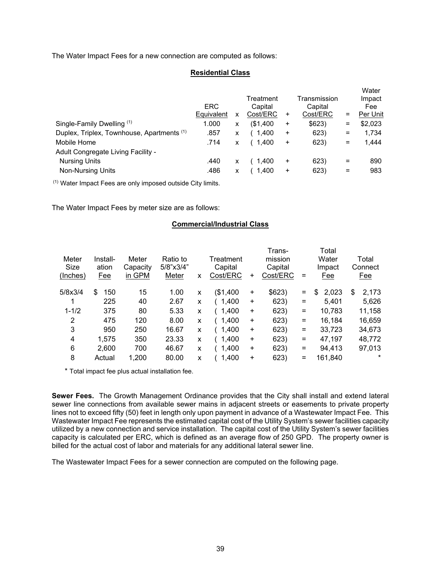The Water Impact Fees for a new connection are computed as follows:

### **Residential Class**

|                                                       |            |   |           |           |              |     | Water    |
|-------------------------------------------------------|------------|---|-----------|-----------|--------------|-----|----------|
|                                                       |            |   | Treatment |           | Transmission |     | Impact   |
|                                                       | <b>ERC</b> |   | Capital   |           | Capital      |     | Fee      |
|                                                       | Equivalent | x | Cost/ERC  | ÷         | Cost/ERC     | =   | Per Unit |
| Single-Family Dwelling (1)                            | 1.000      | x | (\$1,400  | $\ddot{}$ | \$623)       | =   | \$2,023  |
| Duplex, Triplex, Townhouse, Apartments <sup>(1)</sup> | .857       | x | 1,400     | $\ddot{}$ | 623)         | =   | 1,734    |
| Mobile Home                                           | .714       | x | 1.400     | +         | 623)         | $=$ | 1.444    |
| Adult Congregate Living Facility -                    |            |   |           |           |              |     |          |
| <b>Nursing Units</b>                                  | .440       | x | 1,400     | $\ddot{}$ | 623)         | =   | 890      |
| <b>Non-Nursing Units</b>                              | .486       | X | 1.400     | $\ddot{}$ | 623)         | =   | 983      |
|                                                       |            |   |           |           |              |     |          |

(1) Water Impact Fees are only imposed outside City limits.

The Water Impact Fees by meter size are as follows:

# **Commercial/Industrial Class**

| Meter<br><b>Size</b><br>(Inches) | Install-<br>ation<br><u>Fee</u> | Meter<br>Capacity<br>in GPM | Ratio to<br>5/8"x3/4"<br>Meter | X | Treatment<br>Capital<br>Cost/ERC | +         | Trans-<br>mission<br>Capital<br>Cost/ERC | $\equiv$ | Total<br>Water<br>Impact<br>Fee | Total<br>Connect<br><u>Fee</u> |
|----------------------------------|---------------------------------|-----------------------------|--------------------------------|---|----------------------------------|-----------|------------------------------------------|----------|---------------------------------|--------------------------------|
| 5/8x3/4                          | \$<br>150                       | 15                          | 1.00                           | X | (\$1,400                         | $\ddot{}$ | \$623)                                   | $\equiv$ | 2,023<br>\$                     | \$<br>2,173                    |
|                                  | 225                             | 40                          | 2.67                           | X | 1,400                            | $\ddot{}$ | 623)                                     | $\equiv$ | 5,401                           | 5,626                          |
| $1 - 1/2$                        | 375                             | 80                          | 5.33                           | X | 1,400                            | $\ddot{}$ | 623)                                     | $\equiv$ | 10,783                          | 11,158                         |
| 2                                | 475                             | 120                         | 8.00                           | X | 1,400                            | $\ddot{}$ | 623)                                     | $\equiv$ | 16,184                          | 16,659                         |
| 3                                | 950                             | 250                         | 16.67                          | x | 1,400                            | $\ddot{}$ | 623)                                     | $\equiv$ | 33,723                          | 34,673                         |
| 4                                | 1,575                           | 350                         | 23.33                          | X | 1,400                            | $\ddot{}$ | 623)                                     | $\equiv$ | 47,197                          | 48,772                         |
| 6                                | 2,600                           | 700                         | 46.67                          | X | 1,400                            | $\ddot{}$ | 623)                                     | $\equiv$ | 94,413                          | 97,013                         |
| 8                                | Actual                          | 1,200                       | 80.00                          | X | 1,400                            | $\ddot{}$ | 623)                                     | $=$      | 161,840                         | $\star$                        |

\* Total impact fee plus actual installation fee.

**Sewer Fees.** The Growth Management Ordinance provides that the City shall install and extend lateral sewer line connections from available sewer mains in adjacent streets or easements to private property lines not to exceed fifty (50) feet in length only upon payment in advance of a Wastewater Impact Fee. This Wastewater Impact Fee represents the estimated capital cost of the Utility System's sewer facilities capacity utilized by a new connection and service installation. The capital cost of the Utility System's sewer facilities capacity is calculated per ERC, which is defined as an average flow of 250 GPD. The property owner is billed for the actual cost of labor and materials for any additional lateral sewer line.

The Wastewater Impact Fees for a sewer connection are computed on the following page.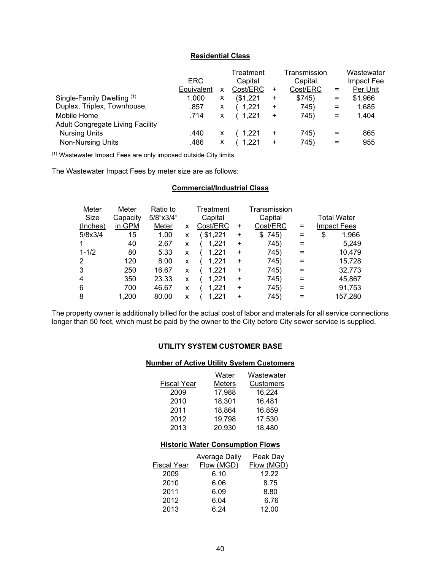## **Residential Class**

|                                         | ERC        |   | Treatment<br>Capital |           | Transmission<br>Capital |                   | Wastewater<br>Impact Fee |
|-----------------------------------------|------------|---|----------------------|-----------|-------------------------|-------------------|--------------------------|
|                                         | Equivalent | x | Cost/ERC             | +         | Cost/ERC                | $=$               | Per Unit                 |
| Single-Family Dwelling (1)              | 1.000      | X | (\$1,221             | +         | \$745)                  | $\equiv$          | \$1,966                  |
| Duplex, Triplex, Townhouse,             | .857       | X | 1.221                | $\ddot{}$ | 745)                    | $\qquad \qquad =$ | 1.685                    |
| Mobile Home                             | .714       | x | (1.221)              | +         | 745)                    | $=$               | 1,404                    |
| <b>Adult Congregate Living Facility</b> |            |   |                      |           |                         |                   |                          |
| <b>Nursing Units</b>                    | .440       | X | 1.221                | +         | 745)                    | $=$               | 865                      |
| Non-Nursing Units                       | .486       | х | 1.221                | +         | 745)                    | $=$               | 955                      |

(1) Wastewater Impact Fees are only imposed outside City limits.

The Wastewater Impact Fees by meter size are as follows:

# **Commercial/Industrial Class**

| Meter     | Meter    | Ratio to         |   | Treatment |           | Transmission |          |                    |         |
|-----------|----------|------------------|---|-----------|-----------|--------------|----------|--------------------|---------|
| Size      | Capacity | $5/8$ "x $3/4$ " |   | Capital   |           | Capital      |          | <b>Total Water</b> |         |
| (Inches)  | in GPM   | Meter            | x | Cost/ERC  | $\ddot{}$ | Cost/ERC     | $=$      | <b>Impact Fees</b> |         |
| 5/8x3/4   | 15       | 1.00             | X | \$1,221   | $\ddot{}$ | 745)<br>S    | $=$      | \$                 | 1,966   |
|           | 40       | 2.67             | x | 1.221     | +         | 745)         | $\equiv$ |                    | 5,249   |
| $1 - 1/2$ | 80       | 5.33             | x | 1.221     | ÷         | 745)         | $\equiv$ |                    | 10,479  |
| 2         | 120      | 8.00             | x | 1.221     | $\ddot{}$ | 745)         | $=$      |                    | 15,728  |
| 3         | 250      | 16.67            | x | 1.221     | $\ddot{}$ | 745)         | $\equiv$ |                    | 32,773  |
| 4         | 350      | 23.33            | x | 1.221     | $\ddot{}$ | 745)         | $=$      |                    | 45,867  |
| 6         | 700      | 46.67            | x | 1.221     | $\ddot{}$ | 745)         | $\equiv$ |                    | 91,753  |
| 8         | 1,200    | 80.00            | x | 1,221     | $\ddot{}$ | 745)         | =        |                    | 157,280 |

The property owner is additionally billed for the actual cost of labor and materials for all service connections longer than 50 feet, which must be paid by the owner to the City before City sewer service is supplied.

# **UTILITY SYSTEM CUSTOMER BASE**

## **Number of Active Utility System Customers**

|                    | Water                                   | Wastewater |
|--------------------|-----------------------------------------|------------|
| Fiscal Year        | Meters                                  | Customers  |
| 2009               | 17,988                                  | 16,224     |
| 2010               | 18,301                                  | 16,481     |
| 2011               | 18,864                                  | 16,859     |
| 2012               | 19,798                                  | 17,530     |
| 2013               | 20,930                                  | 18,480     |
|                    |                                         |            |
|                    | <b>Historic Water Consumption Flows</b> |            |
|                    | Average Daily                           | Peak Day   |
| <b>Fiscal Year</b> | Flow (MGD)                              | Flow (MGD) |
| 2009               | 6.10                                    | 12.22      |
| 2010               | 6.06                                    | 8.75       |
| 2011               | 6.09                                    | 8.80       |
| 2012               | 6.04                                    | 6.76       |

2013 6.24 12.00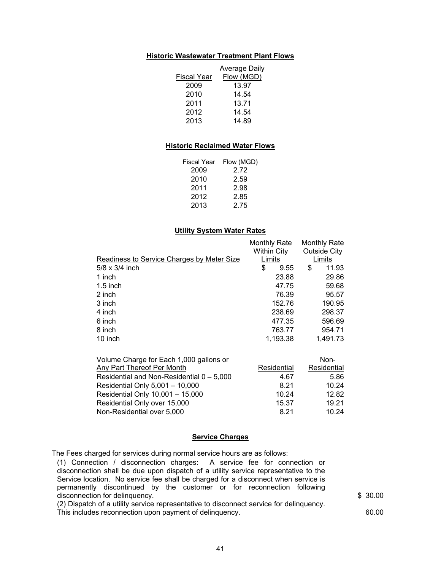### **Historic Wastewater Treatment Plant Flows**

|             | <b>Average Daily</b> |
|-------------|----------------------|
| Fiscal Year | Flow (MGD)           |
| 2009        | 13.97                |
| 2010        | 14.54                |
| 2011        | 13.71                |
| 2012        | 14.54                |
| 2013        | 14.89                |

### **Historic Reclaimed Water Flows**

| Fiscal Year | Flow (MGD) |
|-------------|------------|
| 2009        | 2.72       |
| 2010        | 2.59       |
| 2011        | 2.98       |
| 2012        | 2.85       |
| 2013        | 2.75       |

### **Utility System Water Rates**

|                                            | <b>Monthly Rate</b> |          | <b>Monthly Rate</b> |
|--------------------------------------------|---------------------|----------|---------------------|
|                                            | Within City         |          | <b>Outside City</b> |
| Readiness to Service Charges by Meter Size | Limits              |          | Limits              |
| 5/8 x 3/4 inch                             | \$                  | 9.55     | \$<br>11.93         |
| 1 inch                                     |                     | 23.88    | 29.86               |
| $1.5$ inch                                 |                     | 47.75    | 59.68               |
| 2 inch                                     |                     | 76.39    | 95.57               |
| 3 inch                                     |                     | 152.76   | 190.95              |
| 4 inch                                     |                     | 238.69   | 298.37              |
| 6 inch                                     |                     | 477.35   | 596.69              |
| 8 inch                                     |                     | 763.77   | 954.71              |
| 10 inch                                    |                     | 1,193.38 | 1,491.73            |

|             | Non-        |
|-------------|-------------|
| Residential | Residential |
| 4.67        | 5.86        |
| 8.21        | 10.24       |
| 10.24       | 12.82       |
| 15.37       | 19.21       |
| 8.21        | 10.24       |
|             |             |

### **Service Charges**

The Fees charged for services during normal service hours are as follows:

(1) Connection / disconnection charges: A service fee for connection or disconnection shall be due upon dispatch of a utility service representative to the Service location. No service fee shall be charged for a disconnect when service is permanently discontinued by the customer or for reconnection following disconnection for delinquency. \$30.00

(2) Dispatch of a utility service representative to disconnect service for delinquency. This includes reconnection upon payment of delinquency. 60.00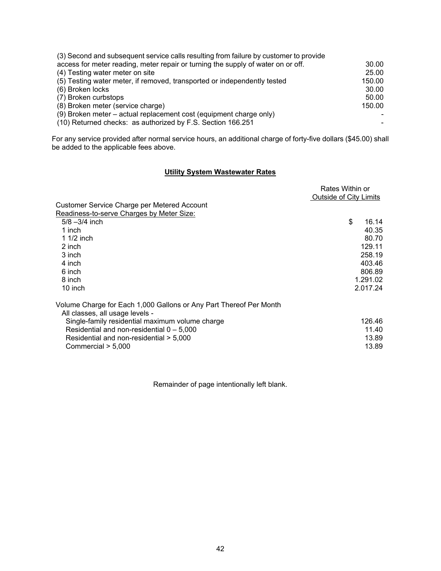| (3) Second and subsequent service calls resulting from failure by customer to provide |        |
|---------------------------------------------------------------------------------------|--------|
| access for meter reading, meter repair or turning the supply of water on or off.      | 30.00  |
| (4) Testing water meter on site                                                       | 25.00  |
| (5) Testing water meter, if removed, transported or independently tested              | 150.00 |
| (6) Broken locks                                                                      | 30.00  |
| (7) Broken curbstops                                                                  | 50.00  |
| (8) Broken meter (service charge)                                                     | 150.00 |
| (9) Broken meter – actual replacement cost (equipment charge only)                    |        |
| (10) Returned checks: as authorized by F.S. Section 166.251                           |        |

For any service provided after normal service hours, an additional charge of forty-five dollars (\$45.00) shall be added to the applicable fees above.

# **Utility System Wastewater Rates**

|                                                                    | Rates Within or               |          |
|--------------------------------------------------------------------|-------------------------------|----------|
|                                                                    | <b>Outside of City Limits</b> |          |
| <b>Customer Service Charge per Metered Account</b>                 |                               |          |
| Readiness-to-serve Charges by Meter Size:                          |                               |          |
| $5/8 - 3/4$ inch                                                   | \$                            | 16.14    |
| 1 inch                                                             |                               | 40.35    |
| 1 $1/2$ inch                                                       |                               | 80.70    |
| 2 inch                                                             |                               | 129.11   |
| 3 inch                                                             |                               | 258.19   |
| 4 inch                                                             |                               | 403.46   |
| 6 inch                                                             |                               | 806.89   |
| 8 inch                                                             |                               | 1.291.02 |
| 10 inch                                                            |                               | 2.017.24 |
| Volume Charge for Each 1,000 Gallons or Any Part Thereof Per Month |                               |          |
| All classes, all usage levels -                                    |                               |          |
| Single-family residential maximum volume charge                    |                               | 126.46   |
| Residential and non-residential $0 - 5,000$                        |                               | 11.40    |
| Residential and non-residential > 5,000                            |                               | 13.89    |
| Commercial > 5,000                                                 |                               | 13.89    |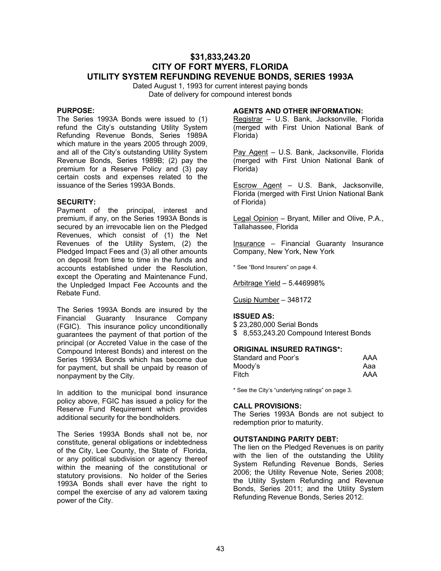# **\$31,833,243.20 CITY OF FORT MYERS, FLORIDA UTILITY SYSTEM REFUNDING REVENUE BONDS, SERIES 1993A**

Dated August 1, 1993 for current interest paying bonds Date of delivery for compound interest bonds

### **PURPOSE:**

The Series 1993A Bonds were issued to (1) refund the City's outstanding Utility System Refunding Revenue Bonds, Series 1989A which mature in the years 2005 through 2009, and all of the City's outstanding Utility System Revenue Bonds, Series 1989B; (2) pay the premium for a Reserve Policy and (3) pay certain costs and expenses related to the issuance of the Series 1993A Bonds.

### **SECURITY:**

Payment of the principal, interest and premium, if any, on the Series 1993A Bonds is secured by an irrevocable lien on the Pledged Revenues, which consist of (1) the Net Revenues of the Utility System, (2) the Pledged Impact Fees and (3) all other amounts on deposit from time to time in the funds and accounts established under the Resolution, except the Operating and Maintenance Fund, the Unpledged Impact Fee Accounts and the Rebate Fund.

The Series 1993A Bonds are insured by the Financial Guaranty Insurance Company (FGIC). This insurance policy unconditionally guarantees the payment of that portion of the principal (or Accreted Value in the case of the Compound Interest Bonds) and interest on the Series 1993A Bonds which has become due for payment, but shall be unpaid by reason of nonpayment by the City.

In addition to the municipal bond insurance policy above, FGIC has issued a policy for the Reserve Fund Requirement which provides additional security for the bondholders.

The Series 1993A Bonds shall not be, nor constitute, general obligations or indebtedness of the City, Lee County, the State of Florida, or any political subdivision or agency thereof within the meaning of the constitutional or statutory provisions. No holder of the Series 1993A Bonds shall ever have the right to compel the exercise of any ad valorem taxing power of the City.

### **AGENTS AND OTHER INFORMATION:**

Registrar - U.S. Bank, Jacksonville, Florida (merged with First Union National Bank of Florida)

Pay Agent – U.S. Bank, Jacksonville, Florida (merged with First Union National Bank of Florida)

Escrow Agent - U.S. Bank, Jacksonville, Florida (merged with First Union National Bank of Florida)

Legal Opinion – Bryant, Miller and Olive, P.A., Tallahassee, Florida

Insurance – Financial Guaranty Insurance Company, New York, New York

\* See "Bond Insurers" on page 4.

Arbitrage Yield – 5.446998%

Cusip Number – 348172

#### **ISSUED AS:**

\$ 23,280,000 Serial Bonds \$ 8,553,243.20 Compound Interest Bonds

### **ORIGINAL INSURED RATINGS\*:**

| Standard and Poor's | AAA |
|---------------------|-----|
| Moody's             | Aaa |
| Fitch               | AAA |

\* See the City's "underlying ratings" on page 3.

#### **CALL PROVISIONS:**

The Series 1993A Bonds are not subject to redemption prior to maturity.

#### **OUTSTANDING PARITY DEBT:**

The lien on the Pledged Revenues is on parity with the lien of the outstanding the Utility System Refunding Revenue Bonds, Series 2006; the Utility Revenue Note, Series 2008; the Utility System Refunding and Revenue Bonds, Series 2011; and the Utility System Refunding Revenue Bonds, Series 2012.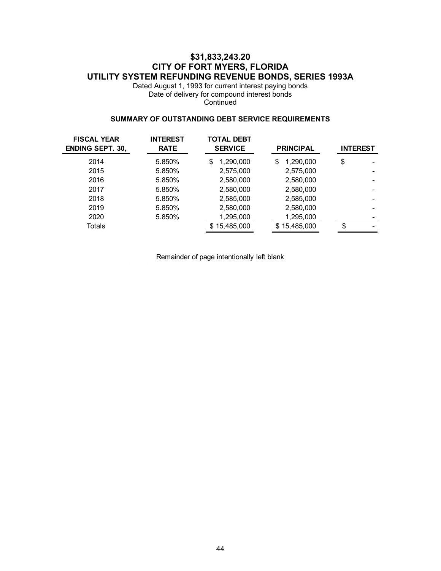# **\$31,833,243.20 CITY OF FORT MYERS, FLORIDA UTILITY SYSTEM REFUNDING REVENUE BONDS, SERIES 1993A**

Dated August 1, 1993 for current interest paying bonds Date of delivery for compound interest bonds **Continued** 

### **SUMMARY OF OUTSTANDING DEBT SERVICE REQUIREMENTS**

| <b>FISCAL YEAR</b><br><b>ENDING SEPT. 30,</b> | <b>INTEREST</b><br><b>RATE</b> | <b>TOTAL DEBT</b><br><b>SERVICE</b> | <b>PRINCIPAL</b>  | <b>INTEREST</b> |  |
|-----------------------------------------------|--------------------------------|-------------------------------------|-------------------|-----------------|--|
| 2014                                          | 5.850%                         | 1,290,000<br>\$                     | 1,290,000<br>S    | \$              |  |
| 2015                                          | 5.850%                         | 2,575,000                           | 2,575,000         |                 |  |
| 2016                                          | 5.850%                         | 2,580,000                           | 2,580,000         |                 |  |
| 2017                                          | 5.850%                         | 2,580,000                           | 2,580,000         |                 |  |
| 2018                                          | 5.850%                         | 2,585,000                           | 2,585,000         |                 |  |
| 2019                                          | 5.850%                         | 2,580,000                           | 2,580,000         |                 |  |
| 2020                                          | 5.850%                         | 1,295,000                           | 1,295,000         |                 |  |
| Totals                                        |                                | \$15,485,000                        | 15,485,000<br>\$. | \$              |  |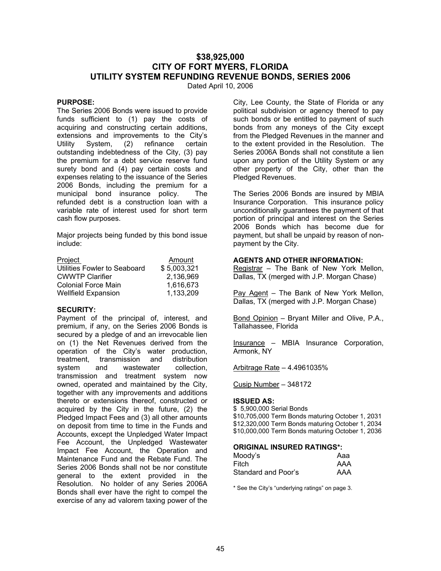# **\$38,925,000 CITY OF FORT MYERS, FLORIDA UTILITY SYSTEM REFUNDING REVENUE BONDS, SERIES 2006**

Dated April 10, 2006

# **PURPOSE:**

The Series 2006 Bonds were issued to provide funds sufficient to (1) pay the costs of acquiring and constructing certain additions, extensions and improvements to the City's Utility System, (2) refinance certain outstanding indebtedness of the City, (3) pay the premium for a debt service reserve fund surety bond and (4) pay certain costs and expenses relating to the issuance of the Series 2006 Bonds, including the premium for a municipal bond insurance policy. The refunded debt is a construction loan with a variable rate of interest used for short term cash flow purposes.

Major projects being funded by this bond issue include:

| Project                      | Amount      |
|------------------------------|-------------|
| Utilities Fowler to Seaboard | \$5,003,321 |
| <b>CWWTP Clarifier</b>       | 2,136,969   |
| Colonial Force Main          | 1,616,673   |
| <b>Wellfield Expansion</b>   | 1,133,209   |

### **SECURITY:**

Payment of the principal of, interest, and premium, if any, on the Series 2006 Bonds is secured by a pledge of and an irrevocable lien on (1) the Net Revenues derived from the operation of the City's water production, treatment, transmission and distribution system and wastewater collection, transmission and treatment system now owned, operated and maintained by the City, together with any improvements and additions thereto or extensions thereof, constructed or acquired by the City in the future, (2) the Pledged Impact Fees and (3) all other amounts on deposit from time to time in the Funds and Accounts, except the Unpledged Water Impact Fee Account, the Unpledged Wastewater Impact Fee Account, the Operation and Maintenance Fund and the Rebate Fund. The Series 2006 Bonds shall not be nor constitute general to the extent provided in the Resolution. No holder of any Series 2006A Bonds shall ever have the right to compel the exercise of any ad valorem taxing power of the

City, Lee County, the State of Florida or any political subdivision or agency thereof to pay such bonds or be entitled to payment of such bonds from any moneys of the City except from the Pledged Revenues in the manner and to the extent provided in the Resolution. The Series 2006A Bonds shall not constitute a lien upon any portion of the Utility System or any other property of the City, other than the Pledged Revenues.

The Series 2006 Bonds are insured by MBIA Insurance Corporation. This insurance policy unconditionally guarantees the payment of that portion of principal and interest on the Series 2006 Bonds which has become due for payment, but shall be unpaid by reason of nonpayment by the City.

#### **AGENTS AND OTHER INFORMATION:**

Registrar – The Bank of New York Mellon, Dallas, TX (merged with J.P. Morgan Chase)

Pay Agent – The Bank of New York Mellon, Dallas, TX (merged with J.P. Morgan Chase)

Bond Opinion – Bryant Miller and Olive, P.A., Tallahassee, Florida

Insurance – MBIA Insurance Corporation, Armonk, NY

Arbitrage Rate – 4.4961035%

Cusip Number – 348172

## **ISSUED AS:**

\$ 5,900,000 Serial Bonds \$10,705,000 Term Bonds maturing October 1, 2031 \$12,320,000 Term Bonds maturing October 1, 2034 \$10,000,000 Term Bonds maturing October 1, 2036

#### **ORIGINAL INSURED RATINGS\*:**

| Moody's             | Aaa |
|---------------------|-----|
| Fitch               | AAA |
| Standard and Poor's | AAA |

\* See the City's "underlying ratings" on page 3.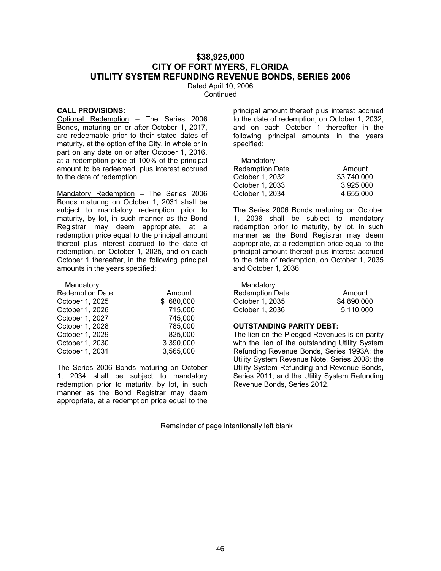# **\$38,925,000 CITY OF FORT MYERS, FLORIDA UTILITY SYSTEM REFUNDING REVENUE BONDS, SERIES 2006**

Dated April 10, 2006 **Continued** 

#### **CALL PROVISIONS:**

Optional Redemption – The Series 2006 Bonds, maturing on or after October 1, 2017, are redeemable prior to their stated dates of maturity, at the option of the City, in whole or in part on any date on or after October 1, 2016, at a redemption price of 100% of the principal amount to be redeemed, plus interest accrued to the date of redemption.

Mandatory Redemption – The Series 2006 Bonds maturing on October 1, 2031 shall be subject to mandatory redemption prior to maturity, by lot, in such manner as the Bond Registrar may deem appropriate, at a redemption price equal to the principal amount thereof plus interest accrued to the date of redemption, on October 1, 2025, and on each October 1 thereafter, in the following principal amounts in the years specified:

| Mandatory              |           |
|------------------------|-----------|
| <b>Redemption Date</b> | Amount    |
| October 1, 2025        | \$680,000 |
| October 1, 2026        | 715,000   |
| October 1, 2027        | 745,000   |
| October 1, 2028        | 785,000   |
| October 1, 2029        | 825,000   |
| October 1, 2030        | 3,390,000 |
| October 1, 2031        | 3,565,000 |

The Series 2006 Bonds maturing on October 1, 2034 shall be subject to mandatory redemption prior to maturity, by lot, in such manner as the Bond Registrar may deem appropriate, at a redemption price equal to the

principal amount thereof plus interest accrued to the date of redemption, on October 1, 2032, and on each October 1 thereafter in the following principal amounts in the years specified:

| Mandatory              |             |
|------------------------|-------------|
| <b>Redemption Date</b> | Amount      |
| October 1, 2032        | \$3,740,000 |
| October 1, 2033        | 3,925,000   |
| October 1, 2034        | 4,655,000   |

The Series 2006 Bonds maturing on October 1, 2036 shall be subject to mandatory redemption prior to maturity, by lot, in such manner as the Bond Registrar may deem appropriate, at a redemption price equal to the principal amount thereof plus interest accrued to the date of redemption, on October 1, 2035 and October 1, 2036:

| Mandatory |  |
|-----------|--|
|-----------|--|

| Amount      |
|-------------|
| \$4,890,000 |
| 5.110.000   |
|             |

#### **OUTSTANDING PARITY DEBT:**

The lien on the Pledged Revenues is on parity with the lien of the outstanding Utility System Refunding Revenue Bonds, Series 1993A; the Utility System Revenue Note, Series 2008; the Utility System Refunding and Revenue Bonds, Series 2011; and the Utility System Refunding Revenue Bonds, Series 2012.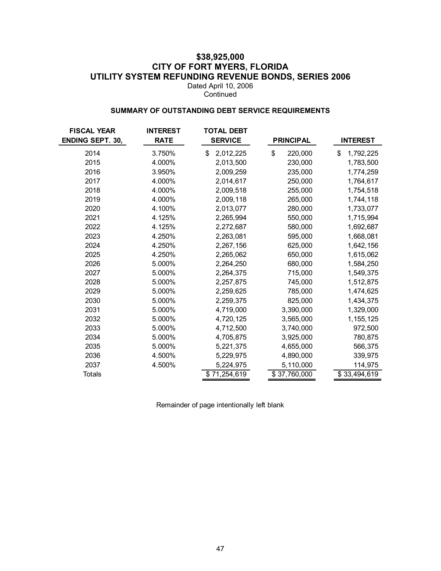# **\$38,925,000 CITY OF FORT MYERS, FLORIDA UTILITY SYSTEM REFUNDING REVENUE BONDS, SERIES 2006**

Dated April 10, 2006 Continued

### **SUMMARY OF OUTSTANDING DEBT SERVICE REQUIREMENTS**

| <b>FISCAL YEAR</b>      | <b>INTEREST</b> | <b>TOTAL DEBT</b> |                  |                 |
|-------------------------|-----------------|-------------------|------------------|-----------------|
| <b>ENDING SEPT. 30,</b> | <b>RATE</b>     | <b>SERVICE</b>    | <b>PRINCIPAL</b> | <b>INTEREST</b> |
| 2014                    | 3.750%          | \$<br>2,012,225   | \$<br>220,000    | \$<br>1,792,225 |
| 2015                    | 4.000%          | 2,013,500         | 230,000          | 1,783,500       |
| 2016                    | 3.950%          | 2,009,259         | 235,000          | 1,774,259       |
| 2017                    | 4.000%          | 2,014,617         | 250,000          | 1,764,617       |
| 2018                    | 4.000%          | 2,009,518         | 255,000          | 1,754,518       |
| 2019                    | 4.000%          | 2,009,118         | 265,000          | 1,744,118       |
| 2020                    | 4.100%          | 2,013,077         | 280,000          | 1,733,077       |
| 2021                    | 4.125%          | 2,265,994         | 550,000          | 1,715,994       |
| 2022                    | 4.125%          | 2,272,687         | 580,000          | 1,692,687       |
| 2023                    | 4.250%          | 2,263,081         | 595,000          | 1,668,081       |
| 2024                    | 4.250%          | 2,267,156         | 625,000          | 1,642,156       |
| 2025                    | 4.250%          | 2,265,062         | 650,000          | 1,615,062       |
| 2026                    | 5.000%          | 2,264,250         | 680,000          | 1,584,250       |
| 2027                    | 5.000%          | 2,264,375         | 715,000          | 1,549,375       |
| 2028                    | 5.000%          | 2,257,875         | 745,000          | 1,512,875       |
| 2029                    | 5.000%          | 2,259,625         | 785,000          | 1,474,625       |
| 2030                    | 5.000%          | 2,259,375         | 825,000          | 1,434,375       |
| 2031                    | 5.000%          | 4,719,000         | 3,390,000        | 1,329,000       |
| 2032                    | 5.000%          | 4,720,125         | 3,565,000        | 1, 155, 125     |
| 2033                    | 5.000%          | 4,712,500         | 3,740,000        | 972,500         |
| 2034                    | 5.000%          | 4,705,875         | 3,925,000        | 780,875         |
| 2035                    | 5.000%          | 5,221,375         | 4,655,000        | 566,375         |
| 2036                    | 4.500%          | 5,229,975         | 4,890,000        | 339,975         |
| 2037                    | 4.500%          | 5,224,975         | 5,110,000        | 114,975         |
| <b>Totals</b>           |                 | \$71,254,619      | \$37,760,000     | \$33,494,619    |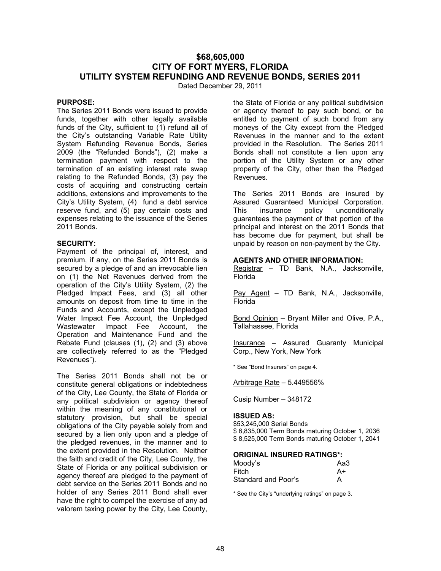# **\$68,605,000 CITY OF FORT MYERS, FLORIDA UTILITY SYSTEM REFUNDING AND REVENUE BONDS, SERIES 2011**

Dated December 29, 2011

### **PURPOSE:**

The Series 2011 Bonds were issued to provide funds, together with other legally available funds of the City, sufficient to (1) refund all of the City's outstanding Variable Rate Utility System Refunding Revenue Bonds, Series 2009 (the "Refunded Bonds"), (2) make a termination payment with respect to the termination of an existing interest rate swap relating to the Refunded Bonds, (3) pay the costs of acquiring and constructing certain additions, extensions and improvements to the City's Utility System, (4) fund a debt service reserve fund, and (5) pay certain costs and expenses relating to the issuance of the Series 2011 Bonds.

#### **SECURITY:**

Payment of the principal of, interest, and premium, if any, on the Series 2011 Bonds is secured by a pledge of and an irrevocable lien on (1) the Net Revenues derived from the operation of the City's Utility System, (2) the Pledged Impact Fees, and (3) all other amounts on deposit from time to time in the Funds and Accounts, except the Unpledged Water Impact Fee Account, the Unpledged Wastewater Impact Fee Account, the Operation and Maintenance Fund and the Rebate Fund (clauses (1), (2) and (3) above are collectively referred to as the "Pledged Revenues").

The Series 2011 Bonds shall not be or constitute general obligations or indebtedness of the City, Lee County, the State of Florida or any political subdivision or agency thereof within the meaning of any constitutional or statutory provision, but shall be special obligations of the City payable solely from and secured by a lien only upon and a pledge of the pledged revenues, in the manner and to the extent provided in the Resolution. Neither the faith and credit of the City, Lee County, the State of Florida or any political subdivision or agency thereof are pledged to the payment of debt service on the Series 2011 Bonds and no holder of any Series 2011 Bond shall ever have the right to compel the exercise of any ad valorem taxing power by the City, Lee County,

the State of Florida or any political subdivision or agency thereof to pay such bond, or be entitled to payment of such bond from any moneys of the City except from the Pledged Revenues in the manner and to the extent provided in the Resolution. The Series 2011 Bonds shall not constitute a lien upon any portion of the Utility System or any other property of the City, other than the Pledged Revenues.

The Series 2011 Bonds are insured by Assured Guaranteed Municipal Corporation. This insurance policy unconditionally guarantees the payment of that portion of the principal and interest on the 2011 Bonds that has become due for payment, but shall be unpaid by reason on non-payment by the City.

#### **AGENTS AND OTHER INFORMATION:**

Registrar – TD Bank, N.A., Jacksonville, Florida

Pay Agent - TD Bank, N.A., Jacksonville, Florida

Bond Opinion – Bryant Miller and Olive, P.A., Tallahassee, Florida

Insurance – Assured Guaranty Municipal Corp., New York, New York

\* See "Bond Insurers" on page 4.

Arbitrage Rate – 5.449556%

Cusip Number – 348172

#### **ISSUED AS:**

\$53,245,000 Serial Bonds \$ 6,835,000 Term Bonds maturing October 1, 2036 \$ 8,525,000 Term Bonds maturing October 1, 2041

#### **ORIGINAL INSURED RATINGS\*:**

| Moody's             | Aa3 |
|---------------------|-----|
| Fitch               | A+  |
| Standard and Poor's | А   |

\* See the City's "underlying ratings" on page 3.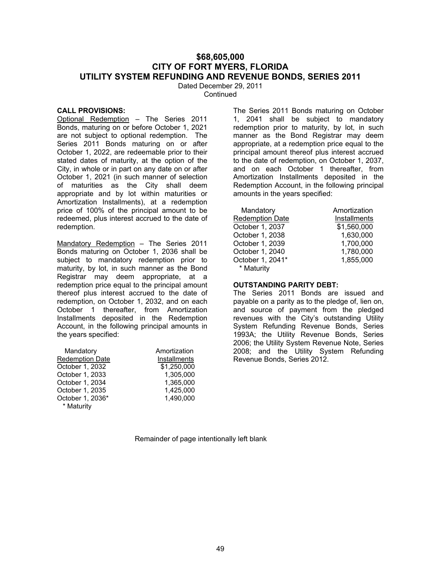# **\$68,605,000 CITY OF FORT MYERS, FLORIDA UTILITY SYSTEM REFUNDING AND REVENUE BONDS, SERIES 2011**

Dated December 29, 2011 **Continued** 

#### **CALL PROVISIONS:**

Optional Redemption – The Series 2011 Bonds, maturing on or before October 1, 2021 are not subject to optional redemption. The Series 2011 Bonds maturing on or after October 1, 2022, are redeemable prior to their stated dates of maturity, at the option of the City, in whole or in part on any date on or after October 1, 2021 (in such manner of selection of maturities as the City shall deem appropriate and by lot within maturities or Amortization Installments), at a redemption price of 100% of the principal amount to be redeemed, plus interest accrued to the date of redemption.

Mandatory Redemption - The Series 2011 Bonds maturing on October 1, 2036 shall be subject to mandatory redemption prior to maturity, by lot, in such manner as the Bond Registrar may deem appropriate, at a redemption price equal to the principal amount thereof plus interest accrued to the date of redemption, on October 1, 2032, and on each October 1 thereafter, from Amortization Installments deposited in the Redemption Account, in the following principal amounts in the years specified:

| Mandatory              | Amortization |
|------------------------|--------------|
| <b>Redemption Date</b> | Installments |
| October 1, 2032        | \$1,250,000  |
| October 1, 2033        | 1,305,000    |
| October 1, 2034        | 1,365,000    |
| October 1, 2035        | 1,425,000    |
| October 1, 2036*       | 1,490,000    |
| * Maturity             |              |

The Series 2011 Bonds maturing on October 1, 2041 shall be subject to mandatory redemption prior to maturity, by lot, in such manner as the Bond Registrar may deem appropriate, at a redemption price equal to the principal amount thereof plus interest accrued to the date of redemption, on October 1, 2037, and on each October 1 thereafter, from Amortization Installments deposited in the Redemption Account, in the following principal amounts in the years specified:

| Mandatory              | Amortization |
|------------------------|--------------|
| <b>Redemption Date</b> | Installments |
| October 1, 2037        | \$1,560,000  |
| October 1, 2038        | 1,630,000    |
| October 1, 2039        | 1,700,000    |
| October 1, 2040        | 1,780,000    |
| October 1, 2041*       | 1,855,000    |
| * Maturity             |              |

### **OUTSTANDING PARITY DEBT:**

The Series 2011 Bonds are issued and payable on a parity as to the pledge of, lien on, and source of payment from the pledged revenues with the City's outstanding Utility System Refunding Revenue Bonds, Series 1993A; the Utility Revenue Bonds, Series 2006; the Utility System Revenue Note, Series 2008; and the Utility System Refunding Revenue Bonds, Series 2012.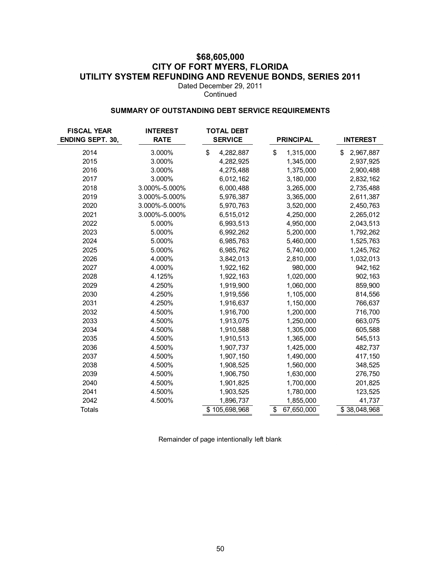# **\$68,605,000 CITY OF FORT MYERS, FLORIDA UTILITY SYSTEM REFUNDING AND REVENUE BONDS, SERIES 2011**

Dated December 29, 2011 Continued

### **SUMMARY OF OUTSTANDING DEBT SERVICE REQUIREMENTS**

| <b>FISCAL YEAR</b><br><b>ENDING SEPT. 30,</b> | <b>INTEREST</b><br><b>RATE</b> | <b>TOTAL DEBT</b><br><b>SERVICE</b> | <b>PRINCIPAL</b> | <b>INTEREST</b> |
|-----------------------------------------------|--------------------------------|-------------------------------------|------------------|-----------------|
| 2014                                          | 3.000%                         | \$<br>4,282,887                     | \$<br>1,315,000  | 2,967,887<br>\$ |
| 2015                                          | 3.000%                         | 4,282,925                           | 1,345,000        | 2,937,925       |
| 2016                                          | 3.000%                         | 4,275,488                           | 1,375,000        | 2,900,488       |
| 2017                                          | 3.000%                         | 6,012,162                           | 3,180,000        | 2,832,162       |
| 2018                                          | 3.000%-5.000%                  | 6,000,488                           | 3,265,000        | 2,735,488       |
| 2019                                          | 3.000%-5.000%                  | 5,976,387                           | 3,365,000        | 2,611,387       |
| 2020                                          | 3.000%-5.000%                  | 5,970,763                           | 3,520,000        | 2,450,763       |
| 2021                                          | 3.000%-5.000%                  | 6,515,012                           | 4,250,000        | 2,265,012       |
| 2022                                          | 5.000%                         | 6,993,513                           | 4,950,000        | 2,043,513       |
| 2023                                          | 5.000%                         | 6,992,262                           | 5,200,000        | 1,792,262       |
| 2024                                          | 5.000%                         | 6,985,763                           | 5,460,000        | 1,525,763       |
| 2025                                          | 5.000%                         | 6,985,762                           | 5,740,000        | 1,245,762       |
| 2026                                          | 4.000%                         | 3,842,013                           | 2,810,000        | 1,032,013       |
| 2027                                          | 4.000%                         | 1,922,162                           | 980,000          | 942,162         |
| 2028                                          | 4.125%                         | 1,922,163                           | 1,020,000        | 902,163         |
| 2029                                          | 4.250%                         | 1,919,900                           | 1,060,000        | 859,900         |
| 2030                                          | 4.250%                         | 1,919,556                           | 1,105,000        | 814,556         |
| 2031                                          | 4.250%                         | 1,916,637                           | 1,150,000        | 766,637         |
| 2032                                          | 4.500%                         | 1,916,700                           | 1,200,000        | 716,700         |
| 2033                                          | 4.500%                         | 1,913,075                           | 1,250,000        | 663,075         |
| 2034                                          | 4.500%                         | 1,910,588                           | 1,305,000        | 605,588         |
| 2035                                          | 4.500%                         | 1,910,513                           | 1,365,000        | 545,513         |
| 2036                                          | 4.500%                         | 1,907,737                           | 1,425,000        | 482,737         |
| 2037                                          | 4.500%                         | 1,907,150                           | 1,490,000        | 417,150         |
| 2038                                          | 4.500%                         | 1,908,525                           | 1,560,000        | 348,525         |
| 2039                                          | 4.500%                         | 1,906,750                           | 1,630,000        | 276,750         |
| 2040                                          | 4.500%                         | 1,901,825                           | 1,700,000        | 201,825         |
| 2041                                          | 4.500%                         | 1,903,525                           | 1,780,000        | 123,525         |
| 2042                                          | 4.500%                         | 1,896,737                           | 1,855,000        | 41,737          |
| <b>Totals</b>                                 |                                | \$105,698,968                       | 67,650,000<br>\$ | \$38,048,968    |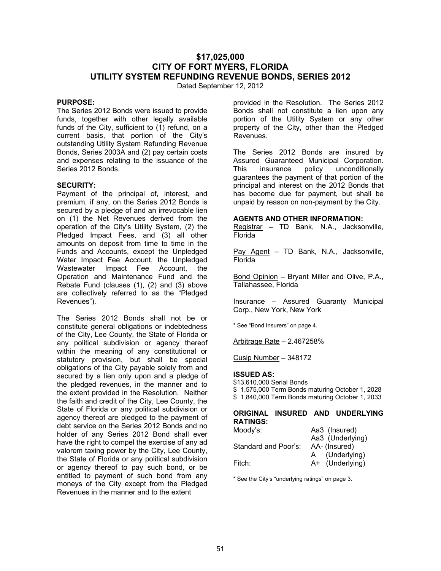# **\$17,025,000 CITY OF FORT MYERS, FLORIDA UTILITY SYSTEM REFUNDING REVENUE BONDS, SERIES 2012**

Dated September 12, 2012

# **PURPOSE:**

The Series 2012 Bonds were issued to provide funds, together with other legally available funds of the City, sufficient to (1) refund, on a current basis, that portion of the City's outstanding Utility System Refunding Revenue Bonds, Series 2003A and (2) pay certain costs and expenses relating to the issuance of the Series 2012 Bonds.

### **SECURITY:**

Payment of the principal of, interest, and premium, if any, on the Series 2012 Bonds is secured by a pledge of and an irrevocable lien on (1) the Net Revenues derived from the operation of the City's Utility System, (2) the Pledged Impact Fees, and (3) all other amounts on deposit from time to time in the Funds and Accounts, except the Unpledged Water Impact Fee Account, the Unpledged Wastewater Impact Fee Account, the Operation and Maintenance Fund and the Rebate Fund (clauses (1), (2) and (3) above are collectively referred to as the "Pledged Revenues").

The Series 2012 Bonds shall not be or constitute general obligations or indebtedness of the City, Lee County, the State of Florida or any political subdivision or agency thereof within the meaning of any constitutional or statutory provision, but shall be special obligations of the City payable solely from and secured by a lien only upon and a pledge of the pledged revenues, in the manner and to the extent provided in the Resolution. Neither the faith and credit of the City, Lee County, the State of Florida or any political subdivision or agency thereof are pledged to the payment of debt service on the Series 2012 Bonds and no holder of any Series 2012 Bond shall ever have the right to compel the exercise of any ad valorem taxing power by the City, Lee County, the State of Florida or any political subdivision or agency thereof to pay such bond, or be entitled to payment of such bond from any moneys of the City except from the Pledged Revenues in the manner and to the extent

provided in the Resolution. The Series 2012 Bonds shall not constitute a lien upon any portion of the Utility System or any other property of the City, other than the Pledged Revenues.

The Series 2012 Bonds are insured by Assured Guaranteed Municipal Corporation. This insurance policy unconditionally guarantees the payment of that portion of the principal and interest on the 2012 Bonds that has become due for payment, but shall be unpaid by reason on non-payment by the City.

## **AGENTS AND OTHER INFORMATION:**

Registrar – TD Bank, N.A., Jacksonville, Florida

Pay Agent - TD Bank, N.A., Jacksonville, Florida

Bond Opinion – Bryant Miller and Olive, P.A., Tallahassee, Florida

Insurance – Assured Guaranty Municipal Corp., New York, New York

\* See "Bond Insurers" on page 4.

Arbitrage Rate – 2.467258%

Cusip Number – 348172

# **ISSUED AS:**

\$13,610,000 Serial Bonds \$ 1,575,000 Term Bonds maturing October 1, 2028 \$ 1,840,000 Term Bonds maturing October 1, 2033

### **ORIGINAL INSURED AND UNDERLYING RATINGS:**

| Moody's:             | Aa3 (Insured)    |
|----------------------|------------------|
|                      | Aa3 (Underlying) |
| Standard and Poor's: | AA- (Insured)    |
|                      | (Underlying)     |
| Fitch:               | A+ (Underlying)  |

\* See the City's "underlying ratings" on page 3.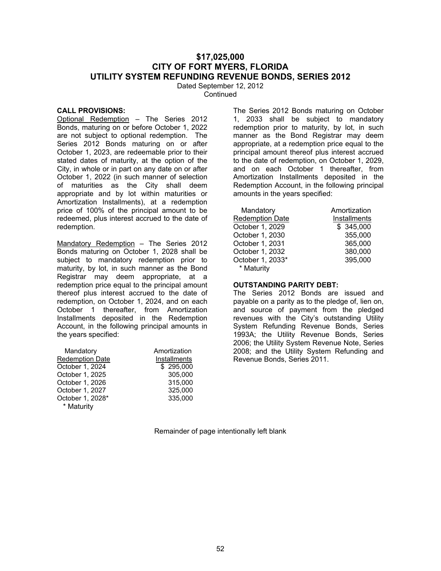# **\$17,025,000 CITY OF FORT MYERS, FLORIDA UTILITY SYSTEM REFUNDING REVENUE BONDS, SERIES 2012**

Dated September 12, 2012 **Continued** 

#### **CALL PROVISIONS:**

Optional Redemption – The Series 2012 Bonds, maturing on or before October 1, 2022 are not subject to optional redemption. The Series 2012 Bonds maturing on or after October 1, 2023, are redeemable prior to their stated dates of maturity, at the option of the City, in whole or in part on any date on or after October 1, 2022 (in such manner of selection of maturities as the City shall deem appropriate and by lot within maturities or Amortization Installments), at a redemption price of 100% of the principal amount to be redeemed, plus interest accrued to the date of redemption.

Mandatory Redemption - The Series 2012 Bonds maturing on October 1, 2028 shall be subject to mandatory redemption prior to maturity, by lot, in such manner as the Bond Registrar may deem appropriate, at a redemption price equal to the principal amount thereof plus interest accrued to the date of redemption, on October 1, 2024, and on each October 1 thereafter, from Amortization Installments deposited in the Redemption Account, in the following principal amounts in the years specified:

| Mandatory              | Amortization |
|------------------------|--------------|
| <b>Redemption Date</b> | Installments |
| October 1, 2024        | \$295,000    |
| October 1, 2025        | 305,000      |
| October 1, 2026        | 315,000      |
| October 1, 2027        | 325,000      |
| October 1, 2028*       | 335,000      |
| * Maturity             |              |

The Series 2012 Bonds maturing on October 1, 2033 shall be subject to mandatory redemption prior to maturity, by lot, in such manner as the Bond Registrar may deem appropriate, at a redemption price equal to the principal amount thereof plus interest accrued to the date of redemption, on October 1, 2029, and on each October 1 thereafter, from Amortization Installments deposited in the Redemption Account, in the following principal amounts in the years specified:

| Mandatory        | Amortization |
|------------------|--------------|
| Redemption Date  | Installments |
| October 1, 2029  | \$345,000    |
| October 1, 2030  | 355,000      |
| October 1, 2031  | 365,000      |
| October 1, 2032  | 380,000      |
| October 1, 2033* | 395,000      |
| * Maturity       |              |

### **OUTSTANDING PARITY DEBT:**

The Series 2012 Bonds are issued and payable on a parity as to the pledge of, lien on, and source of payment from the pledged revenues with the City's outstanding Utility System Refunding Revenue Bonds, Series 1993A; the Utility Revenue Bonds, Series 2006; the Utility System Revenue Note, Series 2008; and the Utility System Refunding and Revenue Bonds, Series 2011.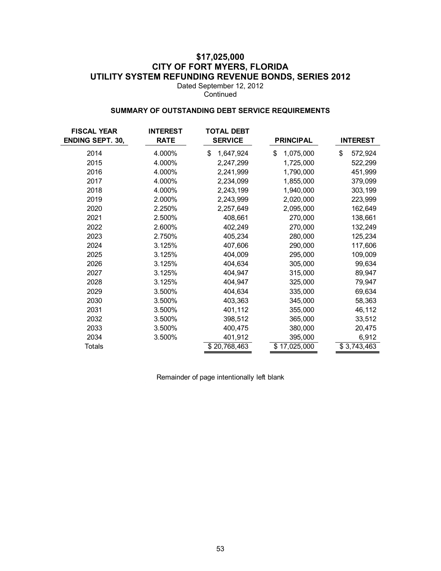# **\$17,025,000 CITY OF FORT MYERS, FLORIDA UTILITY SYSTEM REFUNDING REVENUE BONDS, SERIES 2012**

Dated September 12, 2012 **Continued** 

### **SUMMARY OF OUTSTANDING DEBT SERVICE REQUIREMENTS**

| <b>FISCAL YEAR</b><br><b>ENDING SEPT. 30,</b> | <b>INTEREST</b><br><b>RATE</b> | <b>TOTAL DEBT</b><br><b>SERVICE</b> | <b>PRINCIPAL</b> | <b>INTEREST</b> |
|-----------------------------------------------|--------------------------------|-------------------------------------|------------------|-----------------|
| 2014                                          | 4.000%                         | 1,647,924<br>\$                     | \$<br>1,075,000  | \$<br>572,924   |
| 2015                                          | 4.000%                         | 2,247,299                           | 1,725,000        | 522,299         |
| 2016                                          | 4.000%                         | 2,241,999                           | 1,790,000        | 451,999         |
| 2017                                          | 4.000%                         | 2,234,099                           | 1,855,000        | 379,099         |
| 2018                                          | 4.000%                         | 2,243,199                           | 1,940,000        | 303,199         |
| 2019                                          | 2.000%                         | 2,243,999                           | 2,020,000        | 223,999         |
| 2020                                          | 2.250%                         | 2,257,649                           | 2,095,000        | 162,649         |
| 2021                                          | 2.500%                         | 408,661                             | 270,000          | 138,661         |
| 2022                                          | 2.600%                         | 402,249                             | 270,000          | 132,249         |
| 2023                                          | 2.750%                         | 405,234                             | 280,000          | 125,234         |
| 2024                                          | 3.125%                         | 407,606                             | 290,000          | 117,606         |
| 2025                                          | 3.125%                         | 404,009                             | 295,000          | 109,009         |
| 2026                                          | 3.125%                         | 404,634                             | 305,000          | 99,634          |
| 2027                                          | 3.125%                         | 404,947                             | 315,000          | 89,947          |
| 2028                                          | 3.125%                         | 404,947                             | 325,000          | 79,947          |
| 2029                                          | 3.500%                         | 404,634                             | 335,000          | 69,634          |
| 2030                                          | 3.500%                         | 403,363                             | 345,000          | 58,363          |
| 2031                                          | 3.500%                         | 401,112                             | 355,000          | 46,112          |
| 2032                                          | 3.500%                         | 398,512                             | 365,000          | 33,512          |
| 2033                                          | 3.500%                         | 400,475                             | 380,000          | 20,475          |
| 2034                                          | 3.500%                         | 401,912                             | 395,000          | 6,912           |
| <b>Totals</b>                                 |                                | \$20,768,463                        | \$17,025,000     | \$3,743,463     |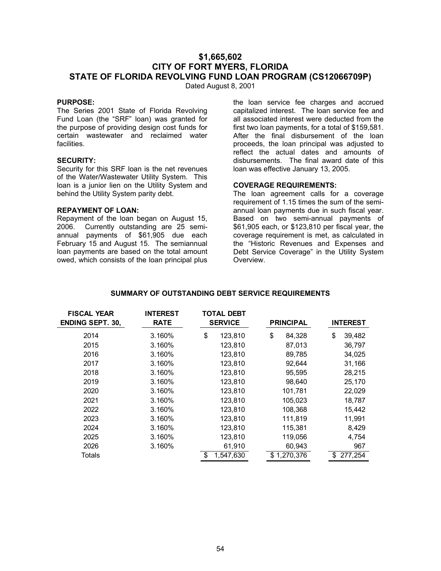# **\$1,665,602 CITY OF FORT MYERS, FLORIDA STATE OF FLORIDA REVOLVING FUND LOAN PROGRAM (CS12066709P)**

Dated August 8, 2001

### **PURPOSE:**

The Series 2001 State of Florida Revolving Fund Loan (the "SRF" loan) was granted for the purpose of providing design cost funds for certain wastewater and reclaimed water facilities.

### **SECURITY:**

Security for this SRF loan is the net revenues of the Water/Wastewater Utility System. This loan is a junior lien on the Utility System and behind the Utility System parity debt.

### **REPAYMENT OF LOAN:**

Repayment of the loan began on August 15, 2006. Currently outstanding are 25 semiannual payments of \$61,905 due each February 15 and August 15. The semiannual loan payments are based on the total amount owed, which consists of the loan principal plus

the loan service fee charges and accrued capitalized interest. The loan service fee and all associated interest were deducted from the first two loan payments, for a total of \$159,581. After the final disbursement of the loan proceeds, the loan principal was adjusted to reflect the actual dates and amounts of disbursements. The final award date of this loan was effective January 13, 2005.

#### **COVERAGE REQUIREMENTS:**

The loan agreement calls for a coverage requirement of 1.15 times the sum of the semiannual loan payments due in such fiscal year. Based on two semi-annual payments of \$61,905 each, or \$123,810 per fiscal year, the coverage requirement is met, as calculated in the "Historic Revenues and Expenses and Debt Service Coverage" in the Utility System Overview.

| <b>FISCAL YEAR</b><br><b>ENDING SEPT. 30,</b> | <b>INTEREST</b><br><b>RATE</b> | <b>TOTAL DEBT</b><br><b>SERVICE</b> |           |    | <b>PRINCIPAL</b> |    | <b>INTEREST</b> |
|-----------------------------------------------|--------------------------------|-------------------------------------|-----------|----|------------------|----|-----------------|
| 2014                                          | 3.160%                         | \$                                  | 123,810   | \$ | 84,328           | \$ | 39,482          |
| 2015                                          | 3.160%                         |                                     | 123,810   |    | 87,013           |    | 36,797          |
| 2016                                          | 3.160%                         |                                     | 123,810   |    | 89,785           |    | 34,025          |
| 2017                                          | 3.160%                         |                                     | 123,810   |    | 92,644           |    | 31,166          |
| 2018                                          | 3.160%                         |                                     | 123,810   |    | 95,595           |    | 28,215          |
| 2019                                          | 3.160%                         |                                     | 123,810   |    | 98.640           |    | 25,170          |
| 2020                                          | 3.160%                         |                                     | 123,810   |    | 101,781          |    | 22,029          |
| 2021                                          | 3.160%                         |                                     | 123,810   |    | 105,023          |    | 18,787          |
| 2022                                          | 3.160%                         |                                     | 123,810   |    | 108,368          |    | 15,442          |
| 2023                                          | 3.160%                         |                                     | 123,810   |    | 111,819          |    | 11,991          |
| 2024                                          | 3.160%                         |                                     | 123,810   |    | 115,381          |    | 8,429           |
| 2025                                          | 3.160%                         |                                     | 123,810   |    | 119,056          |    | 4,754           |
| 2026                                          | 3.160%                         |                                     | 61,910    |    | 60,943           |    | 967             |
| Totals                                        |                                | \$                                  | 1,547,630 |    | \$1,270,376      | \$ | 277,254         |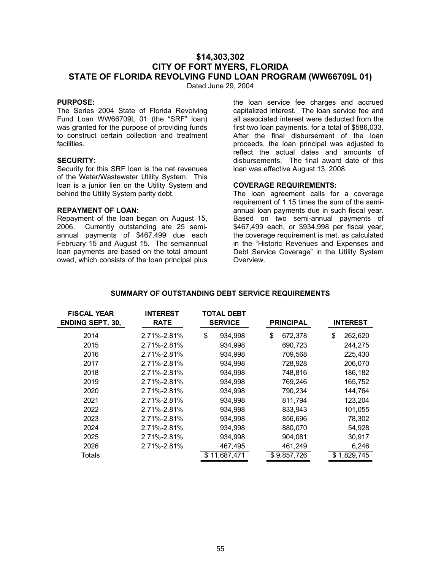# **\$14,303,302 CITY OF FORT MYERS, FLORIDA STATE OF FLORIDA REVOLVING FUND LOAN PROGRAM (WW66709L 01)**

Dated June 29, 2004

### **PURPOSE:**

The Series 2004 State of Florida Revolving Fund Loan WW66709L 01 (the "SRF" loan) was granted for the purpose of providing funds to construct certain collection and treatment facilities.

### **SECURITY:**

Security for this SRF loan is the net revenues of the Water/Wastewater Utility System. This loan is a junior lien on the Utility System and behind the Utility System parity debt.

### **REPAYMENT OF LOAN:**

Repayment of the loan began on August 15, 2006. Currently outstanding are 25 semiannual payments of \$467,499 due each February 15 and August 15. The semiannual loan payments are based on the total amount owed, which consists of the loan principal plus

the loan service fee charges and accrued capitalized interest. The loan service fee and all associated interest were deducted from the first two loan payments, for a total of \$586,033. After the final disbursement of the loan proceeds, the loan principal was adjusted to reflect the actual dates and amounts of disbursements. The final award date of this loan was effective August 13, 2008.

### **COVERAGE REQUIREMENTS:**

The loan agreement calls for a coverage requirement of 1.15 times the sum of the semiannual loan payments due in such fiscal year. Based on two semi-annual payments of \$467,499 each, or \$934,998 per fiscal year, the coverage requirement is met, as calculated in the "Historic Revenues and Expenses and Debt Service Coverage" in the Utility System Overview.

| <b>FISCAL YEAR</b><br><b>ENDING SEPT. 30,</b> | <b>INTEREST</b><br><b>RATE</b> | <b>TOTAL DEBT</b><br><b>SERVICE</b> |              |    | <b>PRINCIPAL</b> |    | <b>INTEREST</b> |
|-----------------------------------------------|--------------------------------|-------------------------------------|--------------|----|------------------|----|-----------------|
| 2014                                          | 2.71%-2.81%                    | \$                                  | 934,998      | \$ | 672,378          | \$ | 262,620         |
| 2015                                          | 2.71%-2.81%                    |                                     | 934,998      |    | 690,723          |    | 244,275         |
| 2016                                          | 2.71%-2.81%                    |                                     | 934,998      |    | 709,568          |    | 225,430         |
| 2017                                          | 2.71%-2.81%                    |                                     | 934,998      |    | 728,928          |    | 206,070         |
| 2018                                          | 2.71%-2.81%                    |                                     | 934,998      |    | 748,816          |    | 186,182         |
| 2019                                          | 2.71%-2.81%                    |                                     | 934.998      |    | 769.246          |    | 165,752         |
| 2020                                          | 2.71%-2.81%                    |                                     | 934,998      |    | 790,234          |    | 144,764         |
| 2021                                          | 2.71%-2.81%                    |                                     | 934,998      |    | 811,794          |    | 123,204         |
| 2022                                          | 2.71%-2.81%                    |                                     | 934,998      |    | 833,943          |    | 101,055         |
| 2023                                          | 2.71%-2.81%                    |                                     | 934,998      |    | 856,696          |    | 78,302          |
| 2024                                          | 2.71%-2.81%                    |                                     | 934,998      |    | 880,070          |    | 54,928          |
| 2025                                          | 2.71%-2.81%                    |                                     | 934,998      |    | 904,081          |    | 30,917          |
| 2026                                          | 2.71%-2.81%                    |                                     | 467,495      |    | 461,249          |    | 6,246           |
| Totals                                        |                                |                                     | \$11,687,471 |    | \$9,857,726      |    | \$1,829,745     |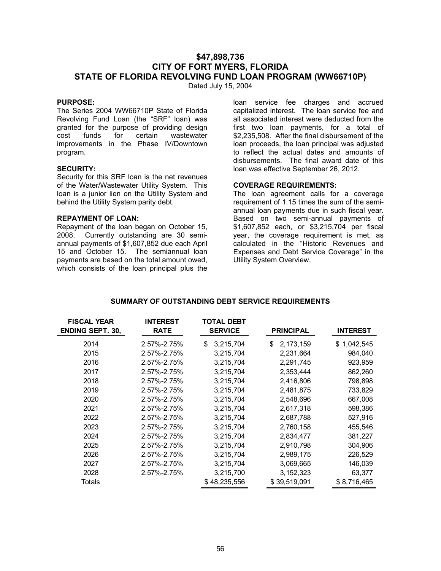# **\$47,898,736 CITY OF FORT MYERS, FLORIDA STATE OF FLORIDA REVOLVING FUND LOAN PROGRAM (WW66710P)**

Dated July 15, 2004

### **PURPOSE:**

The Series 2004 WW66710P State of Florida Revolving Fund Loan (the "SRF" loan) was granted for the purpose of providing design cost funds for certain wastewater improvements in the Phase IV/Downtown program.

### **SECURITY:**

Security for this SRF loan is the net revenues of the Water/Wastewater Utility System. This loan is a junior lien on the Utility System and behind the Utility System parity debt.

### **REPAYMENT OF LOAN:**

Repayment of the loan began on October 15, 2008. Currently outstanding are 30 semiannual payments of \$1,607,852 due each April 15 and October 15. The semiannual loan payments are based on the total amount owed, which consists of the loan principal plus the

loan service fee charges and accrued capitalized interest. The loan service fee and all associated interest were deducted from the first two loan payments, for a total of \$2,235,508. After the final disbursement of the loan proceeds, the loan principal was adjusted to reflect the actual dates and amounts of disbursements. The final award date of this loan was effective September 26, 2012.

#### **COVERAGE REQUIREMENTS:**

The loan agreement calls for a coverage requirement of 1.15 times the sum of the semiannual loan payments due in such fiscal year. Based on two semi-annual payments of \$1,607,852 each, or \$3,215,704 per fiscal year, the coverage requirement is met, as calculated in the "Historic Revenues and Expenses and Debt Service Coverage" in the Utility System Overview.

| <b>FISCAL YEAR</b><br><b>ENDING SEPT. 30,</b> | <b>INTEREST</b><br><b>RATE</b> | <b>TOTAL DEBT</b><br><b>SERVICE</b> | <b>PRINCIPAL</b>  | <b>INTEREST</b> |
|-----------------------------------------------|--------------------------------|-------------------------------------|-------------------|-----------------|
| 2014                                          | 2.57%-2.75%                    | 3,215,704<br>\$                     | 2, 173, 159<br>\$ | \$1,042,545     |
| 2015                                          | 2.57%-2.75%                    | 3,215,704                           | 2,231,664         | 984,040         |
| 2016                                          | 2.57%-2.75%                    | 3,215,704                           | 2,291,745         | 923,959         |
| 2017                                          | 2.57%-2.75%                    | 3,215,704                           | 2,353,444         | 862,260         |
| 2018                                          | 2.57%-2.75%                    | 3,215,704                           | 2,416,806         | 798,898         |
| 2019                                          | 2.57%-2.75%                    | 3,215,704                           | 2,481,875         | 733,829         |
| 2020                                          | 2.57%-2.75%                    | 3,215,704                           | 2,548,696         | 667,008         |
| 2021                                          | 2.57%-2.75%                    | 3,215,704                           | 2,617,318         | 598,386         |
| 2022                                          | 2.57%-2.75%                    | 3,215,704                           | 2,687,788         | 527,916         |
| 2023                                          | 2.57%-2.75%                    | 3,215,704                           | 2,760,158         | 455,546         |
| 2024                                          | 2.57%-2.75%                    | 3,215,704                           | 2,834,477         | 381,227         |
| 2025                                          | 2.57%-2.75%                    | 3,215,704                           | 2,910,798         | 304,906         |
| 2026                                          | 2.57%-2.75%                    | 3,215,704                           | 2,989,175         | 226,529         |
| 2027                                          | 2.57%-2.75%                    | 3,215,704                           | 3,069,665         | 146,039         |
| 2028                                          | 2.57%-2.75%                    | 3,215,700                           | 3, 152, 323       | 63,377          |
| Totals                                        |                                | \$48,235,556                        | \$39,519,091      | \$8,716,465     |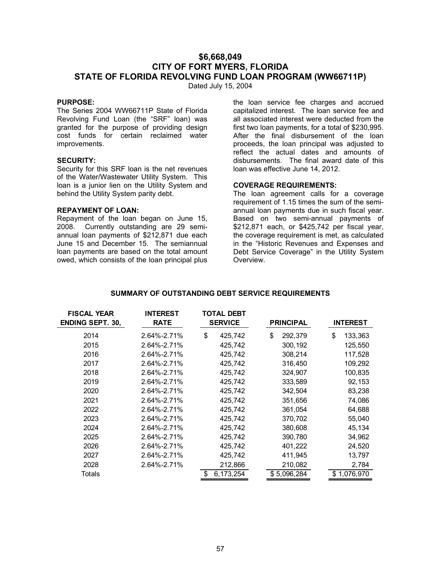# **\$6,668,049 CITY OF FORT MYERS, FLORIDA STATE OF FLORIDA REVOLVING FUND LOAN PROGRAM (WW66711P)**

Dated July 15, 2004

### **PURPOSE:**

The Series 2004 WW66711P State of Florida Revolving Fund Loan (the "SRF" loan) was granted for the purpose of providing design cost funds for certain reclaimed water improvements.

### **SECURITY:**

Security for this SRF loan is the net revenues of the Water/Wastewater Utility System. This loan is a junior lien on the Utility System and behind the Utility System parity debt.

### **REPAYMENT OF LOAN:**

Repayment of the loan began on June 15, 2008. Currently outstanding are 29 semiannual loan payments of \$212,871 due each June 15 and December 15. The semiannual loan payments are based on the total amount owed, which consists of the loan principal plus

the loan service fee charges and accrued capitalized interest. The loan service fee and all associated interest were deducted from the first two loan payments, for a total of \$230,995. After the final disbursement of the loan proceeds, the loan principal was adjusted to reflect the actual dates and amounts of disbursements. The final award date of this loan was effective June 14, 2012.

#### **COVERAGE REQUIREMENTS:**

The loan agreement calls for a coverage requirement of 1.15 times the sum of the semiannual loan payments due in such fiscal year. Based on two semi-annual payments of \$212,871 each, or \$425,742 per fiscal year, the coverage requirement is met, as calculated in the "Historic Revenues and Expenses and Debt Service Coverage" in the Utility System Overview.

| <b>FISCAL YEAR</b><br><b>ENDING SEPT. 30,</b> | <b>INTEREST</b><br><b>RATE</b> | <b>TOTAL DEBT</b><br><b>SERVICE</b> | <b>PRINCIPAL</b> | <b>INTEREST</b> |
|-----------------------------------------------|--------------------------------|-------------------------------------|------------------|-----------------|
| 2014                                          | 2.64%-2.71%                    | \$                                  | \$               | \$              |
|                                               |                                | 425,742                             | 292,379          | 133,363         |
| 2015                                          | 2.64%-2.71%                    | 425,742                             | 300,192          | 125,550         |
| 2016                                          | 2.64%-2.71%                    | 425,742                             | 308,214          | 117,528         |
| 2017                                          | 2.64%-2.71%                    | 425,742                             | 316,450          | 109,292         |
| 2018                                          | 2.64%-2.71%                    | 425.742                             | 324,907          | 100,835         |
| 2019                                          | 2.64%-2.71%                    | 425,742                             | 333,589          | 92,153          |
| 2020                                          | 2.64%-2.71%                    | 425,742                             | 342,504          | 83,238          |
| 2021                                          | 2.64%-2.71%                    | 425,742                             | 351,656          | 74,086          |
| 2022                                          | 2.64%-2.71%                    | 425,742                             | 361,054          | 64,688          |
| 2023                                          | 2.64%-2.71%                    | 425.742                             | 370,702          | 55,040          |
| 2024                                          | 2.64%-2.71%                    | 425,742                             | 380,608          | 45,134          |
| 2025                                          | 2.64%-2.71%                    | 425,742                             | 390,780          | 34,962          |
| 2026                                          | 2.64%-2.71%                    | 425,742                             | 401,222          | 24,520          |
| 2027                                          | 2.64%-2.71%                    | 425,742                             | 411,945          | 13,797          |
| 2028                                          | 2.64%-2.71%                    | 212,866                             | 210,082          | 2,784           |
| Totals                                        |                                | \$<br>6,173,254                     | \$5,096,284      | \$1,076,970     |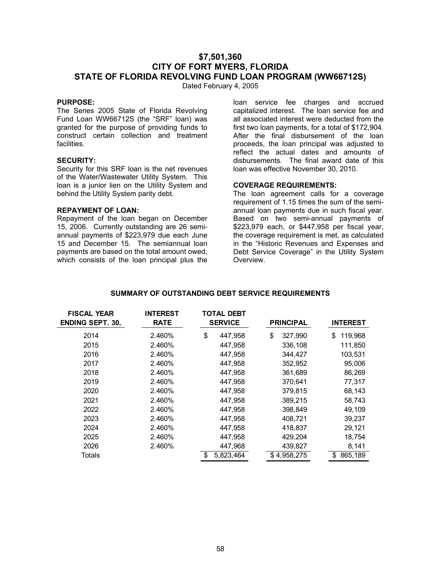# **\$7,501,360 CITY OF FORT MYERS, FLORIDA STATE OF FLORIDA REVOLVING FUND LOAN PROGRAM (WW66712S)**

Dated February 4, 2005

### **PURPOSE:**

The Series 2005 State of Florida Revolving Fund Loan WW66712S (the "SRF" loan) was granted for the purpose of providing funds to construct certain collection and treatment facilities.

### **SECURITY:**

Security for this SRF loan is the net revenues of the Water/Wastewater Utility System. This loan is a junior lien on the Utility System and behind the Utility System parity debt.

### **REPAYMENT OF LOAN:**

Repayment of the loan began on December 15, 2006. Currently outstanding are 26 semiannual payments of \$223,979 due each June 15 and December 15. The semiannual loan payments are based on the total amount owed, which consists of the loan principal plus the

loan service fee charges and accrued capitalized interest. The loan service fee and all associated interest were deducted from the first two loan payments, for a total of \$172,904. After the final disbursement of the loan proceeds, the loan principal was adjusted to reflect the actual dates and amounts of disbursements. The final award date of this loan was effective November 30, 2010.

### **COVERAGE REQUIREMENTS:**

The loan agreement calls for a coverage requirement of 1.15 times the sum of the semiannual loan payments due in such fiscal year. Based on two semi-annual payments of \$223,979 each, or \$447,958 per fiscal year, the coverage requirement is met, as calculated in the "Historic Revenues and Expenses and Debt Service Coverage" in the Utility System Overview.

| <b>FISCAL YEAR</b><br><b>ENDING SEPT. 30,</b> | <b>INTEREST</b><br><b>RATE</b> | <b>TOTAL DEBT</b><br><b>SERVICE</b> | <b>PRINCIPAL</b> | <b>INTEREST</b> |
|-----------------------------------------------|--------------------------------|-------------------------------------|------------------|-----------------|
| 2014                                          | 2.460%                         | \$<br>447,958                       | \$<br>327,990    | \$<br>119,968   |
| 2015                                          | 2.460%                         | 447,958                             | 336,108          | 111,850         |
| 2016                                          | 2.460%                         | 447,958                             | 344.427          | 103,531         |
| 2017                                          | 2.460%                         | 447,958                             | 352,952          | 95,006          |
| 2018                                          | 2.460%                         | 447,958                             | 361,689          | 86,269          |
| 2019                                          | 2.460%                         | 447,958                             | 370,641          | 77,317          |
| 2020                                          | 2.460%                         | 447,958                             | 379,815          | 68,143          |
| 2021                                          | 2.460%                         | 447,958                             | 389,215          | 58,743          |
| 2022                                          | 2.460%                         | 447,958                             | 398,849          | 49,109          |
| 2023                                          | 2.460%                         | 447,958                             | 408.721          | 39,237          |
| 2024                                          | 2.460%                         | 447,958                             | 418,837          | 29,121          |
| 2025                                          | 2.460%                         | 447,958                             | 429,204          | 18,754          |
| 2026                                          | 2.460%                         | 447,968                             | 439,827          | 8,141           |
| Totals                                        |                                | \$<br>5,823,464                     | \$4,958,275      | 865,189<br>\$   |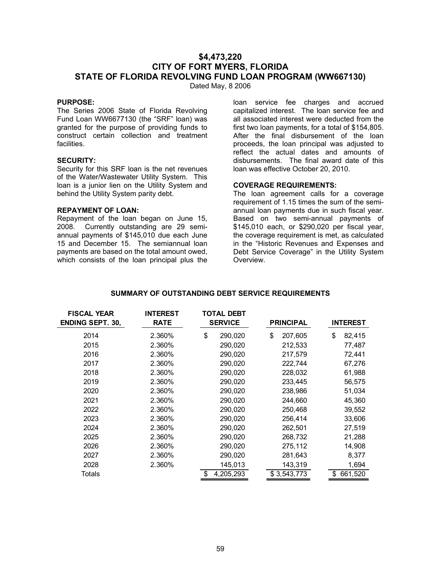# **\$4,473,220 CITY OF FORT MYERS, FLORIDA STATE OF FLORIDA REVOLVING FUND LOAN PROGRAM (WW667130)**

Dated May, 8 2006

### **PURPOSE:**

The Series 2006 State of Florida Revolving Fund Loan WW6677130 (the "SRF" loan) was granted for the purpose of providing funds to construct certain collection and treatment facilities.

### **SECURITY:**

Security for this SRF loan is the net revenues of the Water/Wastewater Utility System. This loan is a junior lien on the Utility System and behind the Utility System parity debt.

### **REPAYMENT OF LOAN:**

Repayment of the loan began on June 15, 2008. Currently outstanding are 29 semiannual payments of \$145,010 due each June 15 and December 15. The semiannual loan payments are based on the total amount owed, which consists of the loan principal plus the

loan service fee charges and accrued capitalized interest. The loan service fee and all associated interest were deducted from the first two loan payments, for a total of \$154,805. After the final disbursement of the loan proceeds, the loan principal was adjusted to reflect the actual dates and amounts of disbursements. The final award date of this loan was effective October 20, 2010.

#### **COVERAGE REQUIREMENTS:**

The loan agreement calls for a coverage requirement of 1.15 times the sum of the semiannual loan payments due in such fiscal year. Based on two semi-annual payments of \$145,010 each, or \$290,020 per fiscal year, the coverage requirement is met, as calculated in the "Historic Revenues and Expenses and Debt Service Coverage" in the Utility System Overview.

| <b>FISCAL YEAR</b><br><b>ENDING SEPT. 30,</b> | <b>INTEREST</b><br><b>RATE</b> | TOTAL DEBT<br><b>SERVICE</b> |           |               |    | <b>PRINCIPAL</b> |  | <b>INTEREST</b> |
|-----------------------------------------------|--------------------------------|------------------------------|-----------|---------------|----|------------------|--|-----------------|
| 2014                                          | 2.360%                         | \$                           | 290,020   | \$<br>207,605 | \$ | 82,415           |  |                 |
| 2015                                          | 2.360%                         |                              | 290,020   | 212,533       |    | 77,487           |  |                 |
| 2016                                          | 2.360%                         |                              | 290,020   | 217.579       |    | 72,441           |  |                 |
| 2017                                          | 2.360%                         |                              | 290,020   | 222,744       |    | 67,276           |  |                 |
| 2018                                          | 2.360%                         |                              | 290,020   | 228,032       |    | 61,988           |  |                 |
| 2019                                          | 2.360%                         |                              | 290,020   | 233,445       |    | 56,575           |  |                 |
| 2020                                          | 2.360%                         |                              | 290,020   | 238,986       |    | 51,034           |  |                 |
| 2021                                          | 2.360%                         |                              | 290.020   | 244.660       |    | 45,360           |  |                 |
| 2022                                          | 2.360%                         |                              | 290,020   | 250.468       |    | 39,552           |  |                 |
| 2023                                          | 2.360%                         |                              | 290,020   | 256,414       |    | 33,606           |  |                 |
| 2024                                          | 2.360%                         |                              | 290,020   | 262,501       |    | 27,519           |  |                 |
| 2025                                          | 2.360%                         |                              | 290,020   | 268,732       |    | 21,288           |  |                 |
| 2026                                          | 2.360%                         |                              | 290,020   | 275,112       |    | 14,908           |  |                 |
| 2027                                          | 2.360%                         |                              | 290,020   | 281,643       |    | 8,377            |  |                 |
| 2028                                          | 2.360%                         |                              | 145,013   | 143,319       |    | 1,694            |  |                 |
| Totals                                        |                                | \$                           | 4,205,293 | \$3,543,773   | \$ | 661,520          |  |                 |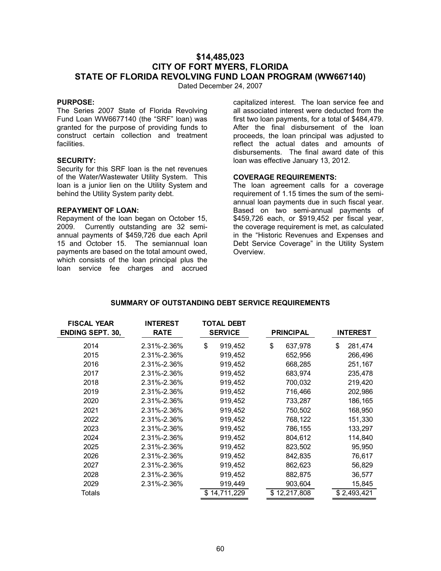# **\$14,485,023 CITY OF FORT MYERS, FLORIDA STATE OF FLORIDA REVOLVING FUND LOAN PROGRAM (WW667140)**

Dated December 24, 2007

### **PURPOSE:**

The Series 2007 State of Florida Revolving Fund Loan WW6677140 (the "SRF" loan) was granted for the purpose of providing funds to construct certain collection and treatment facilities.

### **SECURITY:**

Security for this SRF loan is the net revenues of the Water/Wastewater Utility System. This loan is a junior lien on the Utility System and behind the Utility System parity debt.

### **REPAYMENT OF LOAN:**

Repayment of the loan began on October 15, 2009. Currently outstanding are 32 semiannual payments of \$459,726 due each April 15 and October 15. The semiannual loan payments are based on the total amount owed, which consists of the loan principal plus the loan service fee charges and accrued

capitalized interest. The loan service fee and all associated interest were deducted from the first two loan payments, for a total of \$484,479. After the final disbursement of the loan proceeds, the loan principal was adjusted to reflect the actual dates and amounts of disbursements. The final award date of this loan was effective January 13, 2012.

#### **COVERAGE REQUIREMENTS:**

The loan agreement calls for a coverage requirement of 1.15 times the sum of the semiannual loan payments due in such fiscal year. Based on two semi-annual payments of \$459,726 each, or \$919,452 per fiscal year, the coverage requirement is met, as calculated in the "Historic Revenues and Expenses and Debt Service Coverage" in the Utility System **Overview** 

| <b>FISCAL YEAR</b><br><b>ENDING SEPT. 30,</b> | <b>INTEREST</b><br><b>RATE</b> | TOTAL DEBT<br><b>SERVICE</b> | <b>PRINCIPAL</b> | <b>INTEREST</b> |
|-----------------------------------------------|--------------------------------|------------------------------|------------------|-----------------|
| 2014                                          | 2.31%-2.36%                    | \$<br>919,452                | \$<br>637,978    | \$<br>281,474   |
| 2015                                          | 2.31%-2.36%                    | 919,452                      | 652,956          | 266,496         |
| 2016                                          | 2.31%-2.36%                    | 919,452                      | 668,285          | 251,167         |
| 2017                                          | 2.31%-2.36%                    | 919,452                      | 683,974          | 235,478         |
| 2018                                          | 2.31%-2.36%                    | 919,452                      | 700,032          | 219,420         |
| 2019                                          | 2.31%-2.36%                    | 919,452                      | 716,466          | 202,986         |
| 2020                                          | 2.31%-2.36%                    | 919,452                      | 733,287          | 186,165         |
| 2021                                          | 2.31%-2.36%                    | 919,452                      | 750,502          | 168,950         |
| 2022                                          | 2.31%-2.36%                    | 919,452                      | 768,122          | 151,330         |
| 2023                                          | 2.31%-2.36%                    | 919,452                      | 786,155          | 133,297         |
| 2024                                          | 2.31%-2.36%                    | 919,452                      | 804,612          | 114,840         |
| 2025                                          | 2.31%-2.36%                    | 919,452                      | 823,502          | 95,950          |
| 2026                                          | 2.31%-2.36%                    | 919,452                      | 842,835          | 76,617          |
| 2027                                          | 2.31%-2.36%                    | 919,452                      | 862,623          | 56,829          |
| 2028                                          | 2.31%-2.36%                    | 919,452                      | 882,875          | 36,577          |
| 2029                                          | 2.31%-2.36%                    | 919,449                      | 903,604          | 15,845          |
| Totals                                        |                                | \$14,711,229                 | \$12,217,808     | \$2,493,421     |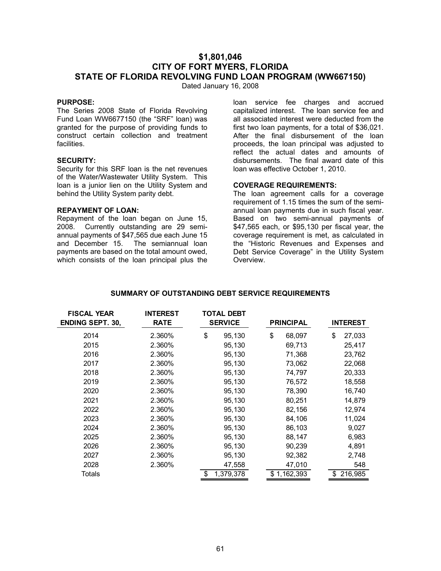# **\$1,801,046 CITY OF FORT MYERS, FLORIDA STATE OF FLORIDA REVOLVING FUND LOAN PROGRAM (WW667150)**

Dated January 16, 2008

### **PURPOSE:**

The Series 2008 State of Florida Revolving Fund Loan WW6677150 (the "SRF" loan) was granted for the purpose of providing funds to construct certain collection and treatment facilities.

### **SECURITY:**

Security for this SRF loan is the net revenues of the Water/Wastewater Utility System. This loan is a junior lien on the Utility System and behind the Utility System parity debt.

### **REPAYMENT OF LOAN:**

Repayment of the loan began on June 15, 2008. Currently outstanding are 29 semiannual payments of \$47,565 due each June 15 and December 15. The semiannual loan payments are based on the total amount owed, which consists of the loan principal plus the

loan service fee charges and accrued capitalized interest. The loan service fee and all associated interest were deducted from the first two loan payments, for a total of \$36,021. After the final disbursement of the loan proceeds, the loan principal was adjusted to reflect the actual dates and amounts of disbursements. The final award date of this loan was effective October 1, 2010.

### **COVERAGE REQUIREMENTS:**

The loan agreement calls for a coverage requirement of 1.15 times the sum of the semiannual loan payments due in such fiscal year. Based on two semi-annual payments of \$47,565 each, or \$95,130 per fiscal year, the coverage requirement is met, as calculated in the "Historic Revenues and Expenses and Debt Service Coverage" in the Utility System Overview.

| <b>FISCAL YEAR</b><br><b>ENDING SEPT. 30,</b> | <b>INTEREST</b><br><b>RATE</b> | <b>TOTAL DEBT</b><br><b>SERVICE</b> |           | <b>PRINCIPAL</b> |    | <b>INTEREST</b> |
|-----------------------------------------------|--------------------------------|-------------------------------------|-----------|------------------|----|-----------------|
| 2014                                          | 2.360%                         | \$                                  |           | \$<br>68,097     | \$ | 27,033          |
|                                               |                                |                                     | 95,130    |                  |    |                 |
| 2015                                          | 2.360%                         |                                     | 95,130    | 69,713           |    | 25,417          |
| 2016                                          | 2.360%                         |                                     | 95,130    | 71,368           |    | 23,762          |
| 2017                                          | 2.360%                         |                                     | 95,130    | 73,062           |    | 22,068          |
| 2018                                          | 2.360%                         |                                     | 95,130    | 74,797           |    | 20,333          |
| 2019                                          | 2.360%                         |                                     | 95,130    | 76,572           |    | 18,558          |
| 2020                                          | 2.360%                         |                                     | 95,130    | 78,390           |    | 16,740          |
| 2021                                          | 2.360%                         |                                     | 95,130    | 80,251           |    | 14,879          |
| 2022                                          | 2.360%                         |                                     | 95,130    | 82,156           |    | 12,974          |
| 2023                                          | 2.360%                         |                                     | 95,130    | 84,106           |    | 11,024          |
| 2024                                          | 2.360%                         |                                     | 95,130    | 86,103           |    | 9,027           |
| 2025                                          | 2.360%                         |                                     | 95,130    | 88,147           |    | 6,983           |
| 2026                                          | 2.360%                         |                                     | 95,130    | 90,239           |    | 4,891           |
| 2027                                          | 2.360%                         |                                     | 95,130    | 92,382           |    | 2,748           |
| 2028                                          | 2.360%                         |                                     | 47,558    | 47,010           |    | 548             |
| Totals                                        |                                | \$                                  | 1,379,378 | \$1,162,393      |    | \$216,985       |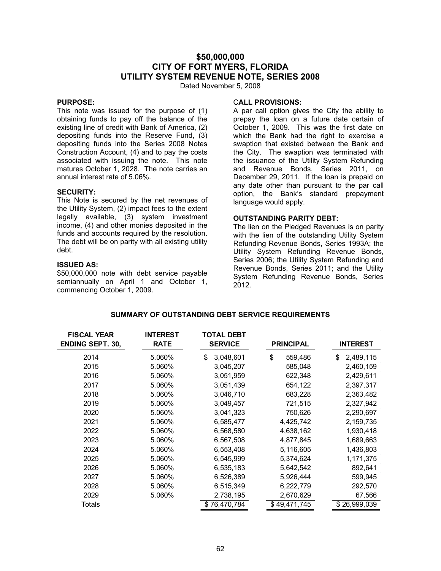# **\$50,000,000 CITY OF FORT MYERS, FLORIDA UTILITY SYSTEM REVENUE NOTE, SERIES 2008**

Dated November 5, 2008

### **PURPOSE:**

This note was issued for the purpose of (1) obtaining funds to pay off the balance of the existing line of credit with Bank of America, (2) depositing funds into the Reserve Fund, (3) depositing funds into the Series 2008 Notes Construction Account, (4) and to pay the costs associated with issuing the note. This note matures October 1, 2028. The note carries an annual interest rate of 5.06%.

#### **SECURITY:**

This Note is secured by the net revenues of the Utility System, (2) impact fees to the extent legally available, (3) system investment income, (4) and other monies deposited in the funds and accounts required by the resolution. The debt will be on parity with all existing utility debt.

#### **ISSUED AS:**

\$50,000,000 note with debt service payable semiannually on April 1 and October 1, commencing October 1, 2009.

#### C**ALL PROVISIONS:**

A par call option gives the City the ability to prepay the loan on a future date certain of October 1, 2009. This was the first date on which the Bank had the right to exercise a swaption that existed between the Bank and the City. The swaption was terminated with the issuance of the Utility System Refunding and Revenue Bonds, Series 2011, on December 29, 2011. If the loan is prepaid on any date other than pursuant to the par call option, the Bank's standard prepayment language would apply.

### **OUTSTANDING PARITY DEBT:**

The lien on the Pledged Revenues is on parity with the lien of the outstanding Utility System Refunding Revenue Bonds, Series 1993A; the Utility System Refunding Revenue Bonds, Series 2006; the Utility System Refunding and Revenue Bonds, Series 2011; and the Utility System Refunding Revenue Bonds, Series 2012.

| <b>FISCAL YEAR</b>      | <b>INTEREST</b> | TOTAL DEBT      |                  |                 |
|-------------------------|-----------------|-----------------|------------------|-----------------|
| <b>ENDING SEPT. 30,</b> | <b>RATE</b>     | <b>SERVICE</b>  | <b>PRINCIPAL</b> | <b>INTEREST</b> |
| 2014                    | 5.060%          | 3,048,601<br>\$ | \$<br>559,486    | 2,489,115<br>S  |
| 2015                    | 5.060%          | 3,045,207       | 585,048          | 2,460,159       |
| 2016                    | 5.060%          | 3,051,959       | 622,348          | 2,429,611       |
| 2017                    | 5.060%          | 3,051,439       | 654,122          | 2,397,317       |
| 2018                    | 5.060%          | 3,046,710       | 683,228          | 2,363,482       |
| 2019                    | 5.060%          | 3,049,457       | 721,515          | 2,327,942       |
| 2020                    | 5.060%          | 3,041,323       | 750,626          | 2,290,697       |
| 2021                    | 5.060%          | 6,585,477       | 4,425,742        | 2, 159, 735     |
| 2022                    | 5.060%          | 6,568,580       | 4,638,162        | 1,930,418       |
| 2023                    | 5.060%          | 6,567,508       | 4,877,845        | 1,689,663       |
| 2024                    | 5.060%          | 6,553,408       | 5,116,605        | 1,436,803       |
| 2025                    | 5.060%          | 6,545,999       | 5,374,624        | 1,171,375       |
| 2026                    | 5.060%          | 6,535,183       | 5,642,542        | 892,641         |
| 2027                    | 5.060%          | 6,526,389       | 5,926,444        | 599,945         |
| 2028                    | 5.060%          | 6,515,349       | 6,222,779        | 292,570         |
| 2029                    | 5.060%          | 2,738,195       | 2,670,629        | 67,566          |
| Totals                  |                 | \$76,470,784    | \$49,471,745     | \$26,999,039    |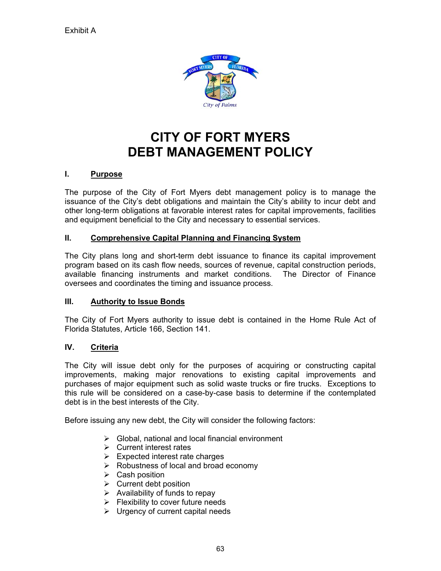

# **CITY OF FORT MYERS DEBT MANAGEMENT POLICY**

# **I. Purpose**

The purpose of the City of Fort Myers debt management policy is to manage the issuance of the City's debt obligations and maintain the City's ability to incur debt and other long-term obligations at favorable interest rates for capital improvements, facilities and equipment beneficial to the City and necessary to essential services.

# **II. Comprehensive Capital Planning and Financing System**

The City plans long and short-term debt issuance to finance its capital improvement program based on its cash flow needs, sources of revenue, capital construction periods, available financing instruments and market conditions. The Director of Finance oversees and coordinates the timing and issuance process.

# **III. Authority to Issue Bonds**

The City of Fort Myers authority to issue debt is contained in the Home Rule Act of Florida Statutes, Article 166, Section 141.

# **IV. Criteria**

The City will issue debt only for the purposes of acquiring or constructing capital improvements, making major renovations to existing capital improvements and purchases of major equipment such as solid waste trucks or fire trucks. Exceptions to this rule will be considered on a case-by-case basis to determine if the contemplated debt is in the best interests of the City.

Before issuing any new debt, the City will consider the following factors:

- $\triangleright$  Global, national and local financial environment
- $\triangleright$  Current interest rates
- $\triangleright$  Expected interest rate charges
- $\triangleright$  Robustness of local and broad economy
- $\triangleright$  Cash position
- $\triangleright$  Current debt position
- $\triangleright$  Availability of funds to repay
- $\triangleright$  Flexibility to cover future needs
- $\triangleright$  Urgency of current capital needs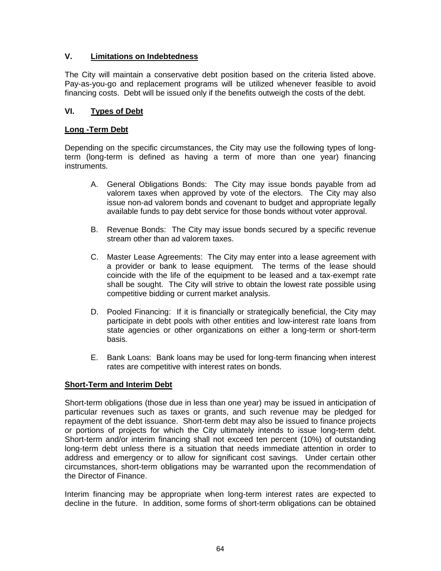# **V. Limitations on Indebtedness**

The City will maintain a conservative debt position based on the criteria listed above. Pay-as-you-go and replacement programs will be utilized whenever feasible to avoid financing costs. Debt will be issued only if the benefits outweigh the costs of the debt.

# **VI. Types of Debt**

### **Long -Term Debt**

Depending on the specific circumstances, the City may use the following types of longterm (long-term is defined as having a term of more than one year) financing instruments.

- A. General Obligations Bonds: The City may issue bonds payable from ad valorem taxes when approved by vote of the electors. The City may also issue non-ad valorem bonds and covenant to budget and appropriate legally available funds to pay debt service for those bonds without voter approval.
- B. Revenue Bonds: The City may issue bonds secured by a specific revenue stream other than ad valorem taxes.
- C. Master Lease Agreements: The City may enter into a lease agreement with a provider or bank to lease equipment. The terms of the lease should coincide with the life of the equipment to be leased and a tax-exempt rate shall be sought. The City will strive to obtain the lowest rate possible using competitive bidding or current market analysis.
- D. Pooled Financing: If it is financially or strategically beneficial, the City may participate in debt pools with other entities and low-interest rate loans from state agencies or other organizations on either a long-term or short-term basis.
- E. Bank Loans: Bank loans may be used for long-term financing when interest rates are competitive with interest rates on bonds.

### **Short-Term and Interim Debt**

Short-term obligations (those due in less than one year) may be issued in anticipation of particular revenues such as taxes or grants, and such revenue may be pledged for repayment of the debt issuance. Short-term debt may also be issued to finance projects or portions of projects for which the City ultimately intends to issue long-term debt. Short-term and/or interim financing shall not exceed ten percent (10%) of outstanding long-term debt unless there is a situation that needs immediate attention in order to address and emergency or to allow for significant cost savings. Under certain other circumstances, short-term obligations may be warranted upon the recommendation of the Director of Finance.

Interim financing may be appropriate when long-term interest rates are expected to decline in the future. In addition, some forms of short-term obligations can be obtained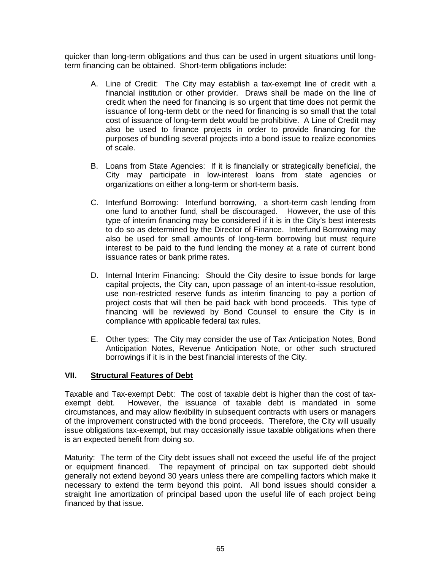quicker than long-term obligations and thus can be used in urgent situations until longterm financing can be obtained. Short-term obligations include:

- A. Line of Credit: The City may establish a tax-exempt line of credit with a financial institution or other provider. Draws shall be made on the line of credit when the need for financing is so urgent that time does not permit the issuance of long-term debt or the need for financing is so small that the total cost of issuance of long-term debt would be prohibitive. A Line of Credit may also be used to finance projects in order to provide financing for the purposes of bundling several projects into a bond issue to realize economies of scale.
- B. Loans from State Agencies: If it is financially or strategically beneficial, the City may participate in low-interest loans from state agencies or organizations on either a long-term or short-term basis.
- C. Interfund Borrowing: Interfund borrowing, a short-term cash lending from one fund to another fund, shall be discouraged. However, the use of this type of interim financing may be considered if it is in the City's best interests to do so as determined by the Director of Finance. Interfund Borrowing may also be used for small amounts of long-term borrowing but must require interest to be paid to the fund lending the money at a rate of current bond issuance rates or bank prime rates.
- D. Internal Interim Financing: Should the City desire to issue bonds for large capital projects, the City can, upon passage of an intent-to-issue resolution, use non-restricted reserve funds as interim financing to pay a portion of project costs that will then be paid back with bond proceeds. This type of financing will be reviewed by Bond Counsel to ensure the City is in compliance with applicable federal tax rules.
- E. Other types: The City may consider the use of Tax Anticipation Notes, Bond Anticipation Notes, Revenue Anticipation Note, or other such structured borrowings if it is in the best financial interests of the City.

# **VII. Structural Features of Debt**

Taxable and Tax-exempt Debt: The cost of taxable debt is higher than the cost of taxexempt debt. However, the issuance of taxable debt is mandated in some circumstances, and may allow flexibility in subsequent contracts with users or managers of the improvement constructed with the bond proceeds. Therefore, the City will usually issue obligations tax-exempt, but may occasionally issue taxable obligations when there is an expected benefit from doing so.

Maturity: The term of the City debt issues shall not exceed the useful life of the project or equipment financed. The repayment of principal on tax supported debt should generally not extend beyond 30 years unless there are compelling factors which make it necessary to extend the term beyond this point. All bond issues should consider a straight line amortization of principal based upon the useful life of each project being financed by that issue.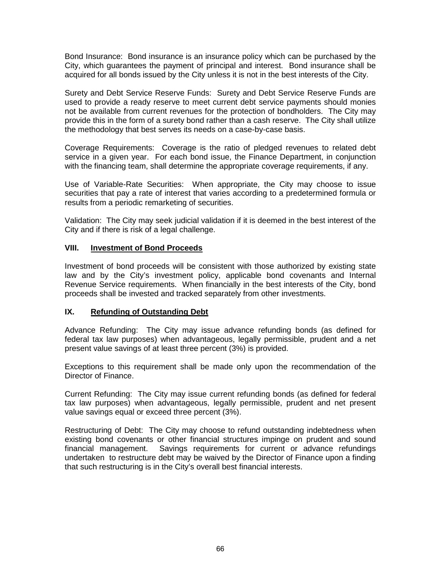Bond Insurance: Bond insurance is an insurance policy which can be purchased by the City, which guarantees the payment of principal and interest. Bond insurance shall be acquired for all bonds issued by the City unless it is not in the best interests of the City.

Surety and Debt Service Reserve Funds: Surety and Debt Service Reserve Funds are used to provide a ready reserve to meet current debt service payments should monies not be available from current revenues for the protection of bondholders. The City may provide this in the form of a surety bond rather than a cash reserve. The City shall utilize the methodology that best serves its needs on a case-by-case basis.

Coverage Requirements: Coverage is the ratio of pledged revenues to related debt service in a given year. For each bond issue, the Finance Department, in conjunction with the financing team, shall determine the appropriate coverage requirements, if any.

Use of Variable-Rate Securities: When appropriate, the City may choose to issue securities that pay a rate of interest that varies according to a predetermined formula or results from a periodic remarketing of securities.

Validation: The City may seek judicial validation if it is deemed in the best interest of the City and if there is risk of a legal challenge.

# **VIII. Investment of Bond Proceeds**

Investment of bond proceeds will be consistent with those authorized by existing state law and by the City's investment policy, applicable bond covenants and Internal Revenue Service requirements. When financially in the best interests of the City, bond proceeds shall be invested and tracked separately from other investments.

# **IX. Refunding of Outstanding Debt**

Advance Refunding: The City may issue advance refunding bonds (as defined for federal tax law purposes) when advantageous, legally permissible, prudent and a net present value savings of at least three percent (3%) is provided.

Exceptions to this requirement shall be made only upon the recommendation of the Director of Finance.

Current Refunding: The City may issue current refunding bonds (as defined for federal tax law purposes) when advantageous, legally permissible, prudent and net present value savings equal or exceed three percent (3%).

Restructuring of Debt: The City may choose to refund outstanding indebtedness when existing bond covenants or other financial structures impinge on prudent and sound financial management. Savings requirements for current or advance refundings undertaken to restructure debt may be waived by the Director of Finance upon a finding that such restructuring is in the City's overall best financial interests.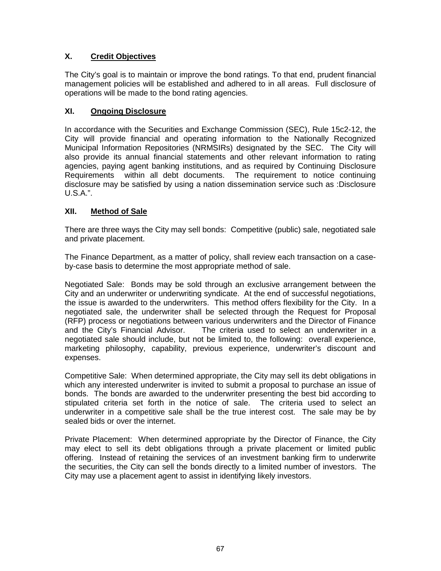# **X. Credit Objectives**

The City's goal is to maintain or improve the bond ratings. To that end, prudent financial management policies will be established and adhered to in all areas. Full disclosure of operations will be made to the bond rating agencies.

# **XI. Ongoing Disclosure**

In accordance with the Securities and Exchange Commission (SEC), Rule 15c2-12, the City will provide financial and operating information to the Nationally Recognized Municipal Information Repositories (NRMSIRs) designated by the SEC. The City will also provide its annual financial statements and other relevant information to rating agencies, paying agent banking institutions, and as required by Continuing Disclosure Requirements within all debt documents. The requirement to notice continuing disclosure may be satisfied by using a nation dissemination service such as :Disclosure U.S.A.".

# **XII. Method of Sale**

There are three ways the City may sell bonds: Competitive (public) sale, negotiated sale and private placement.

The Finance Department, as a matter of policy, shall review each transaction on a caseby-case basis to determine the most appropriate method of sale.

Negotiated Sale: Bonds may be sold through an exclusive arrangement between the City and an underwriter or underwriting syndicate. At the end of successful negotiations, the issue is awarded to the underwriters. This method offers flexibility for the City. In a negotiated sale, the underwriter shall be selected through the Request for Proposal (RFP) process or negotiations between various underwriters and the Director of Finance<br>and the City's Financial Advisor. The criteria used to select an underwriter in a The criteria used to select an underwriter in a negotiated sale should include, but not be limited to, the following: overall experience, marketing philosophy, capability, previous experience, underwriter's discount and expenses.

Competitive Sale: When determined appropriate, the City may sell its debt obligations in which any interested underwriter is invited to submit a proposal to purchase an issue of bonds. The bonds are awarded to the underwriter presenting the best bid according to stipulated criteria set forth in the notice of sale. The criteria used to select an underwriter in a competitive sale shall be the true interest cost. The sale may be by sealed bids or over the internet.

Private Placement: When determined appropriate by the Director of Finance, the City may elect to sell its debt obligations through a private placement or limited public offering. Instead of retaining the services of an investment banking firm to underwrite the securities, the City can sell the bonds directly to a limited number of investors. The City may use a placement agent to assist in identifying likely investors.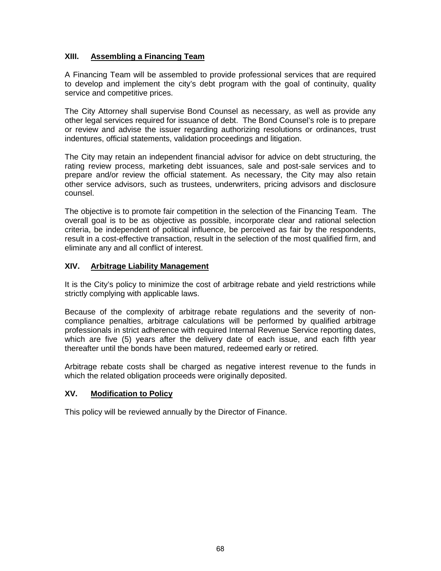# **XIII. Assembling a Financing Team**

A Financing Team will be assembled to provide professional services that are required to develop and implement the city's debt program with the goal of continuity, quality service and competitive prices.

The City Attorney shall supervise Bond Counsel as necessary, as well as provide any other legal services required for issuance of debt. The Bond Counsel's role is to prepare or review and advise the issuer regarding authorizing resolutions or ordinances, trust indentures, official statements, validation proceedings and litigation.

The City may retain an independent financial advisor for advice on debt structuring, the rating review process, marketing debt issuances, sale and post-sale services and to prepare and/or review the official statement. As necessary, the City may also retain other service advisors, such as trustees, underwriters, pricing advisors and disclosure counsel.

The objective is to promote fair competition in the selection of the Financing Team. The overall goal is to be as objective as possible, incorporate clear and rational selection criteria, be independent of political influence, be perceived as fair by the respondents, result in a cost-effective transaction, result in the selection of the most qualified firm, and eliminate any and all conflict of interest.

# **XIV. Arbitrage Liability Management**

It is the City's policy to minimize the cost of arbitrage rebate and yield restrictions while strictly complying with applicable laws.

Because of the complexity of arbitrage rebate regulations and the severity of noncompliance penalties, arbitrage calculations will be performed by qualified arbitrage professionals in strict adherence with required Internal Revenue Service reporting dates, which are five (5) years after the delivery date of each issue, and each fifth year thereafter until the bonds have been matured, redeemed early or retired.

Arbitrage rebate costs shall be charged as negative interest revenue to the funds in which the related obligation proceeds were originally deposited.

# **XV. Modification to Policy**

This policy will be reviewed annually by the Director of Finance.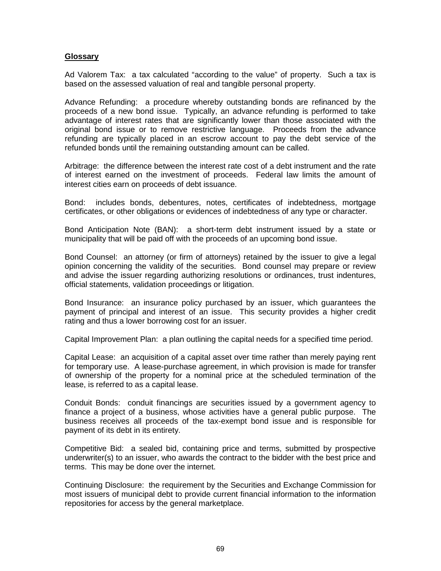### **Glossary**

Ad Valorem Tax: a tax calculated "according to the value" of property. Such a tax is based on the assessed valuation of real and tangible personal property.

Advance Refunding: a procedure whereby outstanding bonds are refinanced by the proceeds of a new bond issue. Typically, an advance refunding is performed to take advantage of interest rates that are significantly lower than those associated with the original bond issue or to remove restrictive language. Proceeds from the advance refunding are typically placed in an escrow account to pay the debt service of the refunded bonds until the remaining outstanding amount can be called.

Arbitrage: the difference between the interest rate cost of a debt instrument and the rate of interest earned on the investment of proceeds. Federal law limits the amount of interest cities earn on proceeds of debt issuance.

Bond: includes bonds, debentures, notes, certificates of indebtedness, mortgage certificates, or other obligations or evidences of indebtedness of any type or character.

Bond Anticipation Note (BAN): a short-term debt instrument issued by a state or municipality that will be paid off with the proceeds of an upcoming bond issue.

Bond Counsel: an attorney (or firm of attorneys) retained by the issuer to give a legal opinion concerning the validity of the securities. Bond counsel may prepare or review and advise the issuer regarding authorizing resolutions or ordinances, trust indentures, official statements, validation proceedings or litigation.

Bond Insurance: an insurance policy purchased by an issuer, which guarantees the payment of principal and interest of an issue. This security provides a higher credit rating and thus a lower borrowing cost for an issuer.

Capital Improvement Plan: a plan outlining the capital needs for a specified time period.

Capital Lease: an acquisition of a capital asset over time rather than merely paying rent for temporary use. A lease-purchase agreement, in which provision is made for transfer of ownership of the property for a nominal price at the scheduled termination of the lease, is referred to as a capital lease.

Conduit Bonds: conduit financings are securities issued by a government agency to finance a project of a business, whose activities have a general public purpose. The business receives all proceeds of the tax-exempt bond issue and is responsible for payment of its debt in its entirety.

Competitive Bid: a sealed bid, containing price and terms, submitted by prospective underwriter(s) to an issuer, who awards the contract to the bidder with the best price and terms. This may be done over the internet.

Continuing Disclosure: the requirement by the Securities and Exchange Commission for most issuers of municipal debt to provide current financial information to the information repositories for access by the general marketplace.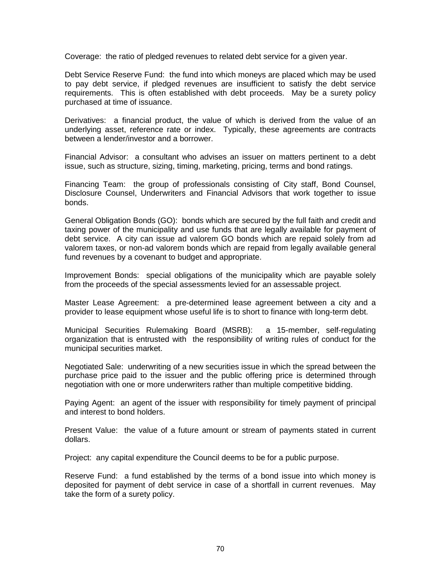Coverage: the ratio of pledged revenues to related debt service for a given year.

Debt Service Reserve Fund: the fund into which moneys are placed which may be used to pay debt service, if pledged revenues are insufficient to satisfy the debt service requirements. This is often established with debt proceeds. May be a surety policy purchased at time of issuance.

Derivatives: a financial product, the value of which is derived from the value of an underlying asset, reference rate or index. Typically, these agreements are contracts between a lender/investor and a borrower.

Financial Advisor: a consultant who advises an issuer on matters pertinent to a debt issue, such as structure, sizing, timing, marketing, pricing, terms and bond ratings.

Financing Team: the group of professionals consisting of City staff, Bond Counsel, Disclosure Counsel, Underwriters and Financial Advisors that work together to issue bonds.

General Obligation Bonds (GO): bonds which are secured by the full faith and credit and taxing power of the municipality and use funds that are legally available for payment of debt service. A city can issue ad valorem GO bonds which are repaid solely from ad valorem taxes, or non-ad valorem bonds which are repaid from legally available general fund revenues by a covenant to budget and appropriate.

Improvement Bonds: special obligations of the municipality which are payable solely from the proceeds of the special assessments levied for an assessable project.

Master Lease Agreement: a pre-determined lease agreement between a city and a provider to lease equipment whose useful life is to short to finance with long-term debt.

Municipal Securities Rulemaking Board (MSRB): a 15-member, self-regulating organization that is entrusted with the responsibility of writing rules of conduct for the municipal securities market.

Negotiated Sale: underwriting of a new securities issue in which the spread between the purchase price paid to the issuer and the public offering price is determined through negotiation with one or more underwriters rather than multiple competitive bidding.

Paying Agent: an agent of the issuer with responsibility for timely payment of principal and interest to bond holders.

Present Value: the value of a future amount or stream of payments stated in current dollars.

Project: any capital expenditure the Council deems to be for a public purpose.

Reserve Fund: a fund established by the terms of a bond issue into which money is deposited for payment of debt service in case of a shortfall in current revenues. May take the form of a surety policy.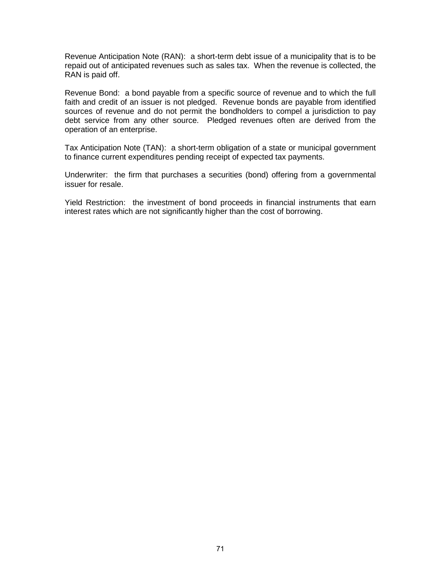Revenue Anticipation Note (RAN): a short-term debt issue of a municipality that is to be repaid out of anticipated revenues such as sales tax. When the revenue is collected, the RAN is paid off.

Revenue Bond: a bond payable from a specific source of revenue and to which the full faith and credit of an issuer is not pledged. Revenue bonds are payable from identified sources of revenue and do not permit the bondholders to compel a jurisdiction to pay debt service from any other source. Pledged revenues often are derived from the operation of an enterprise.

Tax Anticipation Note (TAN): a short-term obligation of a state or municipal government to finance current expenditures pending receipt of expected tax payments.

Underwriter: the firm that purchases a securities (bond) offering from a governmental issuer for resale.

Yield Restriction: the investment of bond proceeds in financial instruments that earn interest rates which are not significantly higher than the cost of borrowing.